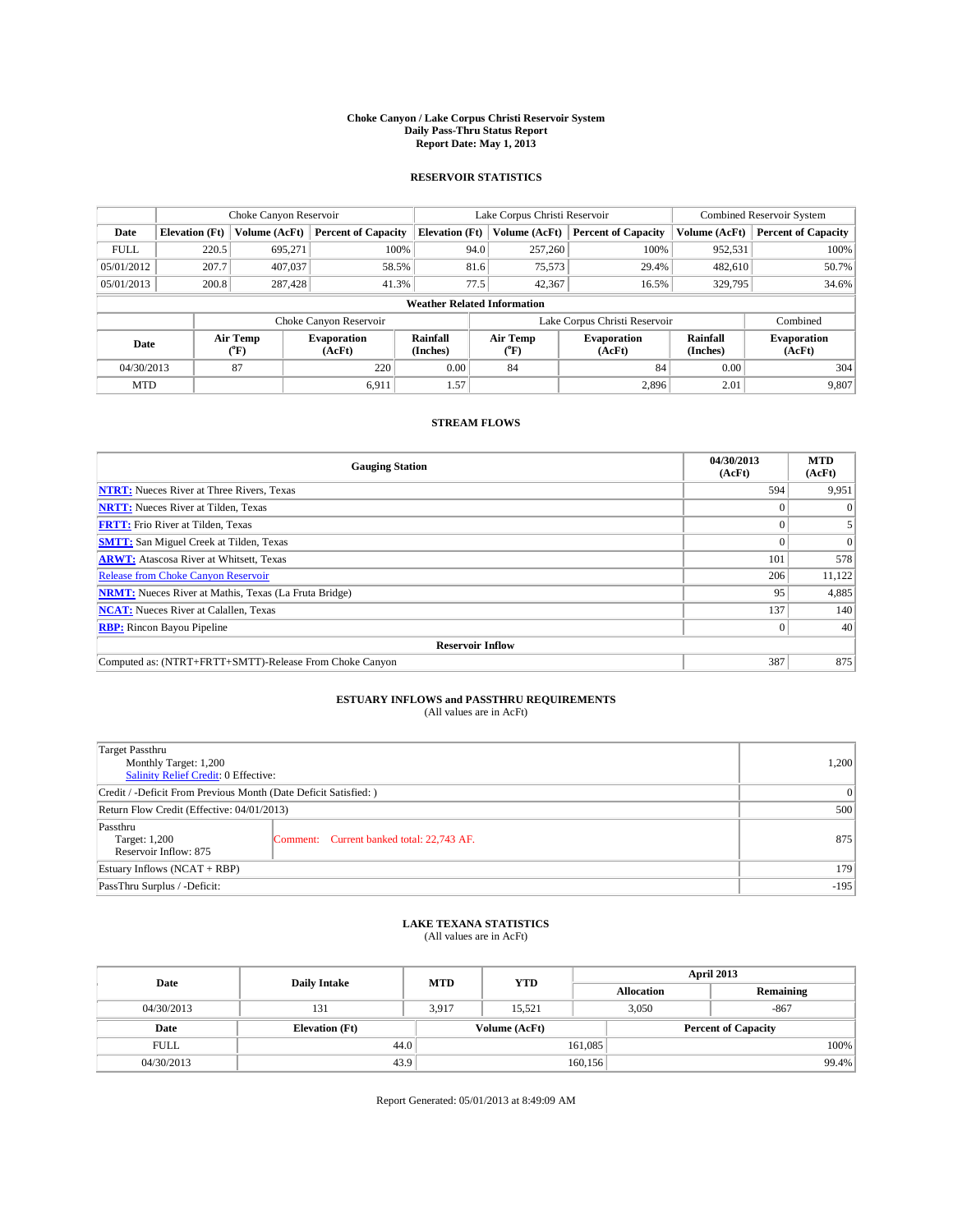#### **Choke Canyon / Lake Corpus Christi Reservoir System Daily Pass-Thru Status Report Report Date: May 1, 2013**

### **RESERVOIR STATISTICS**

|             | Choke Canyon Reservoir |                       |                              |                                    | Lake Corpus Christi Reservoir | <b>Combined Reservoir System</b> |                      |                              |
|-------------|------------------------|-----------------------|------------------------------|------------------------------------|-------------------------------|----------------------------------|----------------------|------------------------------|
| Date        | <b>Elevation</b> (Ft)  | Volume (AcFt)         | <b>Percent of Capacity</b>   | <b>Elevation (Ft)</b>              | Volume (AcFt)                 | <b>Percent of Capacity</b>       | Volume (AcFt)        | Percent of Capacity          |
| <b>FULL</b> | 220.5                  | 695,271               | 100%                         | 94.0                               | 257,260                       | 100%                             | 952,531              | 100%                         |
| 05/01/2012  | 207.7                  | 407,037               | 58.5%                        | 81.6                               | 75,573                        | 29.4%                            | 482,610              | 50.7%                        |
| 05/01/2013  | 200.8                  | 287,428               | 41.3%                        | 77.5                               | 42,367                        | 16.5%                            | 329,795              | 34.6%                        |
|             |                        |                       |                              | <b>Weather Related Information</b> |                               |                                  |                      |                              |
|             |                        |                       | Choke Canyon Reservoir       |                                    |                               | Lake Corpus Christi Reservoir    |                      | Combined                     |
| Date        |                        | Air Temp<br>$(^{0}F)$ | <b>Evaporation</b><br>(AcFt) | Rainfall<br>(Inches)               | Air Temp<br>("F)              | <b>Evaporation</b><br>(AcFt)     | Rainfall<br>(Inches) | <b>Evaporation</b><br>(AcFt) |
| 04/30/2013  |                        | 87                    | 220                          | 0.00                               | 84                            | 84                               | 0.00                 | 304                          |
| <b>MTD</b>  |                        |                       | 6.911                        | 1.57'                              |                               | 2,896                            | 2.01                 | 9,807                        |

### **STREAM FLOWS**

| <b>Gauging Station</b>                                       | 04/30/2013<br>(AcFt) | <b>MTD</b><br>(AcFt) |  |  |  |
|--------------------------------------------------------------|----------------------|----------------------|--|--|--|
| <b>NTRT:</b> Nueces River at Three Rivers, Texas             | 594                  | 9,951                |  |  |  |
| <b>NRTT:</b> Nueces River at Tilden, Texas                   |                      | $\theta$             |  |  |  |
| <b>FRTT:</b> Frio River at Tilden, Texas                     |                      |                      |  |  |  |
| <b>SMTT:</b> San Miguel Creek at Tilden, Texas               |                      | $\Omega$             |  |  |  |
| <b>ARWT:</b> Atascosa River at Whitsett, Texas               | 101                  | 578                  |  |  |  |
| <b>Release from Choke Canyon Reservoir</b>                   | 206                  | 11,122               |  |  |  |
| <b>NRMT:</b> Nueces River at Mathis, Texas (La Fruta Bridge) | 95                   | 4,885                |  |  |  |
| <b>NCAT:</b> Nueces River at Calallen, Texas                 | 137                  | 140                  |  |  |  |
| <b>RBP:</b> Rincon Bayou Pipeline                            | $\Omega$             | 40                   |  |  |  |
| <b>Reservoir Inflow</b>                                      |                      |                      |  |  |  |
| Computed as: (NTRT+FRTT+SMTT)-Release From Choke Canyon      | 387                  | 875                  |  |  |  |

# **ESTUARY INFLOWS and PASSTHRU REQUIREMENTS**<br>(All values are in AcFt)

| <b>Target Passthru</b><br>Monthly Target: 1,200<br>Salinity Relief Credit: 0 Effective: | 1,200                                     |     |
|-----------------------------------------------------------------------------------------|-------------------------------------------|-----|
| Credit / -Deficit From Previous Month (Date Deficit Satisfied: )                        |                                           | 0   |
| Return Flow Credit (Effective: 04/01/2013)                                              |                                           |     |
| Passthru<br>Target: 1,200<br>Reservoir Inflow: 875                                      | Comment: Current banked total: 22,743 AF. | 875 |
| Estuary Inflows (NCAT + RBP)                                                            |                                           |     |
| PassThru Surplus / -Deficit:                                                            | $-195$                                    |     |

## **LAKE TEXANA STATISTICS** (All values are in AcFt)

| Date        | <b>Daily Intake</b>   | <b>MTD</b> | <b>YTD</b>    | April 2013        |                            |  |
|-------------|-----------------------|------------|---------------|-------------------|----------------------------|--|
|             |                       |            |               | <b>Allocation</b> | Remaining                  |  |
| 04/30/2013  | 131                   | 3,917      | 15.521        | 3,050             | $-867$                     |  |
| Date        | <b>Elevation</b> (Ft) |            | Volume (AcFt) |                   | <b>Percent of Capacity</b> |  |
| <b>FULL</b> | 44.0                  |            |               | 161,085           | 100%                       |  |
| 04/30/2013  | 43.9                  |            |               | 160, 156          | 99.4%                      |  |

Report Generated: 05/01/2013 at 8:49:09 AM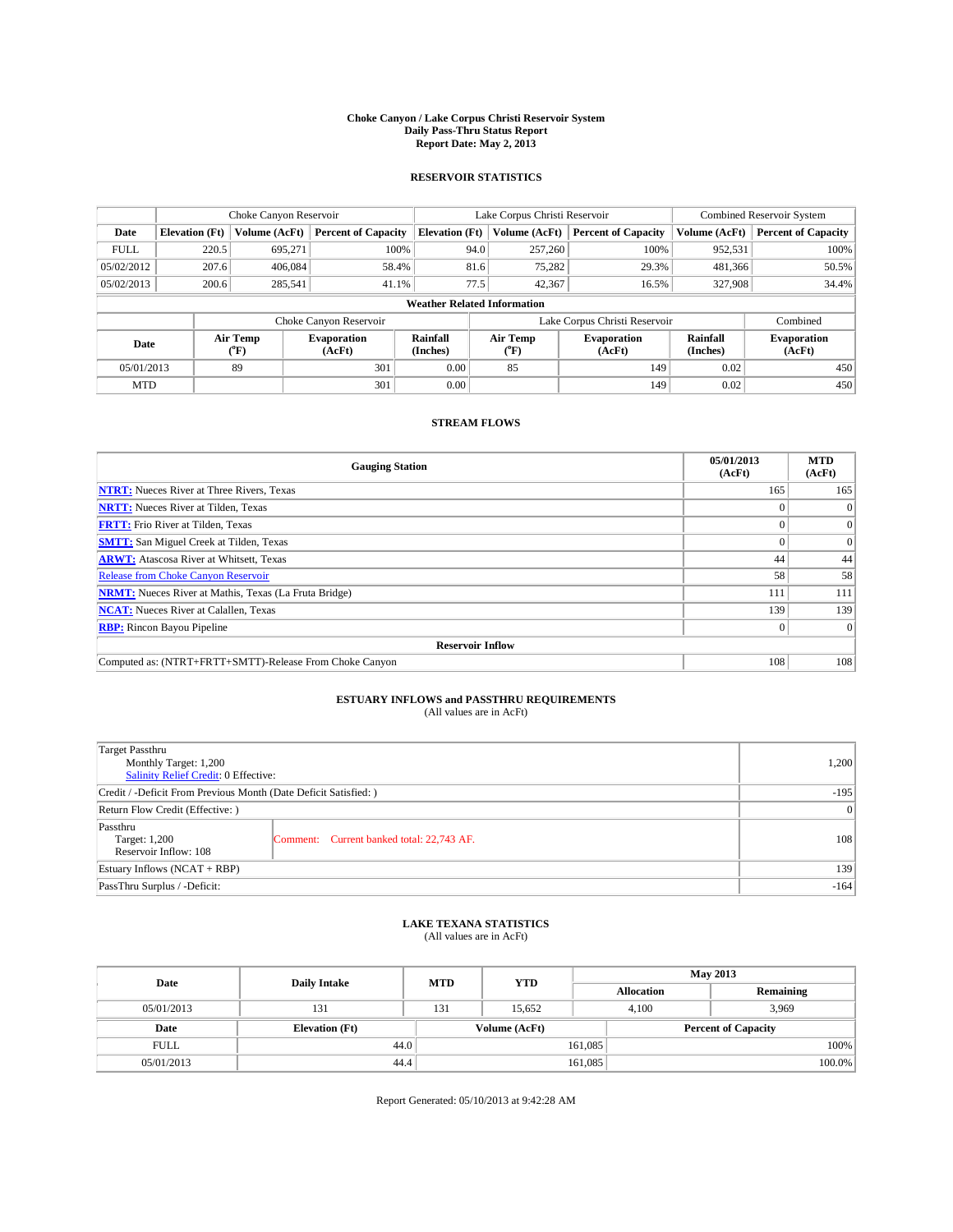#### **Choke Canyon / Lake Corpus Christi Reservoir System Daily Pass-Thru Status Report Report Date: May 2, 2013**

### **RESERVOIR STATISTICS**

|             | Choke Canyon Reservoir |                  |                            |                                    | Lake Corpus Christi Reservoir | <b>Combined Reservoir System</b> |                      |                              |
|-------------|------------------------|------------------|----------------------------|------------------------------------|-------------------------------|----------------------------------|----------------------|------------------------------|
| Date        | <b>Elevation</b> (Ft)  | Volume (AcFt)    | <b>Percent of Capacity</b> | <b>Elevation</b> (Ft)              | Volume (AcFt)                 | <b>Percent of Capacity</b>       | Volume (AcFt)        | Percent of Capacity          |
| <b>FULL</b> | 220.5                  | 695,271          | 100%                       | 94.0                               | 257,260                       | 100%                             | 952,531              | 100%                         |
| 05/02/2012  | 207.6                  | 406,084          | 58.4%                      | 81.6                               | 75,282                        | 29.3%                            | 481,366              | 50.5%                        |
| 05/02/2013  | 200.6                  | 285,541          | 41.1%                      | 77.5                               | 42,367                        | 16.5%                            | 327,908              | 34.4%                        |
|             |                        |                  |                            | <b>Weather Related Information</b> |                               |                                  |                      |                              |
|             |                        |                  | Choke Canyon Reservoir     |                                    |                               | Lake Corpus Christi Reservoir    |                      | Combined                     |
| Date        |                        | Air Temp<br>(°F) | Evaporation<br>(AcFt)      | Rainfall<br>(Inches)               | Air Temp<br>("F)              | <b>Evaporation</b><br>(AcFt)     | Rainfall<br>(Inches) | <b>Evaporation</b><br>(AcFt) |
| 05/01/2013  |                        | 89               | 301                        | 0.00                               | 85                            | 149                              | 0.02                 | 450                          |
| <b>MTD</b>  |                        |                  | 301                        | 0.00                               |                               | 149                              | 0.02                 | 450                          |

### **STREAM FLOWS**

| <b>Gauging Station</b>                                       | 05/01/2013<br>(AcFt) | <b>MTD</b><br>(AcFt) |  |  |  |
|--------------------------------------------------------------|----------------------|----------------------|--|--|--|
| <b>NTRT:</b> Nueces River at Three Rivers, Texas             | 165                  | 165                  |  |  |  |
| <b>NRTT:</b> Nueces River at Tilden, Texas                   |                      | $\theta$             |  |  |  |
| <b>FRTT:</b> Frio River at Tilden, Texas                     |                      | $\overline{0}$       |  |  |  |
| <b>SMTT:</b> San Miguel Creek at Tilden, Texas               |                      | $\overline{0}$       |  |  |  |
| <b>ARWT:</b> Atascosa River at Whitsett, Texas               | 44                   | 44                   |  |  |  |
| <b>Release from Choke Canyon Reservoir</b>                   | 58                   | 58                   |  |  |  |
| <b>NRMT:</b> Nueces River at Mathis, Texas (La Fruta Bridge) | 111                  | 111                  |  |  |  |
| <b>NCAT:</b> Nueces River at Calallen, Texas                 | 139                  | 139                  |  |  |  |
| <b>RBP:</b> Rincon Bayou Pipeline                            | $\Omega$             | $\Omega$             |  |  |  |
| <b>Reservoir Inflow</b>                                      |                      |                      |  |  |  |
| Computed as: (NTRT+FRTT+SMTT)-Release From Choke Canyon      | 108                  | 108                  |  |  |  |

# **ESTUARY INFLOWS and PASSTHRU REQUIREMENTS**<br>(All values are in AcFt)

| Target Passthru                                                  |                                           |     |
|------------------------------------------------------------------|-------------------------------------------|-----|
| Monthly Target: 1,200                                            | 1,200                                     |     |
| Salinity Relief Credit: 0 Effective:                             |                                           |     |
| Credit / -Deficit From Previous Month (Date Deficit Satisfied: ) | $-195$                                    |     |
| Return Flow Credit (Effective: )                                 | $\vert 0 \vert$                           |     |
| Passthru<br>Target: 1,200<br>Reservoir Inflow: 108               | Comment: Current banked total: 22,743 AF. | 108 |
| Estuary Inflows (NCAT + RBP)                                     | 139                                       |     |
| PassThru Surplus / -Deficit:                                     | $-164$                                    |     |

## **LAKE TEXANA STATISTICS** (All values are in AcFt)

| Date        | <b>Daily Intake</b>   | <b>MTD</b> | <b>YTD</b>    | <b>May 2013</b>   |                            |  |  |
|-------------|-----------------------|------------|---------------|-------------------|----------------------------|--|--|
|             |                       |            |               | <b>Allocation</b> | Remaining                  |  |  |
| 05/01/2013  | 131                   | 131        | 15.652        | 4,100             | 3,969                      |  |  |
| Date        | <b>Elevation</b> (Ft) |            | Volume (AcFt) |                   | <b>Percent of Capacity</b> |  |  |
| <b>FULL</b> | 44.0                  |            |               | 161,085           | 100%                       |  |  |
| 05/01/2013  | 44.4                  |            |               | 161,085           | 100.0%                     |  |  |

Report Generated: 05/10/2013 at 9:42:28 AM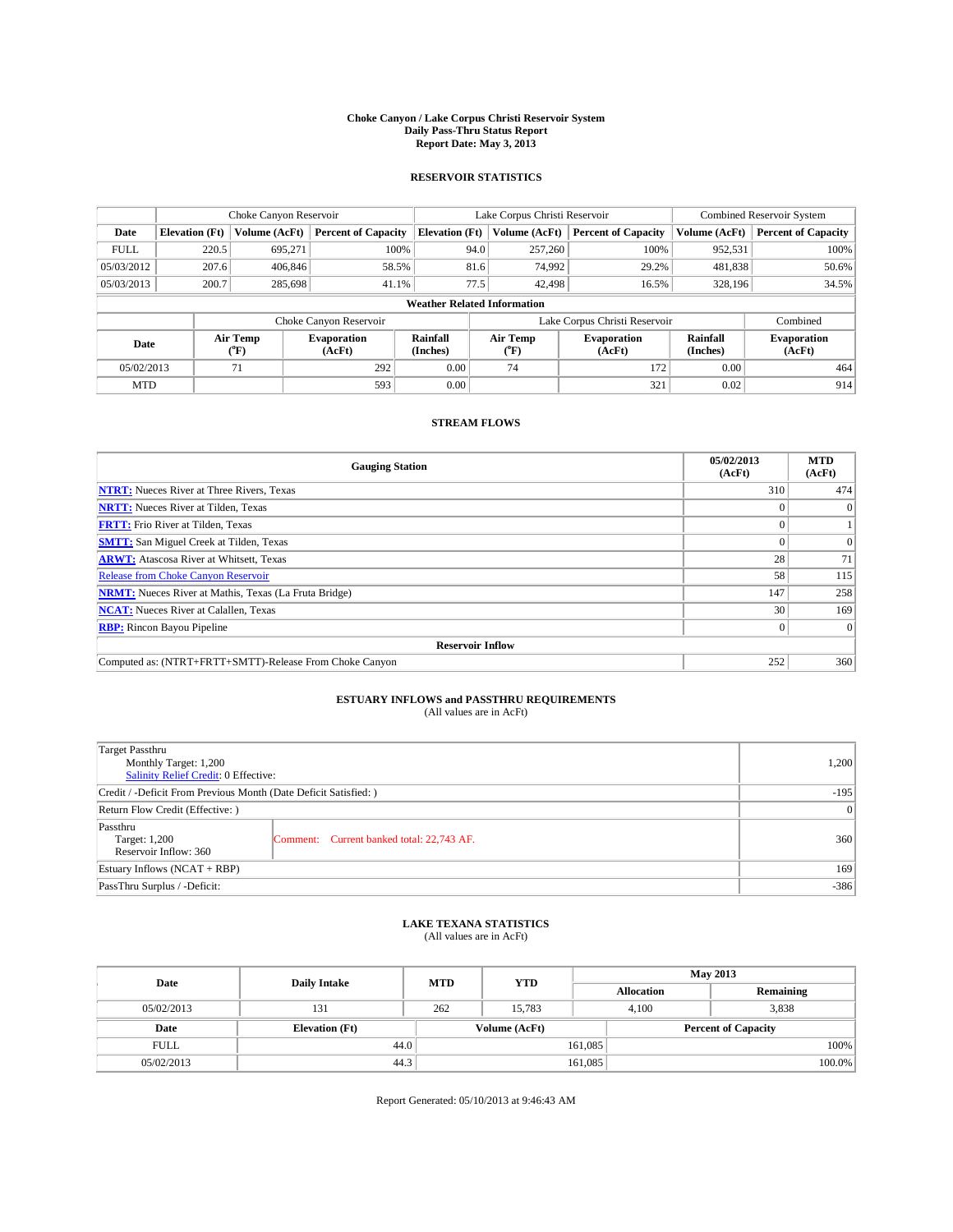#### **Choke Canyon / Lake Corpus Christi Reservoir System Daily Pass-Thru Status Report Report Date: May 3, 2013**

### **RESERVOIR STATISTICS**

|             | Choke Canyon Reservoir |                  |                              |                                    | Lake Corpus Christi Reservoir | <b>Combined Reservoir System</b> |                      |                              |
|-------------|------------------------|------------------|------------------------------|------------------------------------|-------------------------------|----------------------------------|----------------------|------------------------------|
| Date        | <b>Elevation</b> (Ft)  | Volume (AcFt)    | <b>Percent of Capacity</b>   | <b>Elevation (Ft)</b>              | Volume (AcFt)                 | <b>Percent of Capacity</b>       | Volume (AcFt)        | <b>Percent of Capacity</b>   |
| <b>FULL</b> | 220.5                  | 695,271          | 100%                         | 94.0                               | 257,260                       | 100%                             | 952,531              | 100%                         |
| 05/03/2012  | 207.6                  | 406,846          | 58.5%                        | 81.6                               | 74,992                        | 29.2%                            | 481,838              | 50.6%                        |
| 05/03/2013  | 200.7                  | 285,698          | 41.1%                        | 77.5                               | 42,498                        | 16.5%                            | 328,196              | 34.5%                        |
|             |                        |                  |                              | <b>Weather Related Information</b> |                               |                                  |                      |                              |
|             |                        |                  | Choke Canyon Reservoir       |                                    |                               | Lake Corpus Christi Reservoir    |                      | Combined                     |
| Date        |                        | Air Temp<br>(°F) | <b>Evaporation</b><br>(AcFt) | Rainfall<br>(Inches)               | Air Temp<br>("F)              | <b>Evaporation</b><br>(AcFt)     | Rainfall<br>(Inches) | <b>Evaporation</b><br>(AcFt) |
| 05/02/2013  |                        | 71               | 292                          | 0.00                               | 74                            | 172                              | 0.00                 | 464                          |
| <b>MTD</b>  |                        |                  | 593                          | 0.00                               |                               | 321                              | 0.02                 | 914                          |

### **STREAM FLOWS**

| <b>Gauging Station</b>                                       | 05/02/2013<br>(AcFt) | <b>MTD</b><br>(AcFt) |  |  |  |
|--------------------------------------------------------------|----------------------|----------------------|--|--|--|
| <b>NTRT:</b> Nueces River at Three Rivers, Texas             | 310                  | 474                  |  |  |  |
| <b>NRTT:</b> Nueces River at Tilden, Texas                   |                      | $\theta$             |  |  |  |
| <b>FRTT:</b> Frio River at Tilden, Texas                     |                      |                      |  |  |  |
| <b>SMTT:</b> San Miguel Creek at Tilden, Texas               |                      | $\Omega$             |  |  |  |
| <b>ARWT:</b> Atascosa River at Whitsett, Texas               | 28                   | 71                   |  |  |  |
| <b>Release from Choke Canyon Reservoir</b>                   | 58                   | 115                  |  |  |  |
| <b>NRMT:</b> Nueces River at Mathis, Texas (La Fruta Bridge) | 147                  | 258                  |  |  |  |
| <b>NCAT:</b> Nueces River at Calallen, Texas                 | 30                   | 169                  |  |  |  |
| <b>RBP:</b> Rincon Bayou Pipeline                            |                      | $\Omega$             |  |  |  |
| <b>Reservoir Inflow</b>                                      |                      |                      |  |  |  |
| Computed as: (NTRT+FRTT+SMTT)-Release From Choke Canyon      | 252                  | 360                  |  |  |  |

# **ESTUARY INFLOWS and PASSTHRU REQUIREMENTS**<br>(All values are in AcFt)

| <b>Target Passthru</b><br>Monthly Target: 1,200                  | 1,200                                     |     |  |  |
|------------------------------------------------------------------|-------------------------------------------|-----|--|--|
| Salinity Relief Credit: 0 Effective:                             |                                           |     |  |  |
| Credit / -Deficit From Previous Month (Date Deficit Satisfied: ) | $-195$                                    |     |  |  |
| Return Flow Credit (Effective: )                                 | 0                                         |     |  |  |
| Passthru<br>Target: 1,200<br>Reservoir Inflow: 360               | Comment: Current banked total: 22,743 AF. | 360 |  |  |
| Estuary Inflows $(NCAT + RBP)$                                   |                                           |     |  |  |
| PassThru Surplus / -Deficit:                                     | $-386$                                    |     |  |  |

## **LAKE TEXANA STATISTICS** (All values are in AcFt)

| Date        | <b>Daily Intake</b>   | <b>MTD</b> | <b>YTD</b>    | <b>May 2013</b>   |                            |           |  |
|-------------|-----------------------|------------|---------------|-------------------|----------------------------|-----------|--|
|             |                       |            |               | <b>Allocation</b> |                            | Remaining |  |
| 05/02/2013  | 131                   | 262        | 15.783        |                   | 3,838<br>4,100             |           |  |
| Date        | <b>Elevation</b> (Ft) |            | Volume (AcFt) |                   | <b>Percent of Capacity</b> |           |  |
| <b>FULL</b> | 44.0                  |            |               | 161,085           |                            | 100%      |  |
| 05/02/2013  | 44.3                  |            |               | 161,085           |                            | 100.0%    |  |

Report Generated: 05/10/2013 at 9:46:43 AM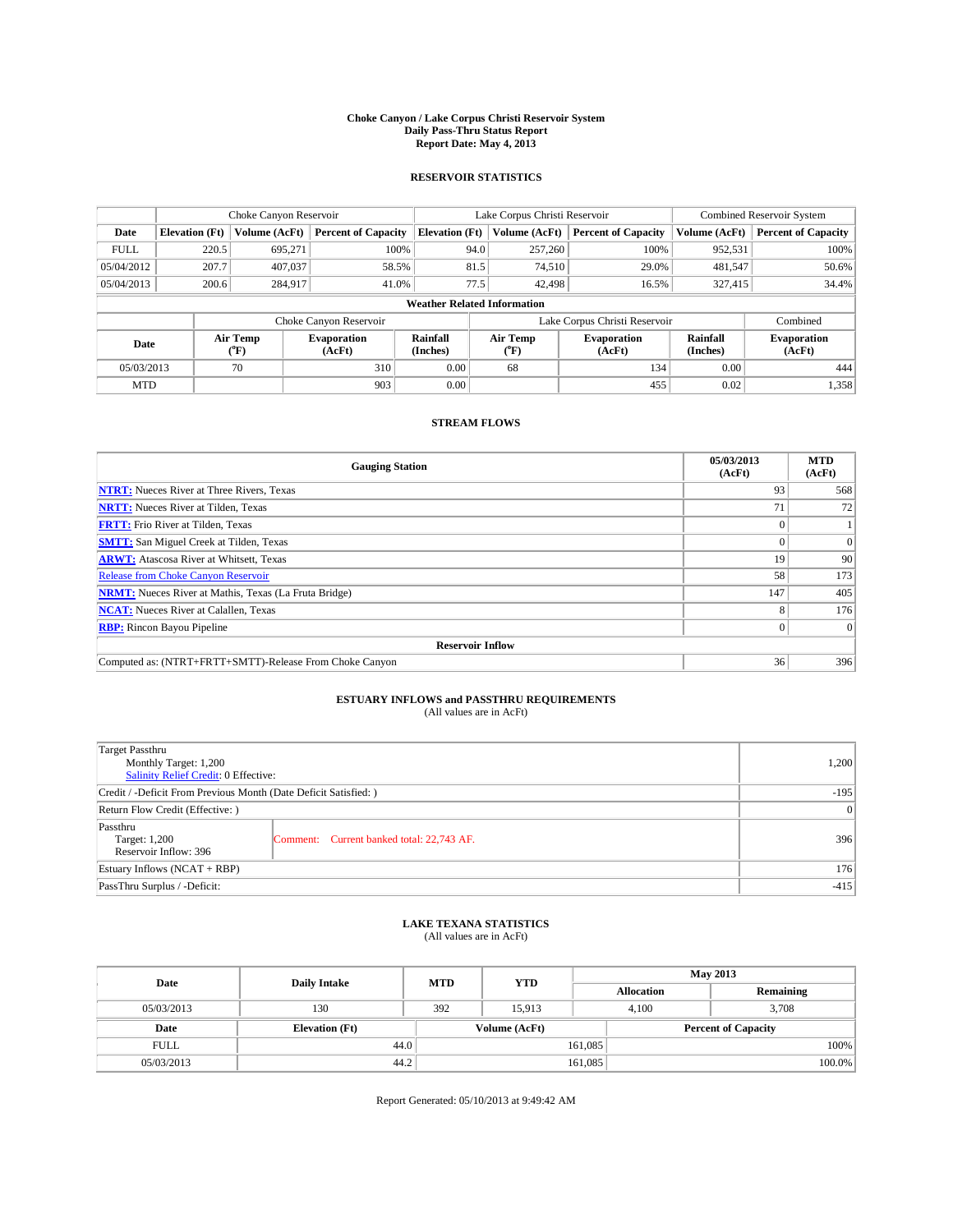#### **Choke Canyon / Lake Corpus Christi Reservoir System Daily Pass-Thru Status Report Report Date: May 4, 2013**

### **RESERVOIR STATISTICS**

|             | Choke Canyon Reservoir             |                  |                              |                       | Lake Corpus Christi Reservoir |                               |                      | Combined Reservoir System    |  |
|-------------|------------------------------------|------------------|------------------------------|-----------------------|-------------------------------|-------------------------------|----------------------|------------------------------|--|
| Date        | <b>Elevation</b> (Ft)              | Volume (AcFt)    | <b>Percent of Capacity</b>   | <b>Elevation (Ft)</b> | Volume (AcFt)                 | <b>Percent of Capacity</b>    | Volume (AcFt)        | <b>Percent of Capacity</b>   |  |
| <b>FULL</b> | 220.5                              | 695.271          | 100%                         | 94.0                  | 257,260                       | 100%                          | 952,531              | 100%                         |  |
| 05/04/2012  | 207.7                              | 407,037          | 58.5%                        | 81.5                  | 74,510                        | 29.0%                         | 481,547              | 50.6%                        |  |
| 05/04/2013  | 200.6                              | 284,917          | 41.0%                        | 77.5                  | 42,498                        | 16.5%                         | 327,415              | 34.4%                        |  |
|             | <b>Weather Related Information</b> |                  |                              |                       |                               |                               |                      |                              |  |
|             |                                    |                  | Choke Canyon Reservoir       |                       |                               | Lake Corpus Christi Reservoir |                      | Combined                     |  |
| Date        |                                    | Air Temp<br>(°F) | <b>Evaporation</b><br>(AcFt) | Rainfall<br>(Inches)  | Air Temp<br>(°F)              | <b>Evaporation</b><br>(AcFt)  | Rainfall<br>(Inches) | <b>Evaporation</b><br>(AcFt) |  |
| 05/03/2013  |                                    | 70               | 310                          | 0.00                  | 68                            | 134                           | 0.00                 | 444                          |  |
| <b>MTD</b>  |                                    |                  | 903                          | 0.00                  |                               | 455                           | 0.02                 | 1,358                        |  |

### **STREAM FLOWS**

| <b>Gauging Station</b>                                       | 05/03/2013<br>(AcFt) | <b>MTD</b><br>(AcFt) |  |  |  |
|--------------------------------------------------------------|----------------------|----------------------|--|--|--|
| <b>NTRT:</b> Nueces River at Three Rivers, Texas             | 93                   | 568                  |  |  |  |
| <b>NRTT:</b> Nueces River at Tilden, Texas                   | 7 <sup>1</sup>       | 72                   |  |  |  |
| <b>FRTT:</b> Frio River at Tilden, Texas                     |                      |                      |  |  |  |
| <b>SMTT:</b> San Miguel Creek at Tilden, Texas               |                      | $\Omega$             |  |  |  |
| <b>ARWT:</b> Atascosa River at Whitsett, Texas               | 19                   | 90                   |  |  |  |
| <b>Release from Choke Canyon Reservoir</b>                   | 58                   | 173                  |  |  |  |
| <b>NRMT:</b> Nueces River at Mathis, Texas (La Fruta Bridge) | 147                  | 405                  |  |  |  |
| <b>NCAT:</b> Nueces River at Calallen, Texas                 |                      | 176                  |  |  |  |
| <b>RBP:</b> Rincon Bayou Pipeline                            | $\Omega$             | $\Omega$             |  |  |  |
| <b>Reservoir Inflow</b>                                      |                      |                      |  |  |  |
| Computed as: (NTRT+FRTT+SMTT)-Release From Choke Canyon      | 36                   | 396                  |  |  |  |

# **ESTUARY INFLOWS and PASSTHRU REQUIREMENTS**<br>(All values are in AcFt)

| <b>Target Passthru</b><br>Monthly Target: 1,200                  | 1,200                                     |     |  |
|------------------------------------------------------------------|-------------------------------------------|-----|--|
| Salinity Relief Credit: 0 Effective:                             |                                           |     |  |
| Credit / -Deficit From Previous Month (Date Deficit Satisfied: ) |                                           |     |  |
| Return Flow Credit (Effective: )                                 |                                           | 0   |  |
| Passthru<br>Target: 1,200<br>Reservoir Inflow: 396               | Comment: Current banked total: 22,743 AF. | 396 |  |
| Estuary Inflows $(NCAT + RBP)$                                   |                                           |     |  |
| PassThru Surplus / -Deficit:                                     | $-415$                                    |     |  |

## **LAKE TEXANA STATISTICS** (All values are in AcFt)

| Date        | <b>Daily Intake</b>   | <b>YTD</b><br><b>MTD</b> |               |                   | <b>May 2013</b>            |           |  |
|-------------|-----------------------|--------------------------|---------------|-------------------|----------------------------|-----------|--|
|             |                       |                          |               | <b>Allocation</b> |                            | Remaining |  |
| 05/03/2013  | 130                   | 392                      | 15.913        | 4,100             |                            | 3,708     |  |
| Date        | <b>Elevation</b> (Ft) |                          | Volume (AcFt) |                   | <b>Percent of Capacity</b> |           |  |
| <b>FULL</b> | 44.0                  |                          |               | 161,085           |                            | 100%      |  |
| 05/03/2013  | 44.2                  |                          |               | 161,085           |                            | 100.0%    |  |

Report Generated: 05/10/2013 at 9:49:42 AM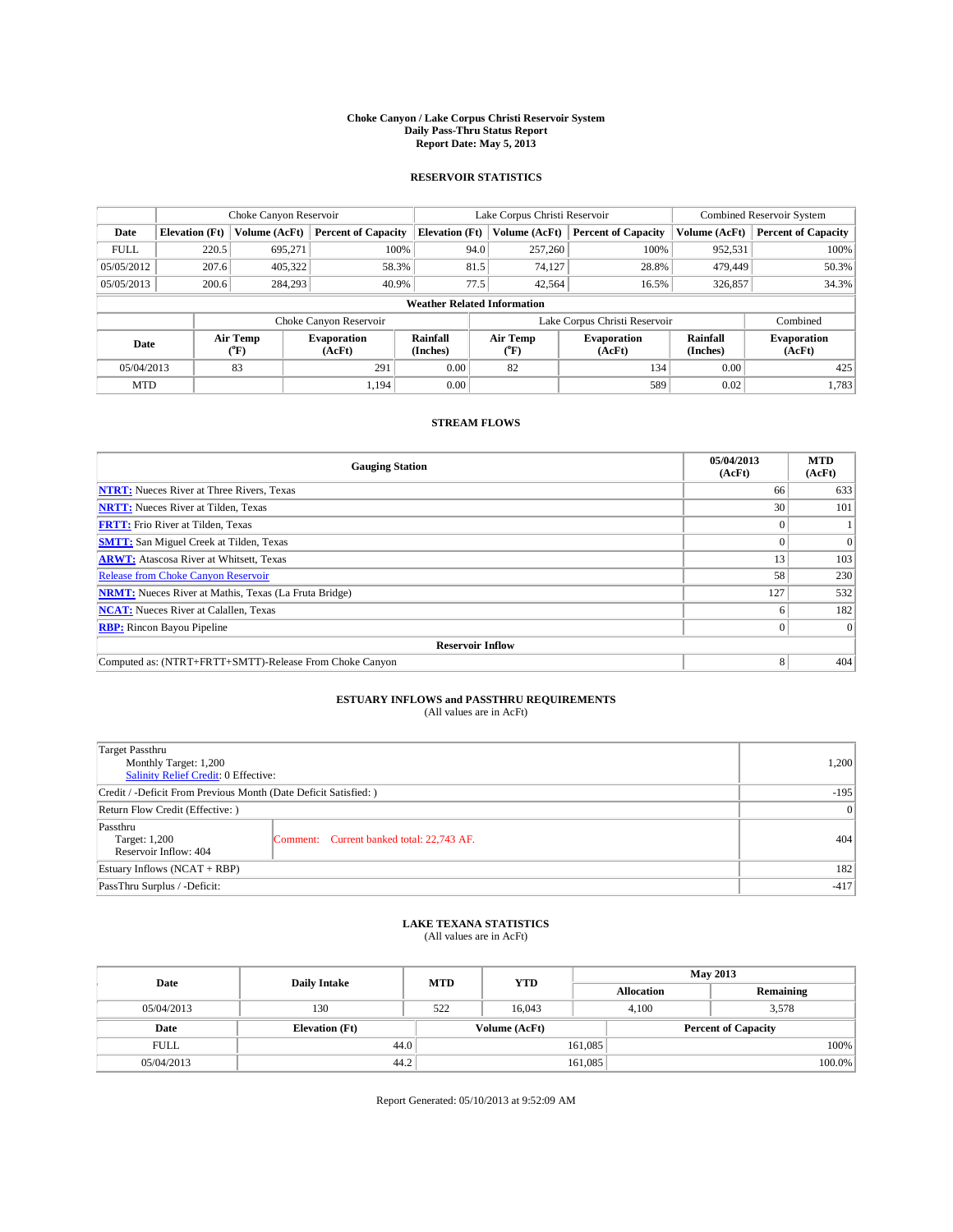#### **Choke Canyon / Lake Corpus Christi Reservoir System Daily Pass-Thru Status Report Report Date: May 5, 2013**

### **RESERVOIR STATISTICS**

|             | Choke Canyon Reservoir             |                  |                            |                       | Lake Corpus Christi Reservoir |                               |                      | <b>Combined Reservoir System</b> |  |
|-------------|------------------------------------|------------------|----------------------------|-----------------------|-------------------------------|-------------------------------|----------------------|----------------------------------|--|
| Date        | <b>Elevation</b> (Ft)              | Volume (AcFt)    | <b>Percent of Capacity</b> | <b>Elevation (Ft)</b> | Volume (AcFt)                 | <b>Percent of Capacity</b>    | Volume (AcFt)        | Percent of Capacity              |  |
| <b>FULL</b> | 220.5                              | 695,271          | 100%                       |                       | 94.0<br>257,260               | 100%                          | 952,531              | 100%                             |  |
| 05/05/2012  | 207.6                              | 405,322          | 58.3%                      |                       | 81.5<br>74,127                | 28.8%                         | 479,449              | 50.3%                            |  |
| 05/05/2013  | 200.6                              | 284,293          | 40.9%                      |                       | 77.5<br>42,564                | 16.5%                         | 326,857              | 34.3%                            |  |
|             | <b>Weather Related Information</b> |                  |                            |                       |                               |                               |                      |                                  |  |
|             |                                    |                  | Choke Canyon Reservoir     |                       |                               | Lake Corpus Christi Reservoir |                      | Combined                         |  |
| Date        |                                    | Air Temp<br>(°F) | Evaporation<br>(AcFt)      | Rainfall<br>(Inches)  | Air Temp<br>("F)              | <b>Evaporation</b><br>(AcFt)  | Rainfall<br>(Inches) | <b>Evaporation</b><br>(AcFt)     |  |
| 05/04/2013  |                                    | 83               | 291                        | 0.00                  | 82                            | 134                           | 0.00                 | 425                              |  |
| <b>MTD</b>  |                                    |                  | 1.194                      | 0.00                  |                               | 589                           | 0.02                 | 1,783                            |  |

### **STREAM FLOWS**

| <b>Gauging Station</b>                                       | 05/04/2013<br>(AcFt) | <b>MTD</b><br>(AcFt) |  |  |  |  |
|--------------------------------------------------------------|----------------------|----------------------|--|--|--|--|
| <b>NTRT:</b> Nueces River at Three Rivers, Texas             | 66                   | 633                  |  |  |  |  |
| <b>NRTT:</b> Nueces River at Tilden, Texas                   | 30                   | 101                  |  |  |  |  |
| <b>FRTT:</b> Frio River at Tilden, Texas                     |                      |                      |  |  |  |  |
| <b>SMTT:</b> San Miguel Creek at Tilden, Texas               |                      | $\Omega$             |  |  |  |  |
| <b>ARWT:</b> Atascosa River at Whitsett, Texas               | 13                   | 103                  |  |  |  |  |
| <b>Release from Choke Canyon Reservoir</b>                   | 58                   | 230                  |  |  |  |  |
| <b>NRMT:</b> Nueces River at Mathis, Texas (La Fruta Bridge) | 127                  | 532                  |  |  |  |  |
| <b>NCAT:</b> Nueces River at Calallen, Texas                 |                      | 182                  |  |  |  |  |
| <b>RBP:</b> Rincon Bayou Pipeline                            | 0                    | $\Omega$             |  |  |  |  |
| <b>Reservoir Inflow</b>                                      |                      |                      |  |  |  |  |
| Computed as: (NTRT+FRTT+SMTT)-Release From Choke Canyon      | 8                    | 404                  |  |  |  |  |

# **ESTUARY INFLOWS and PASSTHRU REQUIREMENTS**<br>(All values are in AcFt)

| <b>Target Passthru</b><br>Monthly Target: 1,200<br>Salinity Relief Credit: 0 Effective: | 1,200                                     |     |
|-----------------------------------------------------------------------------------------|-------------------------------------------|-----|
| Credit / -Deficit From Previous Month (Date Deficit Satisfied: )                        | $-195$                                    |     |
| Return Flow Credit (Effective: )                                                        | 0                                         |     |
| Passthru<br>Target: 1,200<br>Reservoir Inflow: 404                                      | Comment: Current banked total: 22,743 AF. | 404 |
| Estuary Inflows $(NCAT + RBP)$                                                          | 182                                       |     |
| PassThru Surplus / -Deficit:                                                            | $-417$                                    |     |

## **LAKE TEXANA STATISTICS** (All values are in AcFt)

| Date        | <b>Daily Intake</b>   |     | <b>YTD</b><br><b>MTD</b> |                   | <b>May 2013</b>            |  |  |
|-------------|-----------------------|-----|--------------------------|-------------------|----------------------------|--|--|
|             |                       |     |                          | <b>Allocation</b> | Remaining                  |  |  |
| 05/04/2013  | 130                   | 522 | 16.043                   | 4,100             | 3,578                      |  |  |
| Date        | <b>Elevation</b> (Ft) |     | Volume (AcFt)            |                   | <b>Percent of Capacity</b> |  |  |
| <b>FULL</b> | 44.0                  |     |                          | 161,085           | 100%                       |  |  |
| 05/04/2013  | 44.2                  |     |                          | 161,085           | 100.0%                     |  |  |

Report Generated: 05/10/2013 at 9:52:09 AM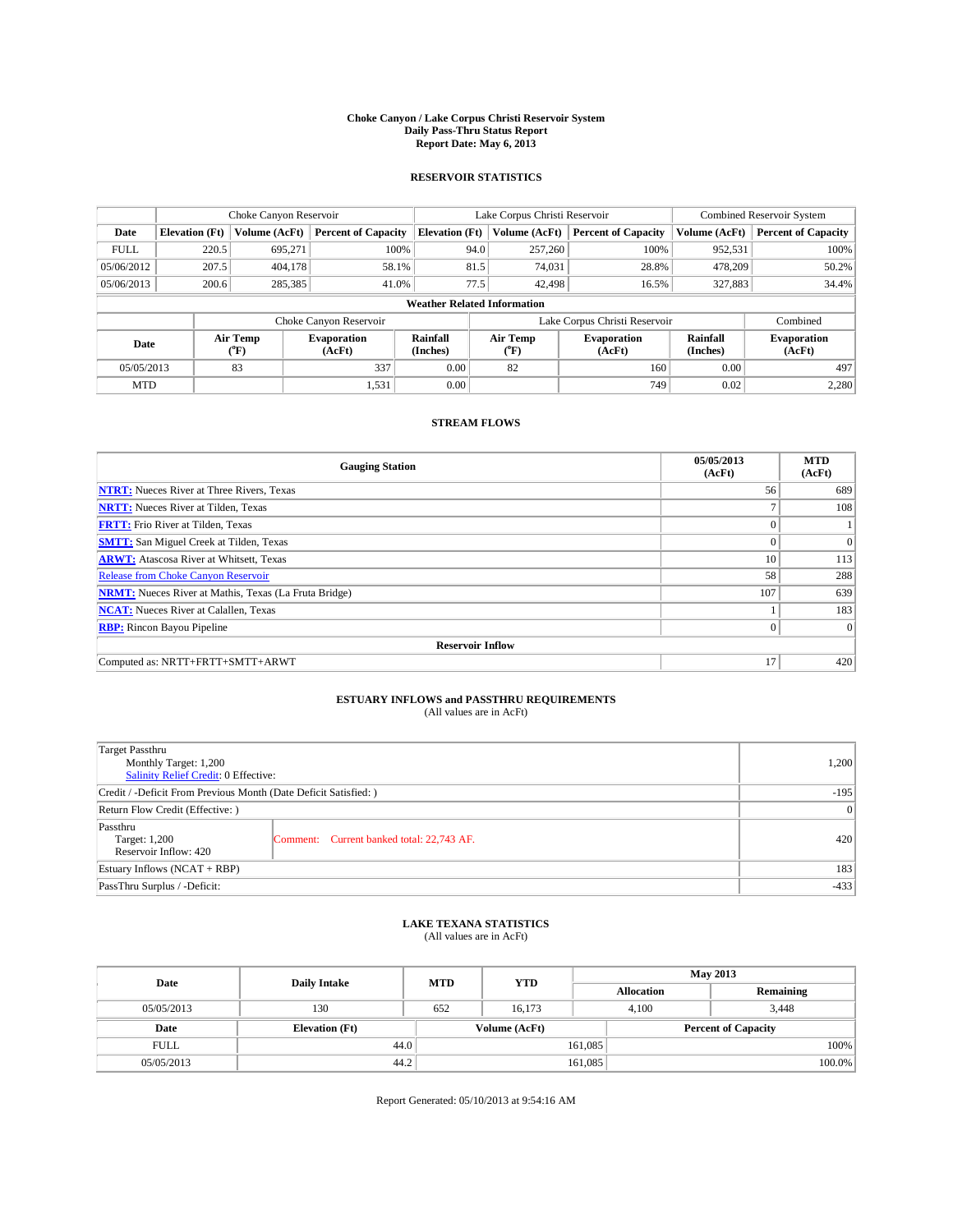#### **Choke Canyon / Lake Corpus Christi Reservoir System Daily Pass-Thru Status Report Report Date: May 6, 2013**

### **RESERVOIR STATISTICS**

|             | Choke Canyon Reservoir             |                  |                              |                       | Lake Corpus Christi Reservoir |                               |                      | <b>Combined Reservoir System</b> |  |
|-------------|------------------------------------|------------------|------------------------------|-----------------------|-------------------------------|-------------------------------|----------------------|----------------------------------|--|
| Date        | <b>Elevation</b> (Ft)              | Volume (AcFt)    | <b>Percent of Capacity</b>   | <b>Elevation (Ft)</b> | Volume (AcFt)                 | <b>Percent of Capacity</b>    | Volume (AcFt)        | Percent of Capacity              |  |
| <b>FULL</b> | 220.5                              | 695,271          | 100%                         | 94.0                  | 257,260                       | 100%                          | 952,531              | 100%                             |  |
| 05/06/2012  | 207.5                              | 404,178          | 58.1%                        | 81.5                  | 74,031                        | 28.8%                         | 478,209              | $50.2\%$                         |  |
| 05/06/2013  | 200.6                              | 285,385          | 41.0%                        | 77.5                  | 42,498                        | 16.5%                         | 327,883              | 34.4%                            |  |
|             | <b>Weather Related Information</b> |                  |                              |                       |                               |                               |                      |                                  |  |
|             |                                    |                  | Choke Canyon Reservoir       |                       |                               | Lake Corpus Christi Reservoir |                      | Combined                         |  |
| Date        |                                    | Air Temp<br>(°F) | <b>Evaporation</b><br>(AcFt) | Rainfall<br>(Inches)  | Air Temp<br>("F)              | <b>Evaporation</b><br>(AcFt)  | Rainfall<br>(Inches) | <b>Evaporation</b><br>(AcFt)     |  |
| 05/05/2013  |                                    | 83               | 337                          | 0.00                  | 82                            | 160                           | 0.00                 | 497                              |  |
| <b>MTD</b>  |                                    |                  | 1,531                        | 0.00                  |                               | 749                           | 0.02                 | 2,280                            |  |

### **STREAM FLOWS**

| <b>Gauging Station</b>                                       | 05/05/2013<br>(AcFt) | <b>MTD</b><br>(AcFt) |  |  |  |  |
|--------------------------------------------------------------|----------------------|----------------------|--|--|--|--|
| <b>NTRT:</b> Nueces River at Three Rivers, Texas             | 56                   | 689                  |  |  |  |  |
| <b>NRTT:</b> Nueces River at Tilden, Texas                   | $\overline{ }$       | 108                  |  |  |  |  |
| <b>FRTT:</b> Frio River at Tilden, Texas                     |                      |                      |  |  |  |  |
| <b>SMTT:</b> San Miguel Creek at Tilden, Texas               | $\theta$             | $\overline{0}$       |  |  |  |  |
| <b>ARWT:</b> Atascosa River at Whitsett, Texas               | 10                   | 113                  |  |  |  |  |
| <b>Release from Choke Canyon Reservoir</b>                   | 58                   | 288                  |  |  |  |  |
| <b>NRMT:</b> Nueces River at Mathis, Texas (La Fruta Bridge) | 107                  | 639                  |  |  |  |  |
| <b>NCAT:</b> Nueces River at Calallen, Texas                 |                      | 183                  |  |  |  |  |
| <b>RBP:</b> Rincon Bayou Pipeline                            | $\Omega$             | $\Omega$             |  |  |  |  |
| <b>Reservoir Inflow</b>                                      |                      |                      |  |  |  |  |
| Computed as: NRTT+FRTT+SMTT+ARWT                             | 17                   | 420                  |  |  |  |  |

# **ESTUARY INFLOWS and PASSTHRU REQUIREMENTS**<br>(All values are in AcFt)

| <b>Target Passthru</b><br>Monthly Target: 1,200<br>Salinity Relief Credit: 0 Effective: | 1,200                                     |        |
|-----------------------------------------------------------------------------------------|-------------------------------------------|--------|
| Credit / -Deficit From Previous Month (Date Deficit Satisfied: )                        |                                           | $-195$ |
| Return Flow Credit (Effective: )                                                        |                                           |        |
| Passthru<br>Target: 1,200<br>Reservoir Inflow: 420                                      | Comment: Current banked total: 22,743 AF. | 420    |
| Estuary Inflows $(NCAT + RBP)$                                                          |                                           |        |
| PassThru Surplus / -Deficit:                                                            | $-433$                                    |        |

## **LAKE TEXANA STATISTICS** (All values are in AcFt)

| Date        | <b>Daily Intake</b>   | <b>YTD</b><br><b>MTD</b> |               | <b>May 2013</b>   |                            |  |
|-------------|-----------------------|--------------------------|---------------|-------------------|----------------------------|--|
|             |                       |                          |               | <b>Allocation</b> | Remaining                  |  |
| 05/05/2013  | 130                   | 652                      | 16,173        | 4,100             | 3,448                      |  |
| Date        | <b>Elevation</b> (Ft) |                          | Volume (AcFt) |                   | <b>Percent of Capacity</b> |  |
| <b>FULL</b> | 44.0                  |                          |               | 161,085           | 100%                       |  |
| 05/05/2013  | 44.2                  |                          |               | 161,085           | 100.0%                     |  |

Report Generated: 05/10/2013 at 9:54:16 AM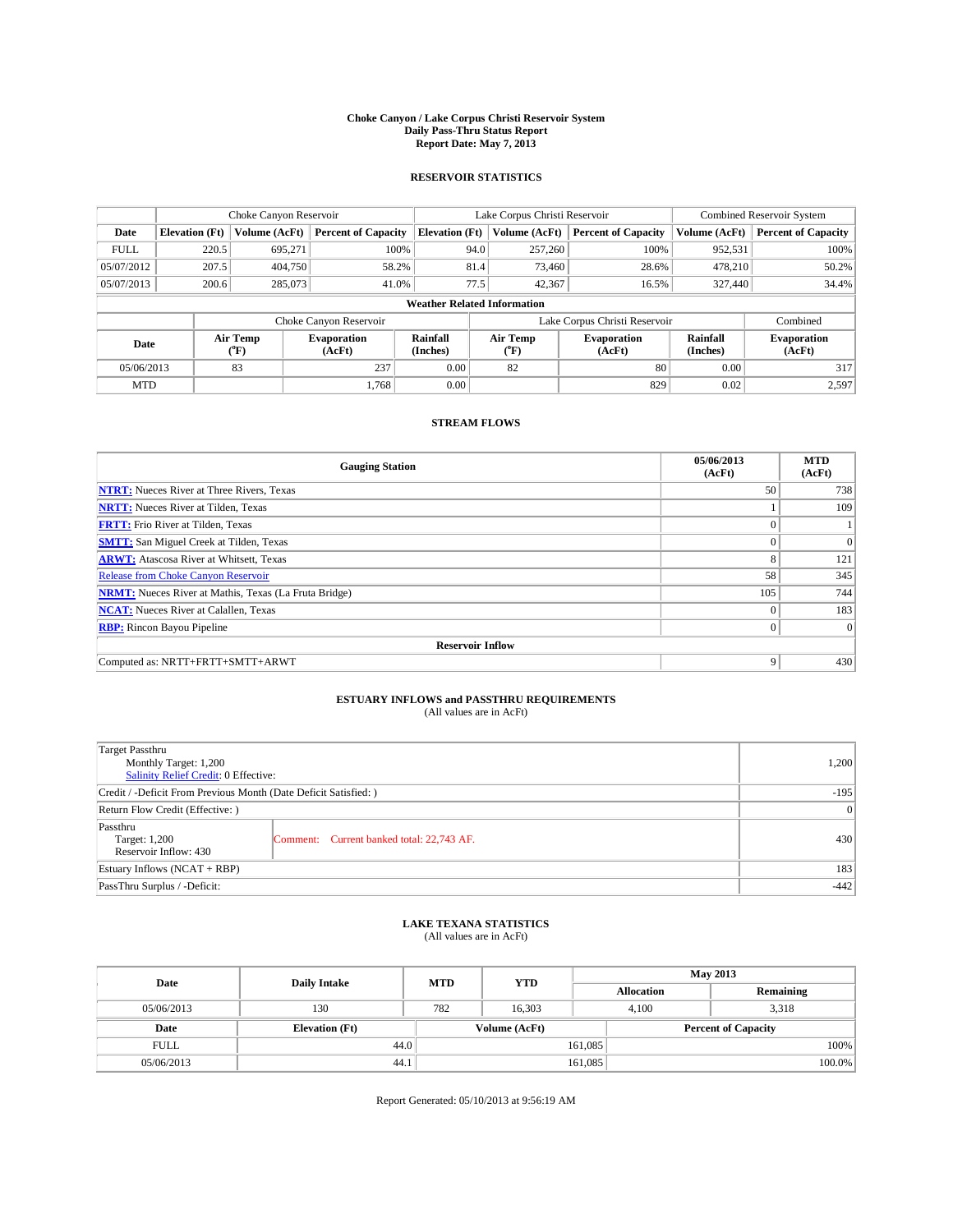#### **Choke Canyon / Lake Corpus Christi Reservoir System Daily Pass-Thru Status Report Report Date: May 7, 2013**

### **RESERVOIR STATISTICS**

|             | Choke Canyon Reservoir             |               |                            |                       | Lake Corpus Christi Reservoir | <b>Combined Reservoir System</b> |               |                              |  |
|-------------|------------------------------------|---------------|----------------------------|-----------------------|-------------------------------|----------------------------------|---------------|------------------------------|--|
| Date        | <b>Elevation</b> (Ft)              | Volume (AcFt) | <b>Percent of Capacity</b> | <b>Elevation (Ft)</b> | Volume (AcFt)                 | <b>Percent of Capacity</b>       | Volume (AcFt) | Percent of Capacity          |  |
| <b>FULL</b> | 220.5                              | 695,271       | 100%                       |                       | 94.0<br>257,260               | 100%                             | 952,531       | 100%                         |  |
| 05/07/2012  | 207.5                              | 404,750       | 58.2%                      |                       | 81.4<br>73,460                | 28.6%                            | 478,210       | $50.2\%$                     |  |
| 05/07/2013  | 200.6                              | 285,073       | 41.0%                      |                       | 77.5<br>42,367                | 16.5%                            | 327,440       | 34.4%                        |  |
|             | <b>Weather Related Information</b> |               |                            |                       |                               |                                  |               |                              |  |
|             |                                    |               | Choke Canyon Reservoir     |                       |                               | Lake Corpus Christi Reservoir    |               | Combined                     |  |
| Date        | Air Temp<br>(°F)                   |               | Evaporation<br>(AcFt)      | Rainfall<br>(Inches)  | Air Temp<br>("F)              | <b>Evaporation</b><br>(AcFt)     |               | <b>Evaporation</b><br>(AcFt) |  |
| 05/06/2013  |                                    | 83            | 237                        | 0.00                  | 82                            | 80                               | 0.00          | 317                          |  |
| <b>MTD</b>  |                                    |               | 1.768                      | 0.00                  |                               | 829                              | 0.02          | 2.597                        |  |

### **STREAM FLOWS**

| <b>Gauging Station</b>                                       | 05/06/2013<br>(AcFt) | <b>MTD</b><br>(AcFt) |  |  |  |  |
|--------------------------------------------------------------|----------------------|----------------------|--|--|--|--|
| <b>NTRT:</b> Nueces River at Three Rivers, Texas             | 50                   | 738                  |  |  |  |  |
| <b>NRTT:</b> Nueces River at Tilden, Texas                   |                      | 109                  |  |  |  |  |
| <b>FRTT:</b> Frio River at Tilden, Texas                     |                      |                      |  |  |  |  |
| <b>SMTT:</b> San Miguel Creek at Tilden, Texas               |                      | $\Omega$             |  |  |  |  |
| <b>ARWT:</b> Atascosa River at Whitsett, Texas               | 8                    | 121                  |  |  |  |  |
| <b>Release from Choke Canyon Reservoir</b>                   | 58                   | 345                  |  |  |  |  |
| <b>NRMT:</b> Nueces River at Mathis, Texas (La Fruta Bridge) | 105                  | 744                  |  |  |  |  |
| <b>NCAT:</b> Nueces River at Calallen, Texas                 | $\theta$             | 183                  |  |  |  |  |
| <b>RBP:</b> Rincon Bayou Pipeline                            | $\Omega$             | $\Omega$             |  |  |  |  |
| <b>Reservoir Inflow</b>                                      |                      |                      |  |  |  |  |
| Computed as: NRTT+FRTT+SMTT+ARWT                             | 9                    | 430                  |  |  |  |  |

# **ESTUARY INFLOWS and PASSTHRU REQUIREMENTS**<br>(All values are in AcFt)

| Target Passthru<br>Monthly Target: 1,200<br>Salinity Relief Credit: 0 Effective: | 1,200                                     |     |  |  |
|----------------------------------------------------------------------------------|-------------------------------------------|-----|--|--|
| Credit / -Deficit From Previous Month (Date Deficit Satisfied: )                 |                                           |     |  |  |
| Return Flow Credit (Effective: )                                                 |                                           |     |  |  |
| Passthru<br>Target: 1,200<br>Reservoir Inflow: 430                               | Comment: Current banked total: 22,743 AF. | 430 |  |  |
| Estuary Inflows $(NCAT + RBP)$                                                   |                                           |     |  |  |
| PassThru Surplus / -Deficit:                                                     | $-442$                                    |     |  |  |

## **LAKE TEXANA STATISTICS** (All values are in AcFt)

| Date        | <b>Daily Intake</b>   | <b>MTD</b> | <b>YTD</b>    | <b>May 2013</b>   |                            |           |  |
|-------------|-----------------------|------------|---------------|-------------------|----------------------------|-----------|--|
|             |                       |            |               | <b>Allocation</b> |                            | Remaining |  |
| 05/06/2013  | 130                   | 782        | 16,303        | 4,100             | 3,318                      |           |  |
| Date        | <b>Elevation</b> (Ft) |            | Volume (AcFt) |                   | <b>Percent of Capacity</b> |           |  |
| <b>FULL</b> | 44.0                  |            |               | 161,085           |                            | 100%      |  |
| 05/06/2013  | 44.1                  |            |               | 161,085           |                            | 100.0%    |  |

Report Generated: 05/10/2013 at 9:56:19 AM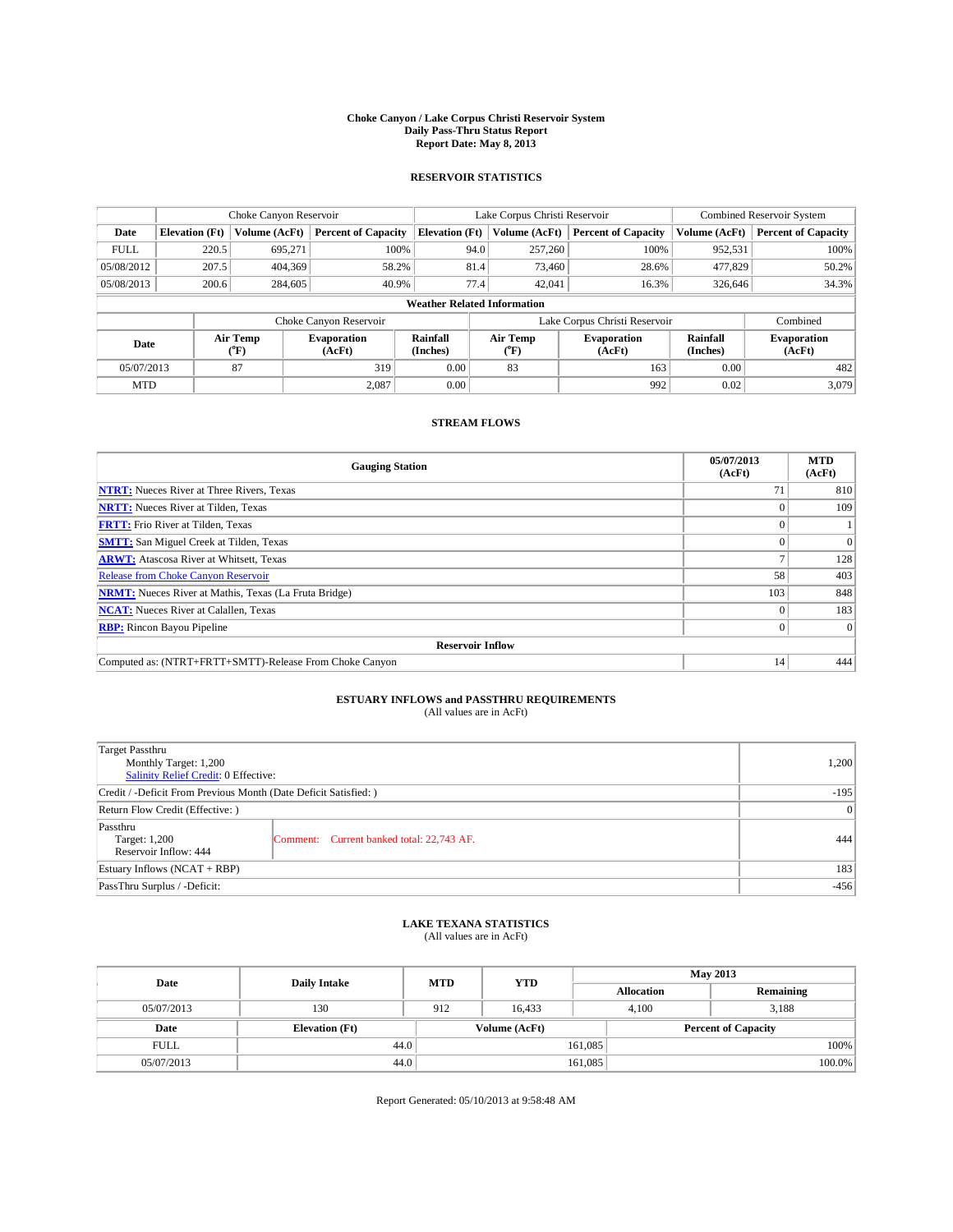#### **Choke Canyon / Lake Corpus Christi Reservoir System Daily Pass-Thru Status Report Report Date: May 8, 2013**

### **RESERVOIR STATISTICS**

|             | Choke Canyon Reservoir             |                  |                              |                       | Lake Corpus Christi Reservoir                    | <b>Combined Reservoir System</b> |                      |                              |  |
|-------------|------------------------------------|------------------|------------------------------|-----------------------|--------------------------------------------------|----------------------------------|----------------------|------------------------------|--|
| Date        | <b>Elevation</b> (Ft)              | Volume (AcFt)    | <b>Percent of Capacity</b>   | <b>Elevation</b> (Ft) | Volume (AcFt)                                    | <b>Percent of Capacity</b>       | Volume (AcFt)        | <b>Percent of Capacity</b>   |  |
| <b>FULL</b> | 220.5                              | 695,271          | 100%                         | 94.0                  | 257,260                                          | 100%                             | 952,531              | 100%                         |  |
| 05/08/2012  | 207.5                              | 404,369          | 58.2%                        | 81.4                  | 73,460                                           | 28.6%                            | 477,829              | 50.2%                        |  |
| 05/08/2013  | 200.6                              | 284,605          | 40.9%                        | 77.4                  | 42,041                                           | 16.3%                            | 326,646              | 34.3%                        |  |
|             | <b>Weather Related Information</b> |                  |                              |                       |                                                  |                                  |                      |                              |  |
|             |                                    |                  | Choke Canyon Reservoir       |                       |                                                  | Lake Corpus Christi Reservoir    |                      | Combined                     |  |
| Date        |                                    | Air Temp<br>(°F) | <b>Evaporation</b><br>(AcFt) | Rainfall<br>(Inches)  | Air Temp<br><b>Evaporation</b><br>(AcFt)<br>(°F) |                                  | Rainfall<br>(Inches) | <b>Evaporation</b><br>(AcFt) |  |
| 05/07/2013  |                                    | 87               | 319                          | 0.00                  | 83                                               | 163                              | 0.00                 | 482                          |  |
| <b>MTD</b>  |                                    |                  | 2.087                        | 0.00                  |                                                  | 992                              | 0.02                 | 3,079                        |  |

### **STREAM FLOWS**

| <b>Gauging Station</b>                                       | 05/07/2013<br>(AcFt) | <b>MTD</b><br>(AcFt) |  |  |  |
|--------------------------------------------------------------|----------------------|----------------------|--|--|--|
| <b>NTRT:</b> Nueces River at Three Rivers, Texas             | 71                   | 810                  |  |  |  |
| <b>NRTT:</b> Nueces River at Tilden, Texas                   |                      | 109                  |  |  |  |
| <b>FRTT:</b> Frio River at Tilden, Texas                     |                      |                      |  |  |  |
| <b>SMTT:</b> San Miguel Creek at Tilden, Texas               |                      | $\Omega$             |  |  |  |
| <b>ARWT:</b> Atascosa River at Whitsett, Texas               |                      | 128                  |  |  |  |
| <b>Release from Choke Canyon Reservoir</b>                   | 58                   | 403                  |  |  |  |
| <b>NRMT:</b> Nueces River at Mathis, Texas (La Fruta Bridge) | 103                  | 848                  |  |  |  |
| <b>NCAT:</b> Nueces River at Calallen, Texas                 |                      | 183                  |  |  |  |
| <b>RBP:</b> Rincon Bayou Pipeline                            | 0                    | $\Omega$             |  |  |  |
| <b>Reservoir Inflow</b>                                      |                      |                      |  |  |  |
| Computed as: (NTRT+FRTT+SMTT)-Release From Choke Canyon      | 14                   | 444                  |  |  |  |

# **ESTUARY INFLOWS and PASSTHRU REQUIREMENTS**<br>(All values are in AcFt)

| <b>Target Passthru</b><br>Monthly Target: 1,200<br>Salinity Relief Credit: 0 Effective: | 1,200                                     |     |  |
|-----------------------------------------------------------------------------------------|-------------------------------------------|-----|--|
| Credit / -Deficit From Previous Month (Date Deficit Satisfied: )                        | $-195$                                    |     |  |
| Return Flow Credit (Effective: )                                                        |                                           |     |  |
| Passthru<br>Target: 1,200<br>Reservoir Inflow: 444                                      | Comment: Current banked total: 22,743 AF. | 444 |  |
| Estuary Inflows $(NCAT + RBP)$                                                          | 183                                       |     |  |
| PassThru Surplus / -Deficit:                                                            | $-456$                                    |     |  |

## **LAKE TEXANA STATISTICS** (All values are in AcFt)

| Date        | <b>Daily Intake</b>   | <b>MTD</b> | <b>YTD</b>    | <b>May 2013</b>   |                            |  |  |
|-------------|-----------------------|------------|---------------|-------------------|----------------------------|--|--|
|             |                       |            |               | <b>Allocation</b> | Remaining                  |  |  |
| 05/07/2013  | 130                   | 912        | 16.433        | 4,100             | 3,188                      |  |  |
| Date        | <b>Elevation</b> (Ft) |            | Volume (AcFt) |                   | <b>Percent of Capacity</b> |  |  |
| <b>FULL</b> | 44.0                  |            |               | 161,085           | 100%                       |  |  |
| 05/07/2013  | 44.0                  |            |               | 161,085           | 100.0%                     |  |  |

Report Generated: 05/10/2013 at 9:58:48 AM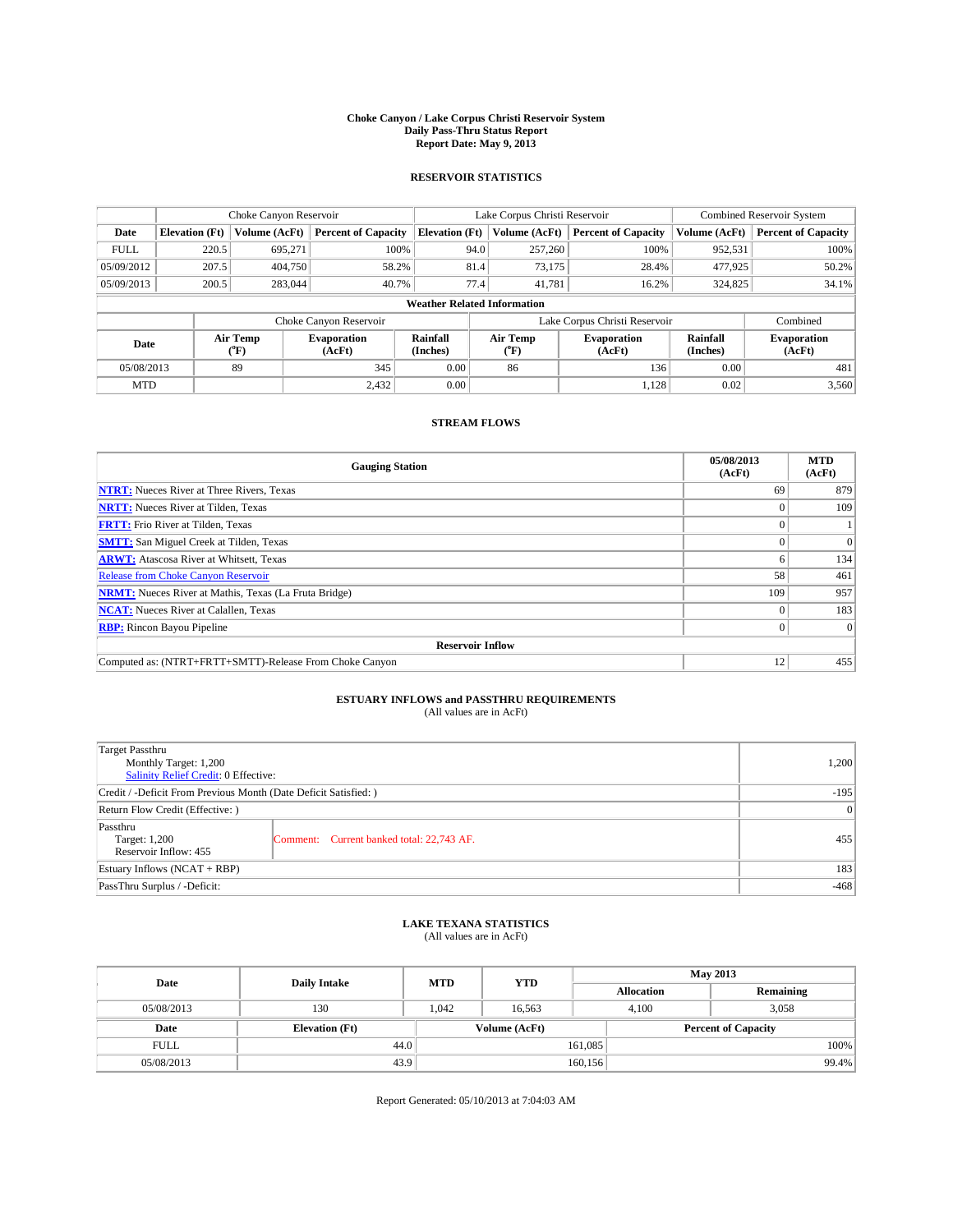#### **Choke Canyon / Lake Corpus Christi Reservoir System Daily Pass-Thru Status Report Report Date: May 9, 2013**

### **RESERVOIR STATISTICS**

|             | Choke Canyon Reservoir             |                  |                            |                       | Lake Corpus Christi Reservoir | <b>Combined Reservoir System</b> |                      |                              |  |
|-------------|------------------------------------|------------------|----------------------------|-----------------------|-------------------------------|----------------------------------|----------------------|------------------------------|--|
| Date        | <b>Elevation</b> (Ft)              | Volume (AcFt)    | <b>Percent of Capacity</b> | <b>Elevation (Ft)</b> | Volume (AcFt)                 | <b>Percent of Capacity</b>       | Volume (AcFt)        | Percent of Capacity          |  |
| <b>FULL</b> | 220.5                              | 695,271          | 100%                       | 94.0                  | 257,260                       | 100%                             | 952,531              | 100%                         |  |
| 05/09/2012  | 207.5                              | 404,750          | 58.2%                      | 81.4                  | 73,175                        | 28.4%                            | 477,925              | $50.2\%$                     |  |
| 05/09/2013  | 200.5                              | 283,044          | 40.7%                      | 77.4                  | 41.781                        | 16.2%                            | 324,825              | $34.1\%$                     |  |
|             | <b>Weather Related Information</b> |                  |                            |                       |                               |                                  |                      |                              |  |
|             |                                    |                  | Choke Canyon Reservoir     |                       |                               | Lake Corpus Christi Reservoir    |                      | Combined                     |  |
| Date        |                                    | Air Temp<br>(°F) | Evaporation<br>(AcFt)      | Rainfall<br>(Inches)  | Air Temp<br>("F)              | <b>Evaporation</b><br>(AcFt)     | Rainfall<br>(Inches) | <b>Evaporation</b><br>(AcFt) |  |
| 05/08/2013  |                                    | 89               | 345                        | 0.00                  | 86                            | 136                              | 0.00                 | 481                          |  |
| <b>MTD</b>  |                                    |                  | 2,432                      | 0.00                  |                               | 1,128                            | 0.02                 | 3,560                        |  |

### **STREAM FLOWS**

| <b>Gauging Station</b>                                       | 05/08/2013<br>(AcFt) | <b>MTD</b><br>(AcFt) |  |  |  |  |
|--------------------------------------------------------------|----------------------|----------------------|--|--|--|--|
| <b>NTRT:</b> Nueces River at Three Rivers, Texas             | 69                   | 879                  |  |  |  |  |
| <b>NRTT:</b> Nueces River at Tilden, Texas                   |                      | 109                  |  |  |  |  |
| <b>FRTT:</b> Frio River at Tilden, Texas                     |                      |                      |  |  |  |  |
| <b>SMTT:</b> San Miguel Creek at Tilden, Texas               |                      | $\Omega$             |  |  |  |  |
| <b>ARWT:</b> Atascosa River at Whitsett, Texas               |                      | 134                  |  |  |  |  |
| <b>Release from Choke Canyon Reservoir</b>                   | 58                   | 461                  |  |  |  |  |
| <b>NRMT:</b> Nueces River at Mathis, Texas (La Fruta Bridge) | 109                  | 957                  |  |  |  |  |
| <b>NCAT:</b> Nueces River at Calallen, Texas                 |                      | 183                  |  |  |  |  |
| <b>RBP:</b> Rincon Bayou Pipeline                            | 0                    | $\Omega$             |  |  |  |  |
| <b>Reservoir Inflow</b>                                      |                      |                      |  |  |  |  |
| Computed as: (NTRT+FRTT+SMTT)-Release From Choke Canyon      | 12                   | 455                  |  |  |  |  |

# **ESTUARY INFLOWS and PASSTHRU REQUIREMENTS**<br>(All values are in AcFt)

| <b>Target Passthru</b><br>Monthly Target: 1,200<br>Salinity Relief Credit: 0 Effective: | 1,200                                     |     |  |  |
|-----------------------------------------------------------------------------------------|-------------------------------------------|-----|--|--|
| Credit / -Deficit From Previous Month (Date Deficit Satisfied: )                        | $-195$                                    |     |  |  |
| Return Flow Credit (Effective: )                                                        |                                           |     |  |  |
| Passthru<br>Target: 1,200<br>Reservoir Inflow: 455                                      | Comment: Current banked total: 22,743 AF. | 455 |  |  |
| Estuary Inflows $(NCAT + RBP)$                                                          |                                           |     |  |  |
| PassThru Surplus / -Deficit:                                                            | $-468$                                    |     |  |  |

## **LAKE TEXANA STATISTICS** (All values are in AcFt)

| Date        | <b>Daily Intake</b>   | <b>MTD</b> | <b>YTD</b>    | <b>May 2013</b>   |                            |           |  |
|-------------|-----------------------|------------|---------------|-------------------|----------------------------|-----------|--|
|             |                       |            |               | <b>Allocation</b> |                            | Remaining |  |
| 05/08/2013  | 130                   | 1.042      | 16.563        |                   | 3,058<br>4.100             |           |  |
| Date        | <b>Elevation</b> (Ft) |            | Volume (AcFt) |                   | <b>Percent of Capacity</b> |           |  |
| <b>FULL</b> | 44.0                  |            |               | 161,085           |                            | 100%      |  |
| 05/08/2013  | 43.9                  |            |               | 160, 156          |                            | 99.4%     |  |

Report Generated: 05/10/2013 at 7:04:03 AM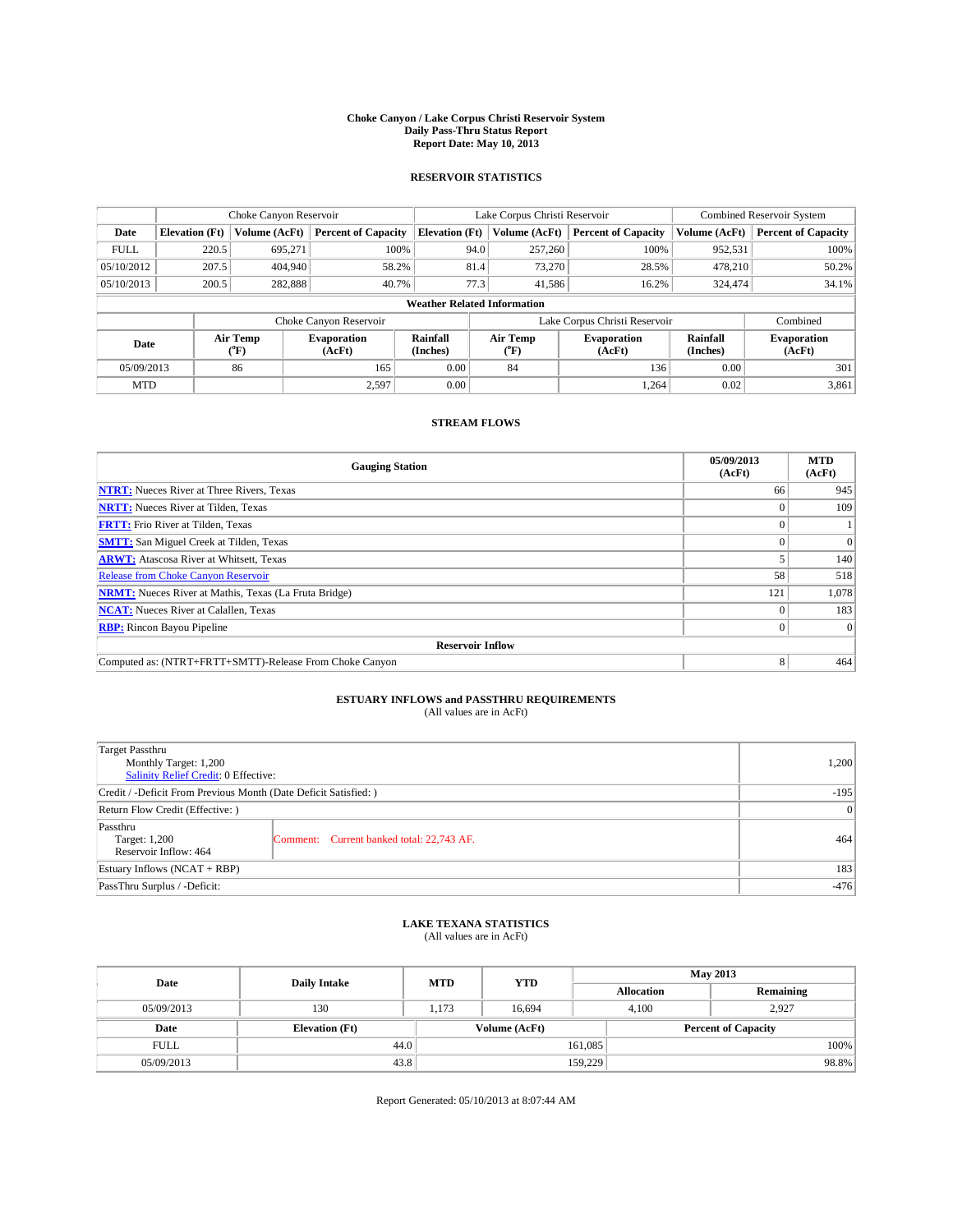#### **Choke Canyon / Lake Corpus Christi Reservoir System Daily Pass-Thru Status Report Report Date: May 10, 2013**

### **RESERVOIR STATISTICS**

|             |                       | Choke Canyon Reservoir |                              | Lake Corpus Christi Reservoir |                                    |                              |                               | <b>Combined Reservoir System</b> |                              |  |
|-------------|-----------------------|------------------------|------------------------------|-------------------------------|------------------------------------|------------------------------|-------------------------------|----------------------------------|------------------------------|--|
| Date        | <b>Elevation</b> (Ft) | Volume (AcFt)          | <b>Percent of Capacity</b>   | <b>Elevation (Ft)</b>         | Volume (AcFt)                      |                              | <b>Percent of Capacity</b>    | Volume (AcFt)                    | Percent of Capacity          |  |
| <b>FULL</b> | 220.5                 | 695,271                | 100%                         |                               | 94.0<br>257,260                    |                              | 100%                          | 952,531                          | 100%                         |  |
| 05/10/2012  | 207.5                 | 404,940                | 58.2%                        |                               | 81.4<br>73,270                     |                              | 28.5%                         | 478,210                          | $50.2\%$                     |  |
| 05/10/2013  | 200.5                 | 282,888                | 40.7%                        |                               | 77.3<br>41.586                     |                              | 16.2%                         | 324,474                          | $34.1\%$                     |  |
|             |                       |                        |                              |                               | <b>Weather Related Information</b> |                              |                               |                                  |                              |  |
|             |                       |                        | Choke Canyon Reservoir       |                               |                                    |                              | Lake Corpus Christi Reservoir |                                  | Combined                     |  |
| Date        |                       | Air Temp<br>(°F)       | <b>Evaporation</b><br>(AcFt) | Rainfall<br>(Inches)          | Air Temp<br>("F)                   | <b>Evaporation</b><br>(AcFt) |                               | Rainfall<br>(Inches)             | <b>Evaporation</b><br>(AcFt) |  |
| 05/09/2013  |                       | 86                     | 165                          | 0.00                          | 84                                 |                              | 136                           | 0.00                             | 301                          |  |
| <b>MTD</b>  |                       |                        | 2,597                        | 0.00                          |                                    |                              | 1.264                         | 0.02                             | 3,861                        |  |

### **STREAM FLOWS**

| <b>Gauging Station</b>                                       | 05/09/2013<br>(AcFt) | <b>MTD</b><br>(AcFt) |  |  |  |  |
|--------------------------------------------------------------|----------------------|----------------------|--|--|--|--|
| <b>NTRT:</b> Nueces River at Three Rivers, Texas             | 66                   | 945                  |  |  |  |  |
| <b>NRTT:</b> Nueces River at Tilden, Texas                   |                      | 109                  |  |  |  |  |
| <b>FRTT:</b> Frio River at Tilden, Texas                     |                      |                      |  |  |  |  |
| <b>SMTT:</b> San Miguel Creek at Tilden, Texas               |                      | $\Omega$             |  |  |  |  |
| <b>ARWT:</b> Atascosa River at Whitsett, Texas               |                      | 140                  |  |  |  |  |
| <b>Release from Choke Canyon Reservoir</b>                   | 58                   | 518                  |  |  |  |  |
| <b>NRMT:</b> Nueces River at Mathis, Texas (La Fruta Bridge) | 121                  | 1,078                |  |  |  |  |
| <b>NCAT:</b> Nueces River at Calallen, Texas                 |                      | 183                  |  |  |  |  |
| <b>RBP:</b> Rincon Bayou Pipeline                            | 0                    | $\Omega$             |  |  |  |  |
| <b>Reservoir Inflow</b>                                      |                      |                      |  |  |  |  |
| Computed as: (NTRT+FRTT+SMTT)-Release From Choke Canyon      | 8                    | 464                  |  |  |  |  |

# **ESTUARY INFLOWS and PASSTHRU REQUIREMENTS**<br>(All values are in AcFt)

| <b>Target Passthru</b><br>Monthly Target: 1,200<br>Salinity Relief Credit: 0 Effective: | 1,200                                     |     |  |  |
|-----------------------------------------------------------------------------------------|-------------------------------------------|-----|--|--|
| Credit / -Deficit From Previous Month (Date Deficit Satisfied: )                        |                                           |     |  |  |
| Return Flow Credit (Effective: )                                                        |                                           |     |  |  |
| Passthru<br>Target: 1,200<br>Reservoir Inflow: 464                                      | Comment: Current banked total: 22,743 AF. | 464 |  |  |
| Estuary Inflows $(NCAT + RBP)$                                                          | 183                                       |     |  |  |
| PassThru Surplus / -Deficit:                                                            | $-476$                                    |     |  |  |

## **LAKE TEXANA STATISTICS** (All values are in AcFt)

| Date        | <b>Daily Intake</b>   | <b>MTD</b> | <b>YTD</b>    | <b>May 2013</b>   |                            |           |  |
|-------------|-----------------------|------------|---------------|-------------------|----------------------------|-----------|--|
|             |                       |            |               | <b>Allocation</b> |                            | Remaining |  |
| 05/09/2013  | 130                   | 1.173      | 16.694        |                   | 2.927<br>4.100             |           |  |
| Date        | <b>Elevation</b> (Ft) |            | Volume (AcFt) |                   | <b>Percent of Capacity</b> |           |  |
| <b>FULL</b> | 44.0                  |            |               | 161,085           |                            | 100%      |  |
| 05/09/2013  | 43.8                  |            |               | 159,229           |                            | 98.8%     |  |

Report Generated: 05/10/2013 at 8:07:44 AM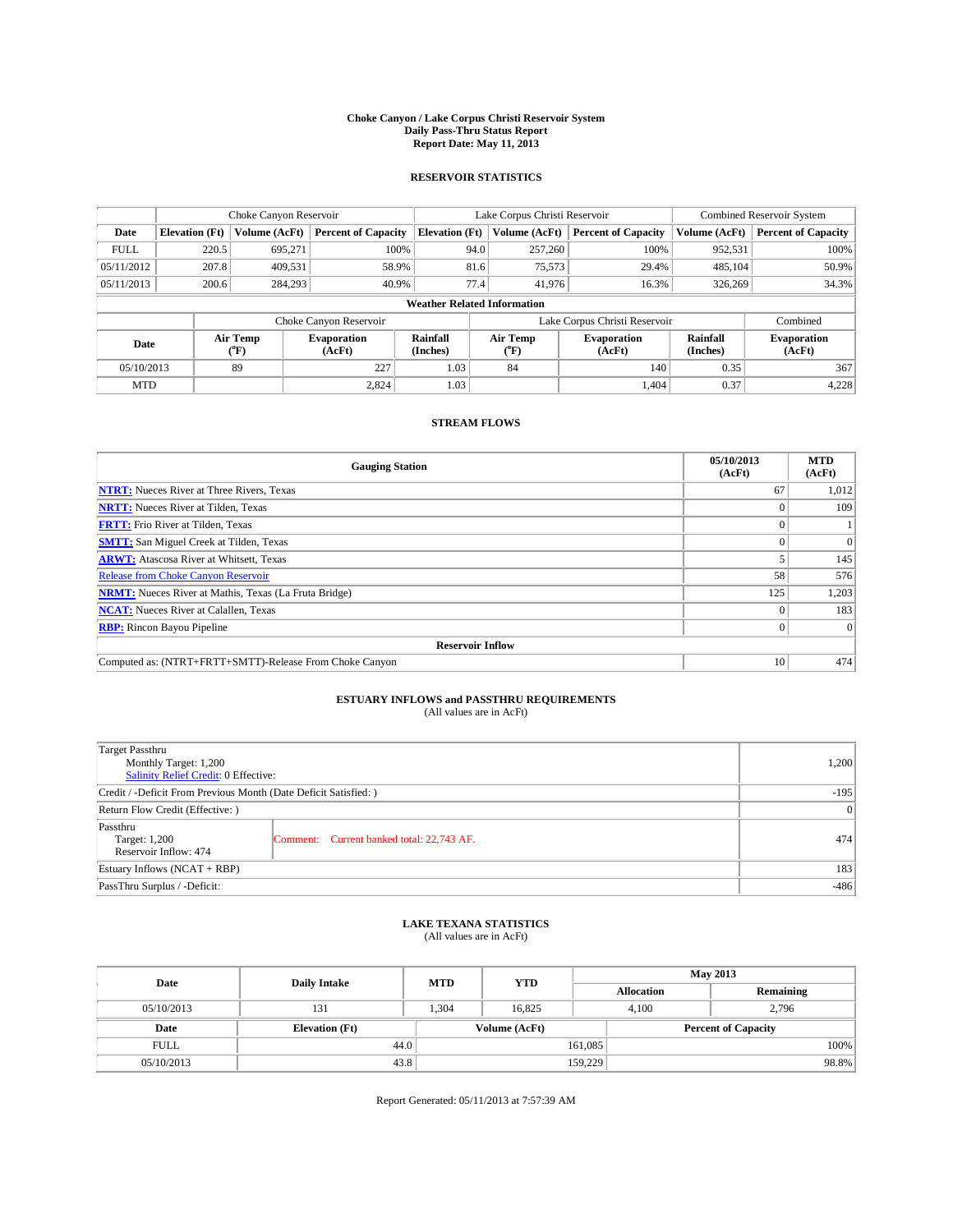#### **Choke Canyon / Lake Corpus Christi Reservoir System Daily Pass-Thru Status Report Report Date: May 11, 2013**

### **RESERVOIR STATISTICS**

|             |                       | Choke Canyon Reservoir |                              |                                    | Lake Corpus Christi Reservoir | <b>Combined Reservoir System</b> |                      |                              |
|-------------|-----------------------|------------------------|------------------------------|------------------------------------|-------------------------------|----------------------------------|----------------------|------------------------------|
| Date        | <b>Elevation</b> (Ft) | Volume (AcFt)          | <b>Percent of Capacity</b>   | <b>Elevation (Ft)</b>              | Volume (AcFt)                 | <b>Percent of Capacity</b>       | Volume (AcFt)        | Percent of Capacity          |
| <b>FULL</b> | 220.5                 | 695,271                | 100%                         | 94.0                               | 257,260                       | 100%                             | 952,531              | 100%                         |
| 05/11/2012  | 207.8                 | 409,531                | 58.9%                        | 81.6                               | 75,573                        | 29.4%                            | 485,104              | 50.9%                        |
| 05/11/2013  | 200.6                 | 284,293                | 40.9%                        | 77.4                               | 41,976                        | 16.3%                            | 326,269              | 34.3%                        |
|             |                       |                        |                              | <b>Weather Related Information</b> |                               |                                  |                      |                              |
|             |                       |                        | Choke Canyon Reservoir       |                                    |                               | Lake Corpus Christi Reservoir    |                      | Combined                     |
| Date        |                       | Air Temp<br>(°F)       | <b>Evaporation</b><br>(AcFt) | Rainfall<br>(Inches)               | Air Temp<br>("F)              | <b>Evaporation</b><br>(AcFt)     | Rainfall<br>(Inches) | <b>Evaporation</b><br>(AcFt) |
| 05/10/2013  |                       | 89                     | 227                          | 1.03                               | 84                            | 140                              | 0.35                 | 367                          |
| <b>MTD</b>  |                       |                        | 2,824                        | 1.03                               |                               | 1.404                            | 0.37                 | 4,228                        |

### **STREAM FLOWS**

| <b>Gauging Station</b>                                       | 05/10/2013<br>(AcFt) | <b>MTD</b><br>(AcFt) |  |  |  |  |
|--------------------------------------------------------------|----------------------|----------------------|--|--|--|--|
| <b>NTRT:</b> Nueces River at Three Rivers, Texas             | 67                   | 1,012                |  |  |  |  |
| <b>NRTT:</b> Nueces River at Tilden, Texas                   |                      | 109                  |  |  |  |  |
| <b>FRTT:</b> Frio River at Tilden, Texas                     |                      |                      |  |  |  |  |
| <b>SMTT:</b> San Miguel Creek at Tilden, Texas               |                      | $\Omega$             |  |  |  |  |
| <b>ARWT:</b> Atascosa River at Whitsett, Texas               |                      | 145                  |  |  |  |  |
| <b>Release from Choke Canyon Reservoir</b>                   | 58                   | 576                  |  |  |  |  |
| <b>NRMT:</b> Nueces River at Mathis, Texas (La Fruta Bridge) | 125                  | 1,203                |  |  |  |  |
| <b>NCAT:</b> Nueces River at Calallen, Texas                 |                      |                      |  |  |  |  |
| <b>RBP:</b> Rincon Bayou Pipeline                            | $\Omega$             | $\Omega$             |  |  |  |  |
| <b>Reservoir Inflow</b>                                      |                      |                      |  |  |  |  |
| Computed as: (NTRT+FRTT+SMTT)-Release From Choke Canyon      | 10                   | 474                  |  |  |  |  |

# **ESTUARY INFLOWS and PASSTHRU REQUIREMENTS**<br>(All values are in AcFt)

| <b>Target Passthru</b><br>Monthly Target: 1,200<br>Salinity Relief Credit: 0 Effective: | 1,200                                     |     |  |  |
|-----------------------------------------------------------------------------------------|-------------------------------------------|-----|--|--|
| Credit / -Deficit From Previous Month (Date Deficit Satisfied: )                        |                                           |     |  |  |
| Return Flow Credit (Effective: )                                                        |                                           |     |  |  |
| Passthru<br>Target: 1,200<br>Reservoir Inflow: 474                                      | Comment: Current banked total: 22,743 AF. | 474 |  |  |
| Estuary Inflows $(NCAT + RBP)$                                                          |                                           |     |  |  |
| PassThru Surplus / -Deficit:                                                            | $-486$                                    |     |  |  |

## **LAKE TEXANA STATISTICS** (All values are in AcFt)

| Date        | <b>Daily Intake</b>   | <b>MTD</b> | <b>YTD</b> | <b>May 2013</b>   |                |                            |  |
|-------------|-----------------------|------------|------------|-------------------|----------------|----------------------------|--|
|             |                       |            |            | <b>Allocation</b> |                | Remaining                  |  |
| 05/10/2013  | 131                   | 1.304      | 16.825     |                   | 2,796<br>4.100 |                            |  |
| Date        | <b>Elevation</b> (Ft) |            |            | Volume (AcFt)     |                | <b>Percent of Capacity</b> |  |
| <b>FULL</b> | 44.0                  |            |            | 161,085           |                | 100%                       |  |
| 05/10/2013  | 43.8                  |            |            | 159,229           |                | 98.8%                      |  |

Report Generated: 05/11/2013 at 7:57:39 AM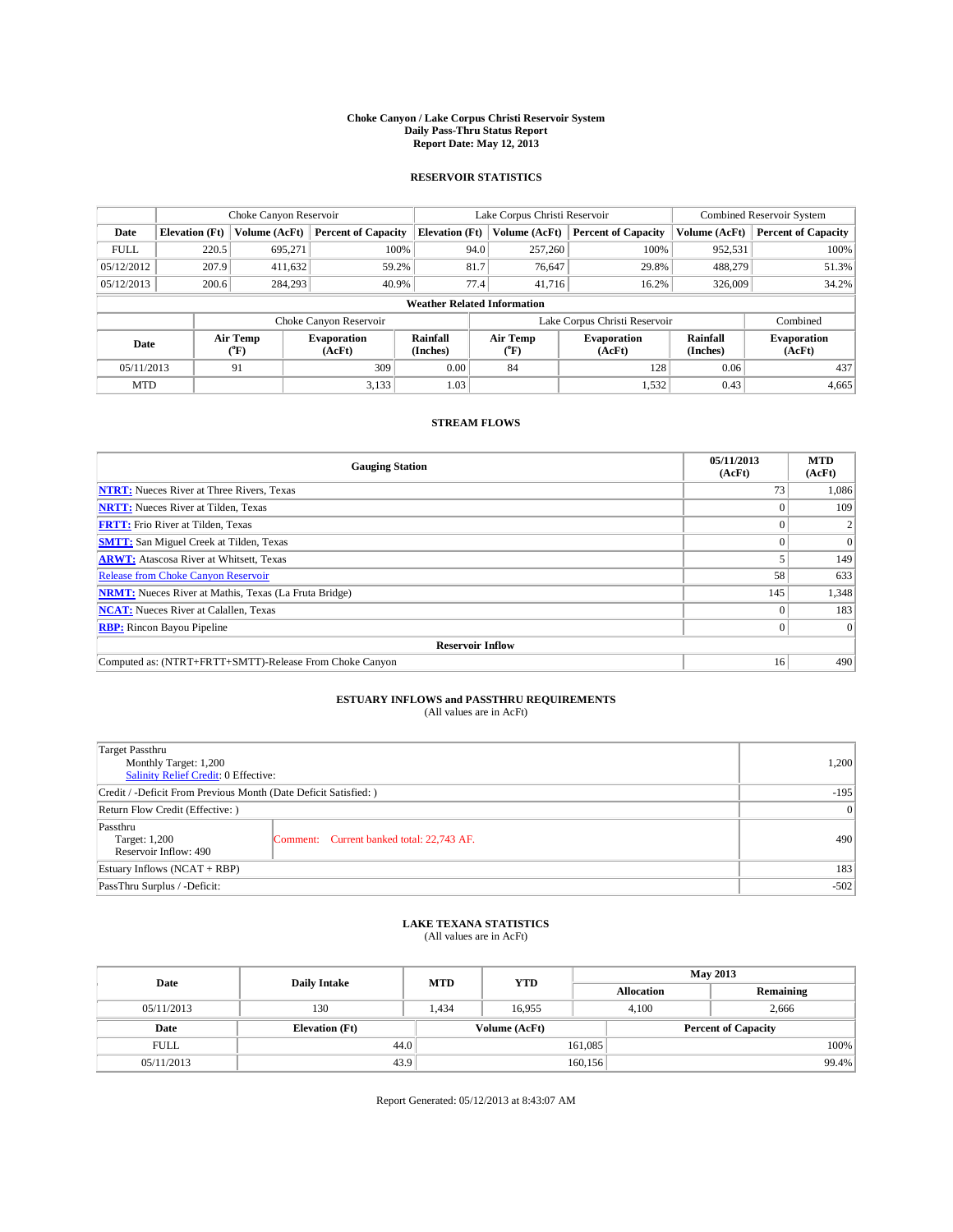#### **Choke Canyon / Lake Corpus Christi Reservoir System Daily Pass-Thru Status Report Report Date: May 12, 2013**

### **RESERVOIR STATISTICS**

|             |                       | Choke Canyon Reservoir |                              |                                    | Lake Corpus Christi Reservoir | <b>Combined Reservoir System</b> |                      |                              |
|-------------|-----------------------|------------------------|------------------------------|------------------------------------|-------------------------------|----------------------------------|----------------------|------------------------------|
| Date        | <b>Elevation</b> (Ft) | Volume (AcFt)          | <b>Percent of Capacity</b>   | <b>Elevation (Ft)</b>              | Volume (AcFt)                 | <b>Percent of Capacity</b>       | Volume (AcFt)        | Percent of Capacity          |
| <b>FULL</b> | 220.5                 | 695,271                | 100%                         | 94.0                               | 257,260                       | 100%                             | 952,531              | 100%                         |
| 05/12/2012  | 207.9                 | 411,632                | 59.2%                        | 81.7                               | 76,647                        | 29.8%                            | 488,279              | 51.3%                        |
| 05/12/2013  | 200.6                 | 284,293                | 40.9%                        | 77.4                               | 41,716                        | 16.2%                            | 326,009              | $34.2\%$                     |
|             |                       |                        |                              | <b>Weather Related Information</b> |                               |                                  |                      |                              |
|             |                       |                        | Choke Canyon Reservoir       |                                    |                               | Lake Corpus Christi Reservoir    |                      | Combined                     |
| Date        |                       | Air Temp<br>(°F)       | <b>Evaporation</b><br>(AcFt) | Rainfall<br>(Inches)               | Air Temp<br>("F)              | <b>Evaporation</b><br>(AcFt)     | Rainfall<br>(Inches) | <b>Evaporation</b><br>(AcFt) |
| 05/11/2013  |                       | 91                     | 309                          | 0.00                               | 84                            | 128                              | 0.06                 | 437                          |
| <b>MTD</b>  |                       |                        | 3,133                        | 1.03                               |                               | 1,532                            | 0.43                 | 4,665                        |

### **STREAM FLOWS**

| <b>Gauging Station</b>                                       | 05/11/2013<br>(AcFt) | <b>MTD</b><br>(AcFt) |  |  |  |  |
|--------------------------------------------------------------|----------------------|----------------------|--|--|--|--|
| <b>NTRT:</b> Nueces River at Three Rivers, Texas             | 73                   | 1,086                |  |  |  |  |
| <b>NRTT:</b> Nueces River at Tilden, Texas                   |                      | 109                  |  |  |  |  |
| <b>FRTT:</b> Frio River at Tilden, Texas                     |                      |                      |  |  |  |  |
| <b>SMTT:</b> San Miguel Creek at Tilden, Texas               |                      | $\Omega$             |  |  |  |  |
| <b>ARWT:</b> Atascosa River at Whitsett, Texas               |                      | 149                  |  |  |  |  |
| <b>Release from Choke Canyon Reservoir</b>                   | 58                   | 633                  |  |  |  |  |
| <b>NRMT:</b> Nueces River at Mathis, Texas (La Fruta Bridge) | 145                  | 1,348                |  |  |  |  |
| <b>NCAT:</b> Nueces River at Calallen, Texas                 |                      |                      |  |  |  |  |
| <b>RBP:</b> Rincon Bayou Pipeline                            | $\Omega$             | $\Omega$             |  |  |  |  |
| <b>Reservoir Inflow</b>                                      |                      |                      |  |  |  |  |
| Computed as: (NTRT+FRTT+SMTT)-Release From Choke Canyon      | 16                   | 490                  |  |  |  |  |

# **ESTUARY INFLOWS and PASSTHRU REQUIREMENTS**<br>(All values are in AcFt)

| <b>Target Passthru</b><br>Monthly Target: 1,200<br>Salinity Relief Credit: 0 Effective: |                                           |     |  |  |
|-----------------------------------------------------------------------------------------|-------------------------------------------|-----|--|--|
| Credit / -Deficit From Previous Month (Date Deficit Satisfied: )                        |                                           |     |  |  |
| Return Flow Credit (Effective: )                                                        |                                           |     |  |  |
| Passthru<br>Target: 1,200<br>Reservoir Inflow: 490                                      | Comment: Current banked total: 22,743 AF. | 490 |  |  |
| Estuary Inflows $(NCAT + RBP)$                                                          |                                           |     |  |  |
| PassThru Surplus / -Deficit:                                                            | $-502$                                    |     |  |  |

## **LAKE TEXANA STATISTICS** (All values are in AcFt)

| Date        | <b>Daily Intake</b>   | <b>MTD</b> | <b>YTD</b>    | <b>May 2013</b>   |                            |           |  |
|-------------|-----------------------|------------|---------------|-------------------|----------------------------|-----------|--|
|             |                       |            |               | <b>Allocation</b> |                            | Remaining |  |
| 05/11/2013  | 130                   | 1.434      | 16.955        |                   | 4.100<br>2,666             |           |  |
| Date        | <b>Elevation</b> (Ft) |            | Volume (AcFt) |                   | <b>Percent of Capacity</b> |           |  |
| <b>FULL</b> | 44.0                  |            |               | 161,085           |                            | 100%      |  |
| 05/11/2013  | 43.9                  |            |               | 160, 156          |                            | 99.4%     |  |

Report Generated: 05/12/2013 at 8:43:07 AM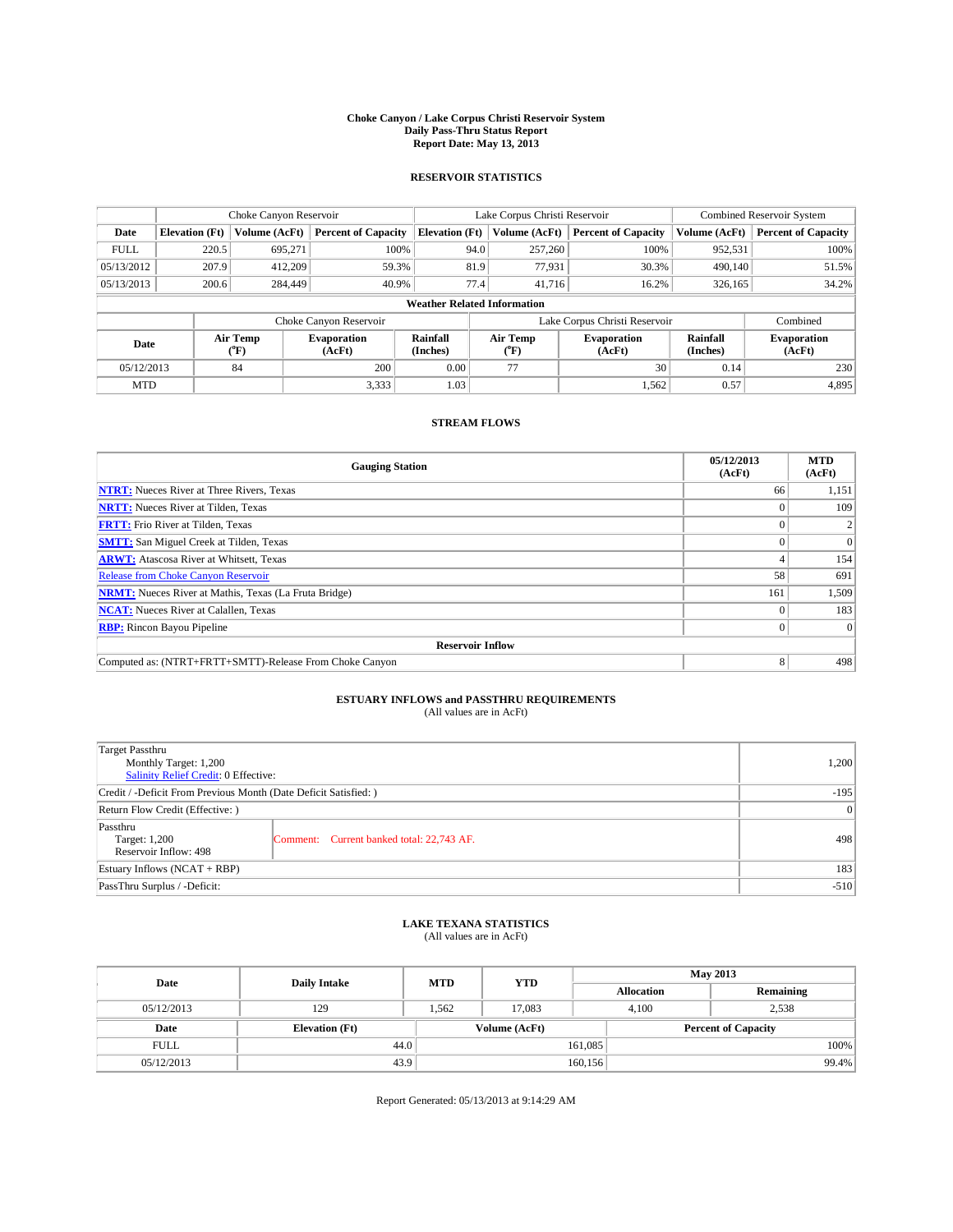#### **Choke Canyon / Lake Corpus Christi Reservoir System Daily Pass-Thru Status Report Report Date: May 13, 2013**

### **RESERVOIR STATISTICS**

|             | Choke Canyon Reservoir             |                  |                              |                       | Lake Corpus Christi Reservoir | <b>Combined Reservoir System</b> |               |                              |  |
|-------------|------------------------------------|------------------|------------------------------|-----------------------|-------------------------------|----------------------------------|---------------|------------------------------|--|
| Date        | <b>Elevation</b> (Ft)              | Volume (AcFt)    | <b>Percent of Capacity</b>   | <b>Elevation (Ft)</b> | Volume (AcFt)                 | <b>Percent of Capacity</b>       | Volume (AcFt) | Percent of Capacity          |  |
| <b>FULL</b> | 220.5                              | 695,271          | 100%                         | 94.0                  | 257,260                       | 100%                             | 952,531       | 100%                         |  |
| 05/13/2012  | 207.9                              | 412,209          | 59.3%                        | 81.9                  | 77,931                        | 30.3%                            | 490,140       | 51.5%                        |  |
| 05/13/2013  | 200.6                              | 284,449          | 40.9%                        | 77.4                  | 41,716                        | 16.2%                            | 326,165       | $34.2\%$                     |  |
|             | <b>Weather Related Information</b> |                  |                              |                       |                               |                                  |               |                              |  |
|             |                                    |                  | Choke Canyon Reservoir       |                       |                               | Lake Corpus Christi Reservoir    |               | Combined                     |  |
| Date        |                                    | Air Temp<br>(°F) | <b>Evaporation</b><br>(AcFt) | Rainfall<br>(Inches)  | Air Temp<br>("F)              | <b>Evaporation</b><br>(AcFt)     |               | <b>Evaporation</b><br>(AcFt) |  |
| 05/12/2013  |                                    | 84               | 200                          | 0.00                  | 77                            | 30                               | 0.14          | 230                          |  |
| <b>MTD</b>  |                                    |                  | 3,333                        | 1.03                  |                               | 1,562                            | 0.57          | 4,895                        |  |

### **STREAM FLOWS**

| <b>Gauging Station</b>                                       | 05/12/2013<br>(AcFt) | <b>MTD</b><br>(AcFt) |  |  |  |  |
|--------------------------------------------------------------|----------------------|----------------------|--|--|--|--|
| <b>NTRT:</b> Nueces River at Three Rivers, Texas             | 66                   | 1,151                |  |  |  |  |
| <b>NRTT:</b> Nueces River at Tilden, Texas                   |                      | 109                  |  |  |  |  |
| <b>FRTT:</b> Frio River at Tilden, Texas                     |                      |                      |  |  |  |  |
| <b>SMTT:</b> San Miguel Creek at Tilden, Texas               |                      | $\Omega$             |  |  |  |  |
| <b>ARWT:</b> Atascosa River at Whitsett, Texas               |                      | 154                  |  |  |  |  |
| <b>Release from Choke Canyon Reservoir</b>                   | 58                   | 691                  |  |  |  |  |
| <b>NRMT:</b> Nueces River at Mathis, Texas (La Fruta Bridge) | 161                  | 1,509                |  |  |  |  |
| <b>NCAT:</b> Nueces River at Calallen, Texas                 |                      | 183                  |  |  |  |  |
| <b>RBP:</b> Rincon Bayou Pipeline                            | $\Omega$             | $\Omega$             |  |  |  |  |
| <b>Reservoir Inflow</b>                                      |                      |                      |  |  |  |  |
| Computed as: (NTRT+FRTT+SMTT)-Release From Choke Canyon      | 8                    | 498                  |  |  |  |  |

# **ESTUARY INFLOWS and PASSTHRU REQUIREMENTS**<br>(All values are in AcFt)

| <b>Target Passthru</b><br>Monthly Target: 1,200<br>Salinity Relief Credit: 0 Effective: | 1,200                                     |     |  |  |
|-----------------------------------------------------------------------------------------|-------------------------------------------|-----|--|--|
| Credit / -Deficit From Previous Month (Date Deficit Satisfied: )                        |                                           |     |  |  |
| Return Flow Credit (Effective: )                                                        |                                           |     |  |  |
| Passthru<br>Target: 1,200<br>Reservoir Inflow: 498                                      | Comment: Current banked total: 22,743 AF. | 498 |  |  |
| Estuary Inflows $(NCAT + RBP)$                                                          |                                           |     |  |  |
| PassThru Surplus / -Deficit:                                                            | $-510$                                    |     |  |  |

## **LAKE TEXANA STATISTICS** (All values are in AcFt)

| Date        | <b>Daily Intake</b>   | <b>MTD</b> | <b>YTD</b>    | <b>May 2013</b> |                            |           |  |
|-------------|-----------------------|------------|---------------|-----------------|----------------------------|-----------|--|
|             |                       |            |               |                 | <b>Allocation</b>          | Remaining |  |
| 05/12/2013  | 129                   | 1.562      | 17.083        |                 | 2,538<br>4.100             |           |  |
| Date        | <b>Elevation</b> (Ft) |            | Volume (AcFt) |                 | <b>Percent of Capacity</b> |           |  |
| <b>FULL</b> | 44.0                  |            |               | 161,085         |                            | 100%      |  |
| 05/12/2013  | 43.9                  |            |               | 160, 156        |                            | 99.4%     |  |

Report Generated: 05/13/2013 at 9:14:29 AM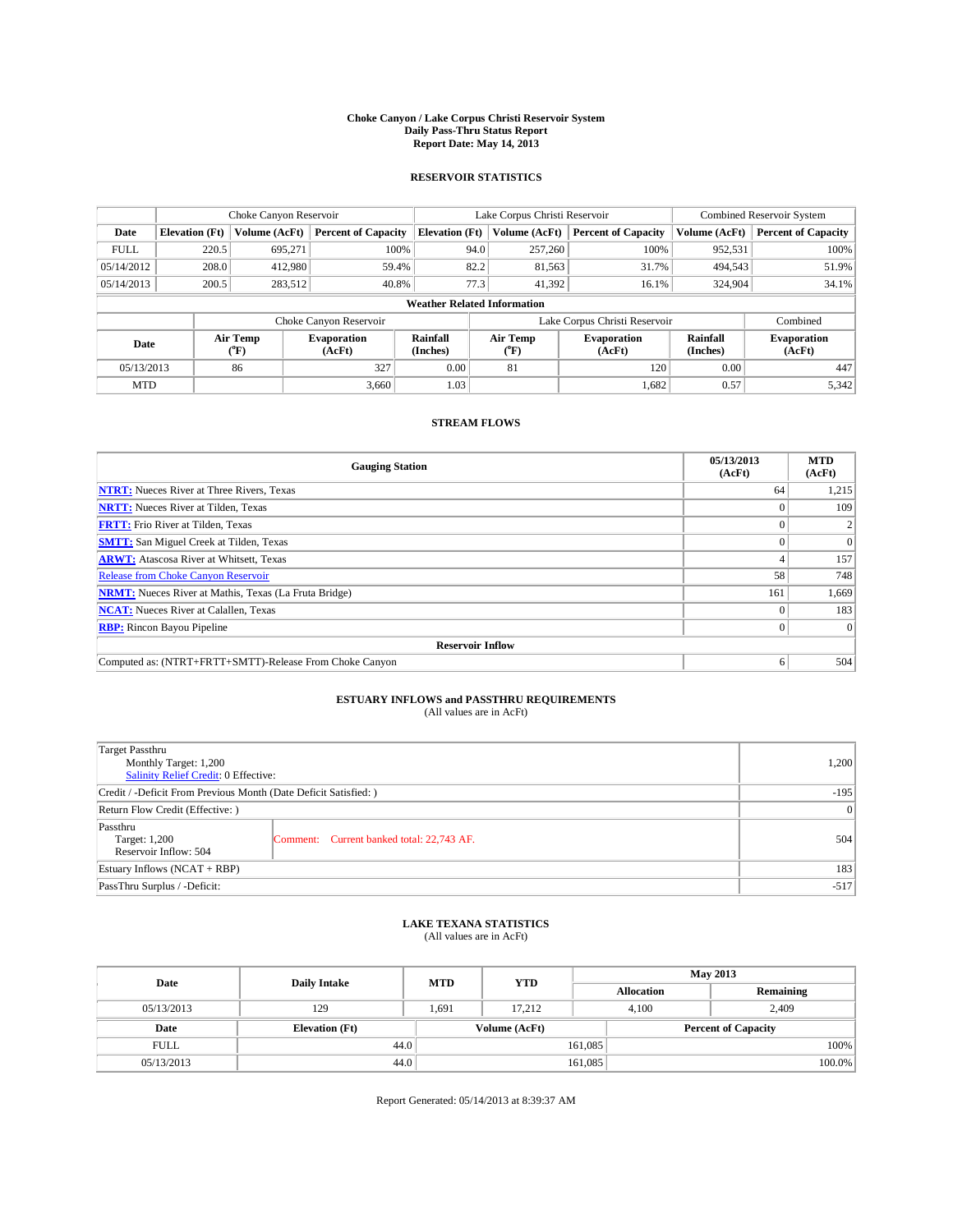#### **Choke Canyon / Lake Corpus Christi Reservoir System Daily Pass-Thru Status Report Report Date: May 14, 2013**

### **RESERVOIR STATISTICS**

|             |                                    | Choke Canyon Reservoir |                              |                       | Lake Corpus Christi Reservoir | <b>Combined Reservoir System</b> |                      |                              |  |
|-------------|------------------------------------|------------------------|------------------------------|-----------------------|-------------------------------|----------------------------------|----------------------|------------------------------|--|
| Date        | <b>Elevation</b> (Ft)              | Volume (AcFt)          | <b>Percent of Capacity</b>   | <b>Elevation (Ft)</b> | Volume (AcFt)                 | <b>Percent of Capacity</b>       | Volume (AcFt)        | <b>Percent of Capacity</b>   |  |
| <b>FULL</b> | 220.5                              | 695,271                | 100%                         | 94.0                  | 257,260                       | 100%                             | 952,531              | 100%                         |  |
| 05/14/2012  | 208.0                              | 412,980                | 59.4%                        | 82.2                  | 81,563                        | 31.7%                            | 494,543              | 51.9%                        |  |
| 05/14/2013  | 200.5                              | 283,512                | 40.8%                        | 77.3                  | 41.392                        | 16.1%                            | 324,904              | 34.1%                        |  |
|             | <b>Weather Related Information</b> |                        |                              |                       |                               |                                  |                      |                              |  |
|             |                                    |                        | Choke Canyon Reservoir       |                       |                               | Lake Corpus Christi Reservoir    |                      | Combined                     |  |
| Date        |                                    | Air Temp<br>(°F)       | <b>Evaporation</b><br>(AcFt) | Rainfall<br>(Inches)  | Air Temp<br>(°F)              | <b>Evaporation</b><br>(AcFt)     | Rainfall<br>(Inches) | <b>Evaporation</b><br>(AcFt) |  |
| 05/13/2013  |                                    | 86                     | 327                          | 0.00                  | 81                            | 120                              | 0.00                 | 447                          |  |
| <b>MTD</b>  |                                    |                        | 3.660                        | 1.03                  |                               | 1,682                            | 0.57                 | 5,342                        |  |

### **STREAM FLOWS**

| <b>Gauging Station</b>                                       | 05/13/2013<br>(AcFt) | <b>MTD</b><br>(AcFt) |  |  |  |  |
|--------------------------------------------------------------|----------------------|----------------------|--|--|--|--|
| <b>NTRT:</b> Nueces River at Three Rivers, Texas             | 64                   | 1,215                |  |  |  |  |
| <b>NRTT:</b> Nueces River at Tilden, Texas                   |                      | 109                  |  |  |  |  |
| <b>FRTT:</b> Frio River at Tilden, Texas                     |                      |                      |  |  |  |  |
| <b>SMTT:</b> San Miguel Creek at Tilden, Texas               |                      | $\Omega$             |  |  |  |  |
| <b>ARWT:</b> Atascosa River at Whitsett, Texas               |                      | 157                  |  |  |  |  |
| <b>Release from Choke Canyon Reservoir</b>                   | 58                   | 748                  |  |  |  |  |
| <b>NRMT:</b> Nueces River at Mathis, Texas (La Fruta Bridge) | 161                  | 1,669                |  |  |  |  |
| <b>NCAT:</b> Nueces River at Calallen, Texas                 |                      | 183                  |  |  |  |  |
| <b>RBP:</b> Rincon Bayou Pipeline                            |                      | $\Omega$             |  |  |  |  |
| <b>Reservoir Inflow</b>                                      |                      |                      |  |  |  |  |
| Computed as: (NTRT+FRTT+SMTT)-Release From Choke Canyon      | h                    | 504                  |  |  |  |  |

# **ESTUARY INFLOWS and PASSTHRU REQUIREMENTS**<br>(All values are in AcFt)

| <b>Target Passthru</b><br>Monthly Target: 1,200<br>Salinity Relief Credit: 0 Effective: | 1,200                                     |     |  |  |
|-----------------------------------------------------------------------------------------|-------------------------------------------|-----|--|--|
| Credit / -Deficit From Previous Month (Date Deficit Satisfied: )                        |                                           |     |  |  |
| Return Flow Credit (Effective: )                                                        |                                           |     |  |  |
| Passthru<br>Target: 1,200<br>Reservoir Inflow: 504                                      | Comment: Current banked total: 22,743 AF. | 504 |  |  |
| Estuary Inflows $(NCAT + RBP)$                                                          |                                           |     |  |  |
| PassThru Surplus / -Deficit:                                                            | $-517$                                    |     |  |  |

## **LAKE TEXANA STATISTICS** (All values are in AcFt)

| Date        | <b>Daily Intake</b>   | <b>MTD</b> | <b>YTD</b>    | <b>May 2013</b>   |                            |           |  |
|-------------|-----------------------|------------|---------------|-------------------|----------------------------|-----------|--|
|             |                       |            |               | <b>Allocation</b> |                            | Remaining |  |
| 05/13/2013  | 129                   | 1,691      | 17.212        | 4,100             | 2,409                      |           |  |
| Date        | <b>Elevation</b> (Ft) |            | Volume (AcFt) |                   | <b>Percent of Capacity</b> |           |  |
| <b>FULL</b> | 44.0                  |            |               | 161,085           |                            | 100%      |  |
| 05/13/2013  | 44.0                  |            |               | 161,085           |                            | 100.0%    |  |

Report Generated: 05/14/2013 at 8:39:37 AM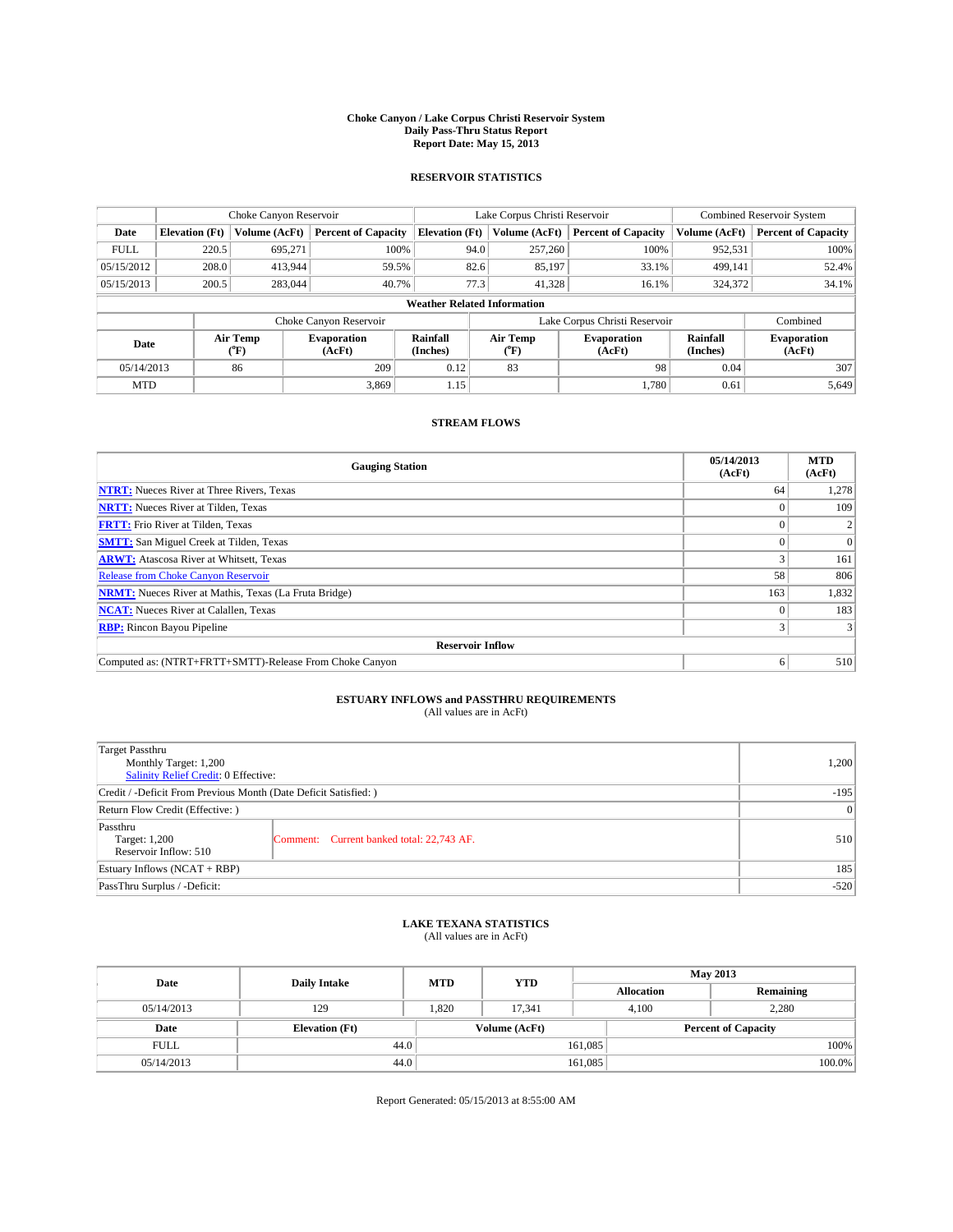#### **Choke Canyon / Lake Corpus Christi Reservoir System Daily Pass-Thru Status Report Report Date: May 15, 2013**

### **RESERVOIR STATISTICS**

|             |                                    | Choke Canyon Reservoir |                              |                       | Lake Corpus Christi Reservoir | <b>Combined Reservoir System</b> |                      |                              |  |
|-------------|------------------------------------|------------------------|------------------------------|-----------------------|-------------------------------|----------------------------------|----------------------|------------------------------|--|
| Date        | <b>Elevation</b> (Ft)              | Volume (AcFt)          | <b>Percent of Capacity</b>   | <b>Elevation (Ft)</b> | Volume (AcFt)                 | <b>Percent of Capacity</b>       | Volume (AcFt)        | <b>Percent of Capacity</b>   |  |
| <b>FULL</b> | 220.5                              | 695,271                | 100%                         | 94.0                  | 257,260                       | 100%                             | 952,531              | 100%                         |  |
| 05/15/2012  | 208.0                              | 413,944                | 59.5%                        | 82.6                  | 85,197                        | 33.1%                            | 499,141              | 52.4%                        |  |
| 05/15/2013  | 200.5                              | 283,044                | 40.7%                        | 77.3                  | 41.328                        | 16.1%                            | 324,372              | 34.1%                        |  |
|             | <b>Weather Related Information</b> |                        |                              |                       |                               |                                  |                      |                              |  |
|             |                                    |                        | Choke Canyon Reservoir       |                       |                               | Lake Corpus Christi Reservoir    |                      | Combined                     |  |
| Date        |                                    | Air Temp<br>(°F)       | <b>Evaporation</b><br>(AcFt) | Rainfall<br>(Inches)  | Air Temp<br>(°F)              | <b>Evaporation</b><br>(AcFt)     | Rainfall<br>(Inches) | <b>Evaporation</b><br>(AcFt) |  |
| 05/14/2013  |                                    | 86                     | 209                          | 0.12                  | 83                            | 98                               | 0.04                 | 307                          |  |
| <b>MTD</b>  |                                    |                        | 3.869                        | 1.15                  |                               | 1.780                            | 0.61                 | 5,649                        |  |

### **STREAM FLOWS**

| <b>Gauging Station</b>                                       | 05/14/2013<br>(AcFt) | <b>MTD</b><br>(AcFt) |  |  |  |  |
|--------------------------------------------------------------|----------------------|----------------------|--|--|--|--|
| <b>NTRT:</b> Nueces River at Three Rivers, Texas             | 64                   | 1,278                |  |  |  |  |
| <b>NRTT:</b> Nueces River at Tilden, Texas                   |                      | 109                  |  |  |  |  |
| <b>FRTT:</b> Frio River at Tilden, Texas                     |                      |                      |  |  |  |  |
| <b>SMTT:</b> San Miguel Creek at Tilden, Texas               |                      | $\Omega$             |  |  |  |  |
| <b>ARWT:</b> Atascosa River at Whitsett, Texas               |                      | 161                  |  |  |  |  |
| <b>Release from Choke Canyon Reservoir</b>                   | 58                   | 806                  |  |  |  |  |
| <b>NRMT:</b> Nueces River at Mathis, Texas (La Fruta Bridge) | 163                  | 1,832                |  |  |  |  |
| <b>NCAT:</b> Nueces River at Calallen, Texas                 |                      | 183                  |  |  |  |  |
| <b>RBP:</b> Rincon Bayou Pipeline                            | 3                    |                      |  |  |  |  |
| <b>Reservoir Inflow</b>                                      |                      |                      |  |  |  |  |
| Computed as: (NTRT+FRTT+SMTT)-Release From Choke Canyon      | o                    | 510                  |  |  |  |  |

# **ESTUARY INFLOWS and PASSTHRU REQUIREMENTS**<br>(All values are in AcFt)

| <b>Target Passthru</b><br>Monthly Target: 1,200<br>Salinity Relief Credit: 0 Effective: | 1,200                                     |     |
|-----------------------------------------------------------------------------------------|-------------------------------------------|-----|
| Credit / -Deficit From Previous Month (Date Deficit Satisfied: )                        | $-195$                                    |     |
| Return Flow Credit (Effective: )                                                        | 0                                         |     |
| Passthru<br>Target: 1,200<br>Reservoir Inflow: 510                                      | Comment: Current banked total: 22,743 AF. | 510 |
| Estuary Inflows $(NCAT + RBP)$                                                          | 185                                       |     |
| PassThru Surplus / -Deficit:                                                            | $-520$                                    |     |

## **LAKE TEXANA STATISTICS** (All values are in AcFt)

| Date        | <b>Daily Intake</b>   | <b>MTD</b> | <b>YTD</b>    | <b>May 2013</b>   |                            |           |  |
|-------------|-----------------------|------------|---------------|-------------------|----------------------------|-----------|--|
|             |                       |            |               | <b>Allocation</b> |                            | Remaining |  |
| 05/14/2013  | 129                   | 1,820      | 17.341        | 4,100             | 2,280                      |           |  |
| Date        | <b>Elevation</b> (Ft) |            | Volume (AcFt) |                   | <b>Percent of Capacity</b> |           |  |
| <b>FULL</b> | 44.0                  |            |               | 161,085           |                            | 100%      |  |
| 05/14/2013  | 44.0                  |            |               | 161,085           |                            | 100.0%    |  |

Report Generated: 05/15/2013 at 8:55:00 AM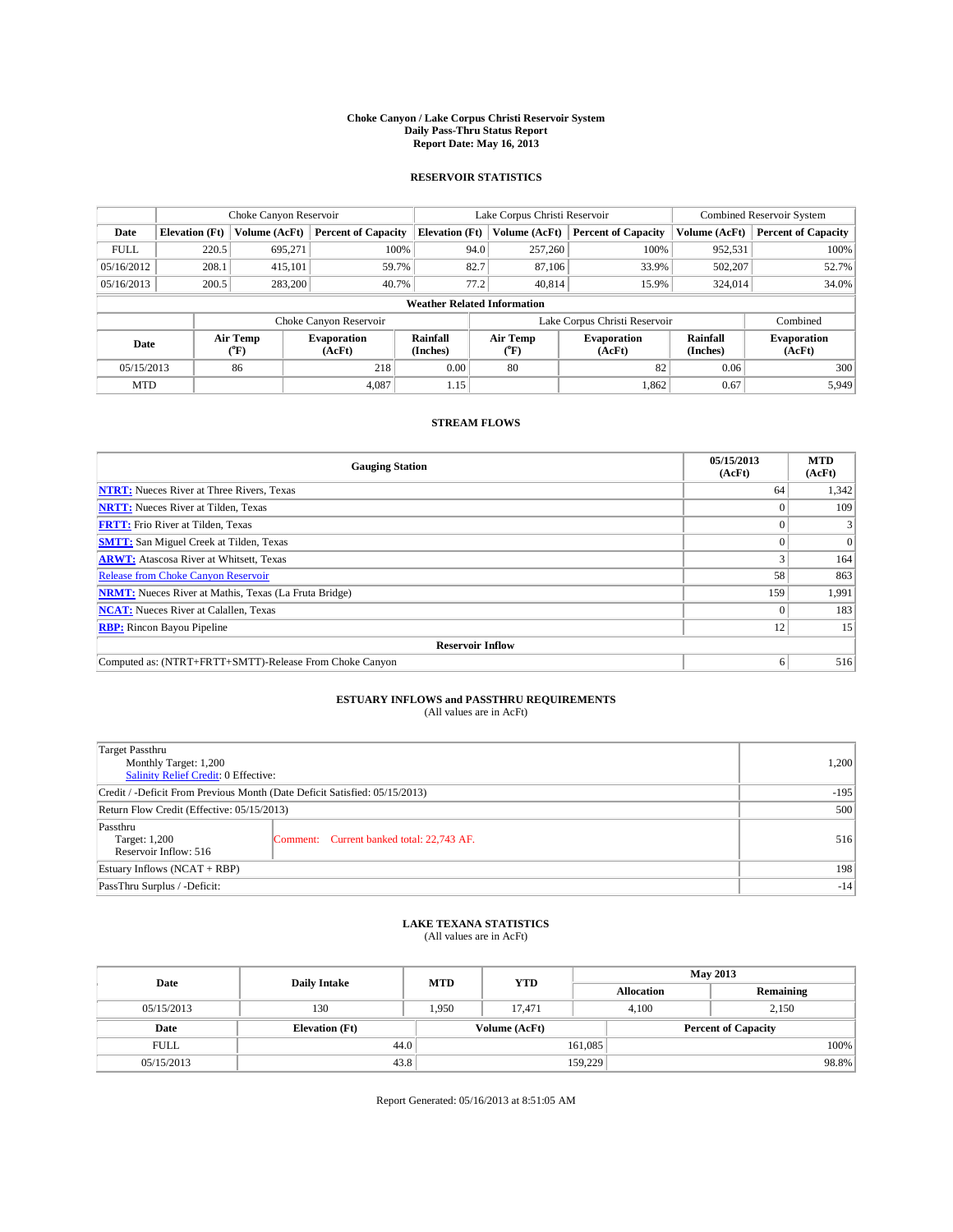#### **Choke Canyon / Lake Corpus Christi Reservoir System Daily Pass-Thru Status Report Report Date: May 16, 2013**

### **RESERVOIR STATISTICS**

|             | Choke Canyon Reservoir             |                  | Lake Corpus Christi Reservoir |                       |                  |         | <b>Combined Reservoir System</b> |                      |                              |  |
|-------------|------------------------------------|------------------|-------------------------------|-----------------------|------------------|---------|----------------------------------|----------------------|------------------------------|--|
| Date        | <b>Elevation</b> (Ft)              | Volume (AcFt)    | <b>Percent of Capacity</b>    | <b>Elevation</b> (Ft) | Volume (AcFt)    |         | <b>Percent of Capacity</b>       | Volume (AcFt)        | <b>Percent of Capacity</b>   |  |
| <b>FULL</b> | 220.5                              | 695,271          | 100%                          |                       | 94.0             | 257,260 | 100%                             | 952,531              | 100%                         |  |
| 05/16/2012  | 208.1                              | 415,101          | 59.7%                         |                       | 82.7             | 87,106  | 33.9%                            | 502,207              | 52.7%                        |  |
| 05/16/2013  | 200.5                              | 283,200          | 40.7%                         |                       | 77.2             | 40.814  | 15.9%                            | 324,014              | 34.0%                        |  |
|             | <b>Weather Related Information</b> |                  |                               |                       |                  |         |                                  |                      |                              |  |
|             |                                    |                  | Choke Canyon Reservoir        |                       |                  |         | Lake Corpus Christi Reservoir    |                      | Combined                     |  |
| Date        |                                    | Air Temp<br>(°F) | <b>Evaporation</b><br>(AcFt)  | Rainfall<br>(Inches)  | Air Temp<br>(°F) |         | <b>Evaporation</b><br>(AcFt)     | Rainfall<br>(Inches) | <b>Evaporation</b><br>(AcFt) |  |
| 05/15/2013  |                                    | 86               | 218                           | 0.00                  | 80               |         | 82                               | 0.06                 | 300                          |  |
| <b>MTD</b>  |                                    |                  | 4.087                         | 1.15                  |                  |         | 1,862                            | 0.67                 | 5,949                        |  |

### **STREAM FLOWS**

| <b>Gauging Station</b>                                       | 05/15/2013<br>(AcFt) | <b>MTD</b><br>(AcFt) |  |  |  |  |
|--------------------------------------------------------------|----------------------|----------------------|--|--|--|--|
| <b>NTRT:</b> Nueces River at Three Rivers, Texas             | 64                   | 1,342                |  |  |  |  |
| <b>NRTT:</b> Nueces River at Tilden, Texas                   |                      | 109                  |  |  |  |  |
| <b>FRTT:</b> Frio River at Tilden, Texas                     |                      |                      |  |  |  |  |
| <b>SMTT:</b> San Miguel Creek at Tilden, Texas               |                      | $\Omega$             |  |  |  |  |
| <b>ARWT:</b> Atascosa River at Whitsett, Texas               |                      | 164                  |  |  |  |  |
| <b>Release from Choke Canyon Reservoir</b>                   | 58                   | 863                  |  |  |  |  |
| <b>NRMT:</b> Nueces River at Mathis, Texas (La Fruta Bridge) | 159                  | 1,991                |  |  |  |  |
| <b>NCAT:</b> Nueces River at Calallen, Texas                 |                      | 183                  |  |  |  |  |
| <b>RBP:</b> Rincon Bayou Pipeline                            | 12                   | 15                   |  |  |  |  |
| <b>Reservoir Inflow</b>                                      |                      |                      |  |  |  |  |
| Computed as: (NTRT+FRTT+SMTT)-Release From Choke Canyon      | <sub>0</sub>         | 516                  |  |  |  |  |

# **ESTUARY INFLOWS and PASSTHRU REQUIREMENTS**<br>(All values are in AcFt)

| Target Passthru                                                            |        |  |  |  |
|----------------------------------------------------------------------------|--------|--|--|--|
| Monthly Target: 1,200                                                      | 1,200  |  |  |  |
| Salinity Relief Credit: 0 Effective:                                       |        |  |  |  |
| Credit / -Deficit From Previous Month (Date Deficit Satisfied: 05/15/2013) | $-195$ |  |  |  |
| Return Flow Credit (Effective: 05/15/2013)                                 | 500    |  |  |  |
| Passthru                                                                   |        |  |  |  |
| Comment: Current banked total: 22,743 AF.<br>Target: 1,200                 | 516    |  |  |  |
| Reservoir Inflow: 516                                                      |        |  |  |  |
| Estuary Inflows $(NCAT + RBP)$                                             |        |  |  |  |
| PassThru Surplus / -Deficit:                                               | $-14$  |  |  |  |

## **LAKE TEXANA STATISTICS** (All values are in AcFt)

| Date        |                       | <b>MTD</b> | <b>YTD</b>    | <b>May 2013</b>   |                            |           |       |
|-------------|-----------------------|------------|---------------|-------------------|----------------------------|-----------|-------|
|             | <b>Daily Intake</b>   |            |               | <b>Allocation</b> |                            | Remaining |       |
| 05/15/2013  | 130                   | 1.950      | 17.471        |                   | 2.150<br>4.100             |           |       |
| Date        | <b>Elevation</b> (Ft) |            | Volume (AcFt) |                   | <b>Percent of Capacity</b> |           |       |
| <b>FULL</b> | 44.0                  |            |               | 161,085           |                            |           | 100%  |
| 05/15/2013  | 43.8                  |            |               | 159,229           |                            |           | 98.8% |

Report Generated: 05/16/2013 at 8:51:05 AM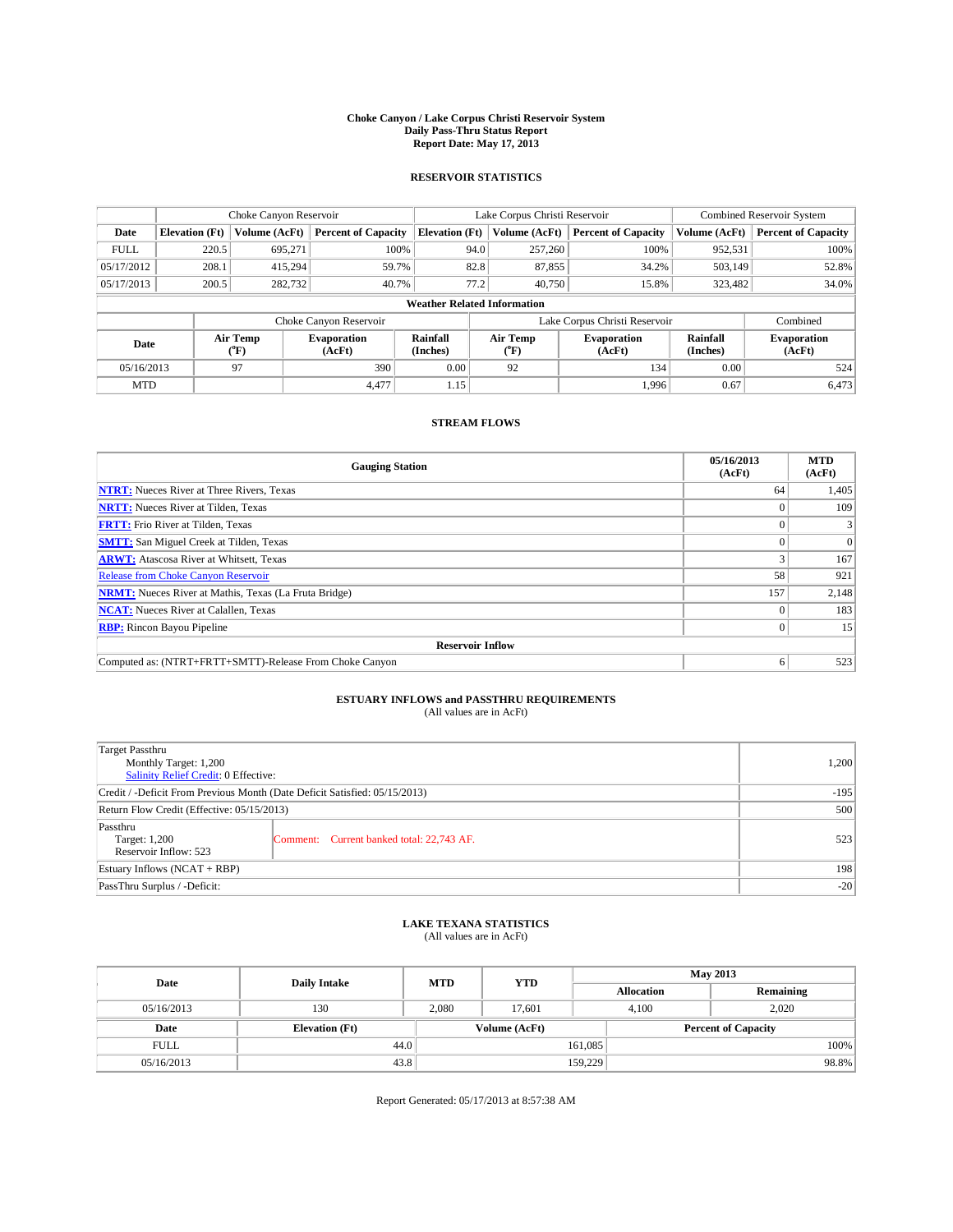#### **Choke Canyon / Lake Corpus Christi Reservoir System Daily Pass-Thru Status Report Report Date: May 17, 2013**

### **RESERVOIR STATISTICS**

|             |                                    | Choke Canyon Reservoir |                              |                       | Lake Corpus Christi Reservoir               | Combined Reservoir System     |                      |                              |  |  |
|-------------|------------------------------------|------------------------|------------------------------|-----------------------|---------------------------------------------|-------------------------------|----------------------|------------------------------|--|--|
| Date        | <b>Elevation</b> (Ft)              | Volume (AcFt)          | <b>Percent of Capacity</b>   | <b>Elevation (Ft)</b> | Volume (AcFt)<br><b>Percent of Capacity</b> |                               | Volume (AcFt)        | <b>Percent of Capacity</b>   |  |  |
| <b>FULL</b> | 220.5                              | 695,271                | 100%                         | 94.0                  | 257,260                                     | 100%                          | 952,531              | 100%                         |  |  |
| 05/17/2012  | 208.1                              | 415,294                | 59.7%                        | 82.8                  | 87,855                                      | 34.2%                         | 503,149              | 52.8%                        |  |  |
| 05/17/2013  | 200.5                              | 282,732                | 40.7%                        | 77.2                  | 40.750                                      | 15.8%                         | 323,482              | 34.0%                        |  |  |
|             | <b>Weather Related Information</b> |                        |                              |                       |                                             |                               |                      |                              |  |  |
|             |                                    |                        | Choke Canyon Reservoir       |                       |                                             | Lake Corpus Christi Reservoir |                      | Combined                     |  |  |
| Date        |                                    | Air Temp<br>(°F)       | <b>Evaporation</b><br>(AcFt) | Rainfall<br>(Inches)  | Air Temp<br>$(^{\circ}\text{F})$            | <b>Evaporation</b><br>(AcFt)  | Rainfall<br>(Inches) | <b>Evaporation</b><br>(AcFt) |  |  |
| 05/16/2013  |                                    | 97                     | 390                          | 0.00                  | 92                                          | 134                           | 0.00                 | 524                          |  |  |
| <b>MTD</b>  |                                    |                        | 4.477                        | 1.15                  |                                             | 1,996                         | 0.67                 | 6,473                        |  |  |

### **STREAM FLOWS**

| <b>Gauging Station</b>                                       | 05/16/2013<br>(AcFt) | <b>MTD</b><br>(AcFt) |  |  |  |  |
|--------------------------------------------------------------|----------------------|----------------------|--|--|--|--|
| <b>NTRT:</b> Nueces River at Three Rivers, Texas             | 64                   | 1,405                |  |  |  |  |
| <b>NRTT:</b> Nueces River at Tilden, Texas                   |                      | 109                  |  |  |  |  |
| <b>FRTT:</b> Frio River at Tilden, Texas                     |                      |                      |  |  |  |  |
| <b>SMTT:</b> San Miguel Creek at Tilden, Texas               |                      | $\Omega$             |  |  |  |  |
| <b>ARWT:</b> Atascosa River at Whitsett, Texas               |                      | 167                  |  |  |  |  |
| Release from Choke Canyon Reservoir                          | 58                   | 921                  |  |  |  |  |
| <b>NRMT:</b> Nueces River at Mathis, Texas (La Fruta Bridge) | 157                  | 2,148                |  |  |  |  |
| <b>NCAT:</b> Nueces River at Calallen, Texas                 |                      | 183                  |  |  |  |  |
| <b>RBP:</b> Rincon Bayou Pipeline                            | 0                    | 15                   |  |  |  |  |
| <b>Reservoir Inflow</b>                                      |                      |                      |  |  |  |  |
| Computed as: (NTRT+FRTT+SMTT)-Release From Choke Canyon      | 6                    | 523                  |  |  |  |  |

# **ESTUARY INFLOWS and PASSTHRU REQUIREMENTS**<br>(All values are in AcFt)

| Target Passthru                                                            |        |  |  |  |
|----------------------------------------------------------------------------|--------|--|--|--|
| Monthly Target: 1,200                                                      | 1,200  |  |  |  |
| Salinity Relief Credit: 0 Effective:                                       |        |  |  |  |
| Credit / -Deficit From Previous Month (Date Deficit Satisfied: 05/15/2013) | $-195$ |  |  |  |
| Return Flow Credit (Effective: 05/15/2013)                                 | 500    |  |  |  |
| Passthru                                                                   |        |  |  |  |
| Comment: Current banked total: 22,743 AF.<br>Target: 1,200                 | 523    |  |  |  |
| Reservoir Inflow: 523                                                      |        |  |  |  |
| Estuary Inflows $(NCAT + RBP)$                                             | 198    |  |  |  |
| PassThru Surplus / -Deficit:                                               | $-20$  |  |  |  |

## **LAKE TEXANA STATISTICS** (All values are in AcFt)

| Date        | <b>Daily Intake</b>   | <b>MTD</b> | <b>YTD</b>    |                   | <b>May 2013</b>            |           |  |  |
|-------------|-----------------------|------------|---------------|-------------------|----------------------------|-----------|--|--|
|             |                       |            |               | <b>Allocation</b> |                            | Remaining |  |  |
| 05/16/2013  | 130                   | 2.080      | 17.601        |                   | 2.020<br>4.100             |           |  |  |
| Date        | <b>Elevation</b> (Ft) |            | Volume (AcFt) |                   | <b>Percent of Capacity</b> |           |  |  |
| <b>FULL</b> | 44.0                  |            |               | 161,085           |                            | 100%      |  |  |
| 05/16/2013  | 43.8                  |            |               | 159,229           |                            | 98.8%     |  |  |

Report Generated: 05/17/2013 at 8:57:38 AM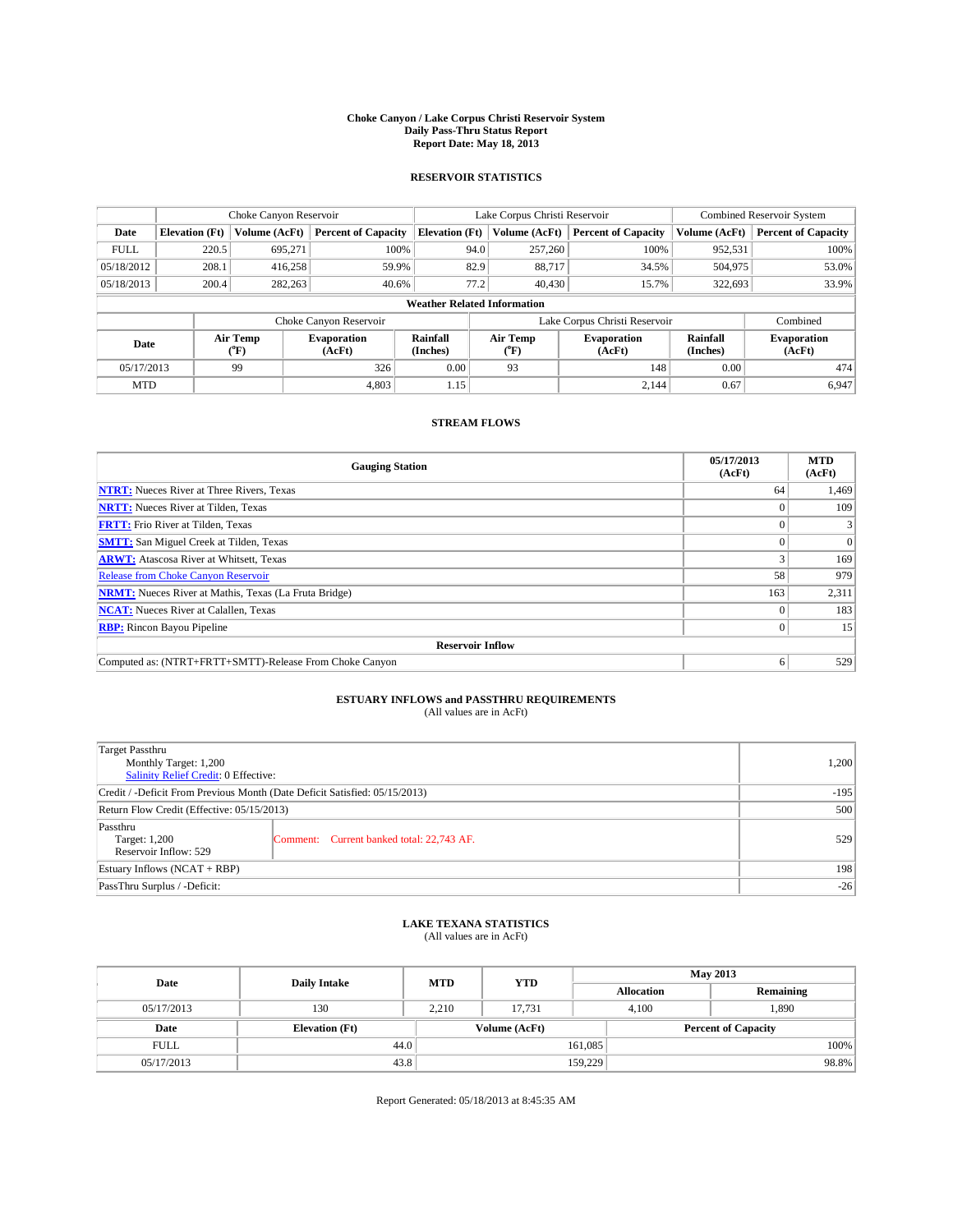#### **Choke Canyon / Lake Corpus Christi Reservoir System Daily Pass-Thru Status Report Report Date: May 18, 2013**

### **RESERVOIR STATISTICS**

|             |                                    | Choke Canyon Reservoir |                              |                       | Lake Corpus Christi Reservoir | <b>Combined Reservoir System</b> |                      |                              |  |  |
|-------------|------------------------------------|------------------------|------------------------------|-----------------------|-------------------------------|----------------------------------|----------------------|------------------------------|--|--|
| Date        | <b>Elevation</b> (Ft)              | Volume (AcFt)          | <b>Percent of Capacity</b>   | <b>Elevation (Ft)</b> | Volume (AcFt)                 | <b>Percent of Capacity</b>       | Volume (AcFt)        | <b>Percent of Capacity</b>   |  |  |
| <b>FULL</b> | 220.5                              | 695,271                | 100%                         | 94.0                  | 257,260                       | 100%                             | 952,531              | 100%                         |  |  |
| 05/18/2012  | 208.1                              | 416,258                | 59.9%                        | 82.9                  | 88,717                        | 34.5%                            | 504,975              | 53.0%                        |  |  |
| 05/18/2013  | 200.4                              | 282,263                | 40.6%                        | 77.2                  | 40,430                        | 15.7%                            | 322,693              | 33.9%                        |  |  |
|             | <b>Weather Related Information</b> |                        |                              |                       |                               |                                  |                      |                              |  |  |
|             |                                    |                        | Choke Canyon Reservoir       |                       |                               | Lake Corpus Christi Reservoir    |                      | Combined                     |  |  |
| Date        | Air Temp<br>(°F)                   |                        | <b>Evaporation</b><br>(AcFt) | Rainfall<br>(Inches)  | Air Temp<br>(°F)              | <b>Evaporation</b><br>(AcFt)     | Rainfall<br>(Inches) | <b>Evaporation</b><br>(AcFt) |  |  |
| 05/17/2013  |                                    | 99                     | 326                          | 0.00                  | 93                            | 148                              | 0.00                 | 474                          |  |  |
| <b>MTD</b>  |                                    |                        | 4.803                        | 1.15                  |                               | 2.144                            | 0.67                 | 6.947                        |  |  |

### **STREAM FLOWS**

| <b>Gauging Station</b>                                       | 05/17/2013<br>(AcFt) | <b>MTD</b><br>(AcFt) |  |  |  |  |
|--------------------------------------------------------------|----------------------|----------------------|--|--|--|--|
| <b>NTRT:</b> Nueces River at Three Rivers, Texas             | 64                   | 1,469                |  |  |  |  |
| <b>NRTT:</b> Nueces River at Tilden, Texas                   |                      | 109                  |  |  |  |  |
| <b>FRTT:</b> Frio River at Tilden, Texas                     |                      |                      |  |  |  |  |
| <b>SMTT:</b> San Miguel Creek at Tilden, Texas               |                      | $\Omega$             |  |  |  |  |
| <b>ARWT:</b> Atascosa River at Whitsett, Texas               |                      | 169                  |  |  |  |  |
| <b>Release from Choke Canyon Reservoir</b>                   | 58                   | 979                  |  |  |  |  |
| <b>NRMT:</b> Nueces River at Mathis, Texas (La Fruta Bridge) | 163                  | 2,311                |  |  |  |  |
| <b>NCAT:</b> Nueces River at Calallen, Texas                 |                      | 183                  |  |  |  |  |
| <b>RBP:</b> Rincon Bayou Pipeline                            | $\Omega$             | 15                   |  |  |  |  |
| <b>Reservoir Inflow</b>                                      |                      |                      |  |  |  |  |
| Computed as: (NTRT+FRTT+SMTT)-Release From Choke Canyon      | o                    | 529                  |  |  |  |  |

# **ESTUARY INFLOWS and PASSTHRU REQUIREMENTS**<br>(All values are in AcFt)

| Target Passthru                                                            |        |  |  |  |
|----------------------------------------------------------------------------|--------|--|--|--|
| Monthly Target: 1,200                                                      | 1,200  |  |  |  |
| Salinity Relief Credit: 0 Effective:                                       |        |  |  |  |
| Credit / -Deficit From Previous Month (Date Deficit Satisfied: 05/15/2013) | $-195$ |  |  |  |
| Return Flow Credit (Effective: 05/15/2013)                                 | 500    |  |  |  |
| Passthru                                                                   |        |  |  |  |
| Comment: Current banked total: 22,743 AF.<br>Target: 1,200                 | 529    |  |  |  |
| Reservoir Inflow: 529                                                      |        |  |  |  |
| Estuary Inflows $(NCAT + RBP)$                                             | 198    |  |  |  |
| PassThru Surplus / -Deficit:                                               | $-26$  |  |  |  |

## **LAKE TEXANA STATISTICS** (All values are in AcFt)

| Date        | <b>Daily Intake</b>   | <b>MTD</b> | <b>YTD</b>    | <b>May 2013</b>   |                |                            |  |
|-------------|-----------------------|------------|---------------|-------------------|----------------|----------------------------|--|
|             |                       |            |               | <b>Allocation</b> |                | Remaining                  |  |
| 05/17/2013  | 130                   | 2.210      | 17.731        |                   | 1,890<br>4.100 |                            |  |
| Date        | <b>Elevation</b> (Ft) |            | Volume (AcFt) |                   |                | <b>Percent of Capacity</b> |  |
| <b>FULL</b> | 44.0                  |            |               | 161,085           |                | 100%                       |  |
| 05/17/2013  | 43.8                  |            |               | 159,229           |                | 98.8%                      |  |

Report Generated: 05/18/2013 at 8:45:35 AM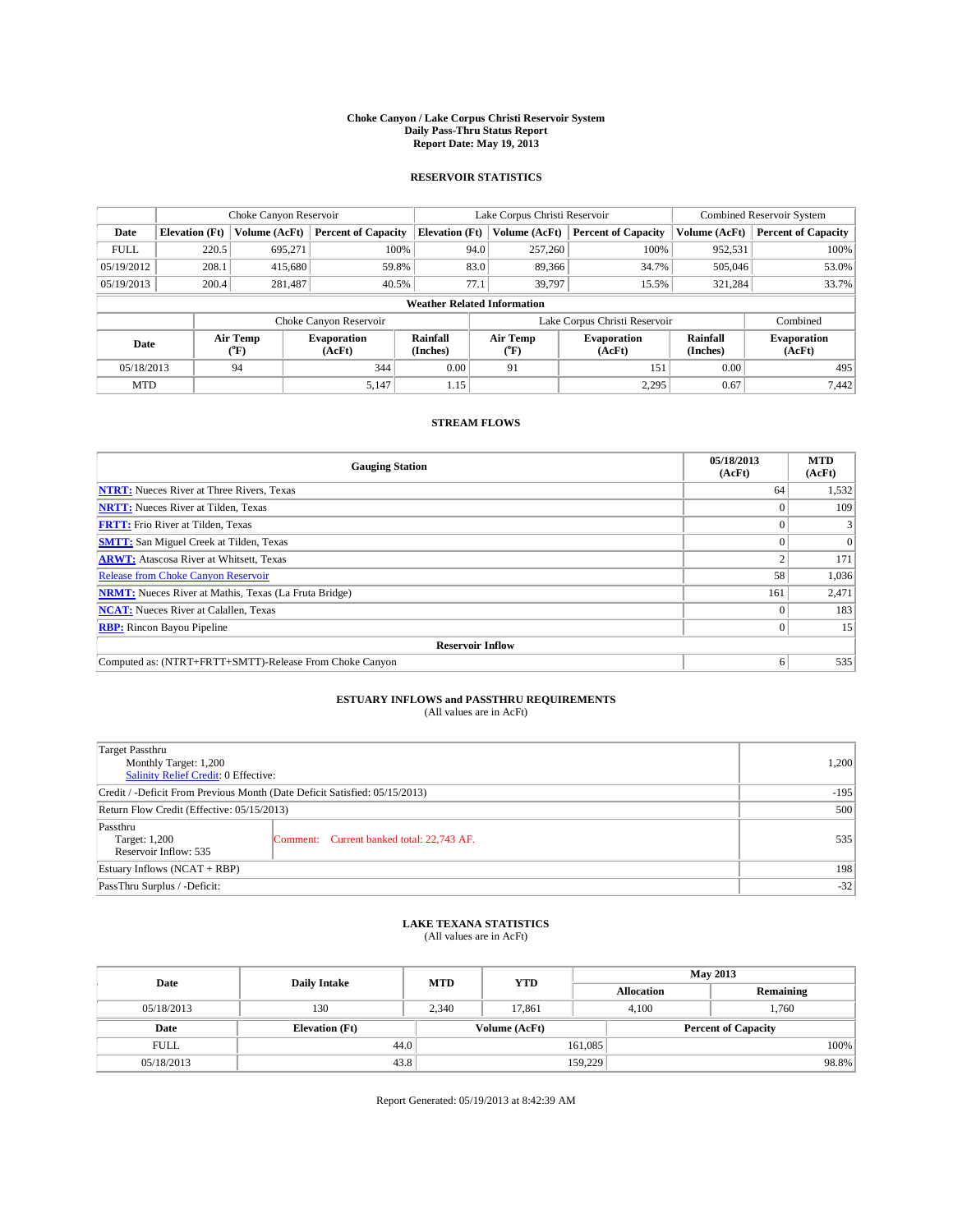#### **Choke Canyon / Lake Corpus Christi Reservoir System Daily Pass-Thru Status Report Report Date: May 19, 2013**

### **RESERVOIR STATISTICS**

|             |                                    | Choke Canyon Reservoir |                              |                       | Lake Corpus Christi Reservoir             | <b>Combined Reservoir System</b> |                      |                              |  |
|-------------|------------------------------------|------------------------|------------------------------|-----------------------|-------------------------------------------|----------------------------------|----------------------|------------------------------|--|
| Date        | <b>Elevation</b> (Ft)              | Volume (AcFt)          | <b>Percent of Capacity</b>   | <b>Elevation</b> (Ft) | Volume (AcFt)                             | <b>Percent of Capacity</b>       | Volume (AcFt)        | <b>Percent of Capacity</b>   |  |
| <b>FULL</b> | 220.5                              | 695,271                | 100%                         | 94.0                  | 257,260                                   | 100%                             | 952,531              | 100%                         |  |
| 05/19/2012  | 208.1                              | 415,680                | 59.8%                        | 83.0                  | 89,366                                    | 34.7%                            | 505,046              | 53.0%                        |  |
| 05/19/2013  | 200.4                              | 281,487                | 40.5%                        | 77.1                  | 39.797                                    | 15.5%                            | 321,284              | 33.7%                        |  |
|             | <b>Weather Related Information</b> |                        |                              |                       |                                           |                                  |                      |                              |  |
|             |                                    |                        | Choke Canyon Reservoir       |                       | Lake Corpus Christi Reservoir<br>Combined |                                  |                      |                              |  |
| Date        |                                    | Air Temp<br>(°F)       | <b>Evaporation</b><br>(AcFt) | Rainfall<br>(Inches)  | Air Temp<br>(°F)                          | <b>Evaporation</b><br>(AcFt)     | Rainfall<br>(Inches) | <b>Evaporation</b><br>(AcFt) |  |
| 05/18/2013  |                                    | 94                     | 344                          | 0.00                  | 91                                        | 151                              | 0.00                 | 495                          |  |
| <b>MTD</b>  |                                    |                        | 5,147                        | 1.15                  |                                           | 2,295                            | 0.67                 | 7.442                        |  |

### **STREAM FLOWS**

| <b>Gauging Station</b>                                       | 05/18/2013<br>(AcFt) | <b>MTD</b><br>(AcFt) |  |  |  |  |
|--------------------------------------------------------------|----------------------|----------------------|--|--|--|--|
| <b>NTRT:</b> Nueces River at Three Rivers, Texas             | 64                   | 1,532                |  |  |  |  |
| <b>NRTT:</b> Nueces River at Tilden, Texas                   |                      | 109                  |  |  |  |  |
| <b>FRTT:</b> Frio River at Tilden, Texas                     |                      |                      |  |  |  |  |
| <b>SMTT:</b> San Miguel Creek at Tilden, Texas               |                      | $\Omega$             |  |  |  |  |
| <b>ARWT:</b> Atascosa River at Whitsett, Texas               |                      | 171                  |  |  |  |  |
| <b>Release from Choke Canyon Reservoir</b>                   | 58                   | 1,036                |  |  |  |  |
| <b>NRMT:</b> Nueces River at Mathis, Texas (La Fruta Bridge) | 161                  | 2,471                |  |  |  |  |
| <b>NCAT:</b> Nueces River at Calallen, Texas                 |                      | 183                  |  |  |  |  |
| <b>RBP:</b> Rincon Bayou Pipeline                            | $\Omega$             | 15                   |  |  |  |  |
| <b>Reservoir Inflow</b>                                      |                      |                      |  |  |  |  |
| Computed as: (NTRT+FRTT+SMTT)-Release From Choke Canyon      | o                    | 535                  |  |  |  |  |

# **ESTUARY INFLOWS and PASSTHRU REQUIREMENTS**<br>(All values are in AcFt)

| Target Passthru                                                            |        |  |  |  |  |
|----------------------------------------------------------------------------|--------|--|--|--|--|
| Monthly Target: 1,200                                                      | 1,200  |  |  |  |  |
| Salinity Relief Credit: 0 Effective:                                       |        |  |  |  |  |
| Credit / -Deficit From Previous Month (Date Deficit Satisfied: 05/15/2013) | $-195$ |  |  |  |  |
| Return Flow Credit (Effective: 05/15/2013)                                 | 500    |  |  |  |  |
| Passthru                                                                   |        |  |  |  |  |
| Comment: Current banked total: 22,743 AF.<br>Target: 1,200                 | 535    |  |  |  |  |
| Reservoir Inflow: 535                                                      |        |  |  |  |  |
| Estuary Inflows $(NCAT + RBP)$                                             | 198    |  |  |  |  |
| PassThru Surplus / -Deficit:                                               | $-32$  |  |  |  |  |

## **LAKE TEXANA STATISTICS** (All values are in AcFt)

| Date        |                       | <b>MTD</b> | <b>YTD</b>    | <b>May 2013</b>   |                            |           |       |
|-------------|-----------------------|------------|---------------|-------------------|----------------------------|-----------|-------|
|             | <b>Daily Intake</b>   |            |               | <b>Allocation</b> |                            | Remaining |       |
| 05/18/2013  | 130                   | 2.340      | 17.861        |                   | 1.760<br>4.100             |           |       |
| Date        | <b>Elevation</b> (Ft) |            | Volume (AcFt) |                   | <b>Percent of Capacity</b> |           |       |
| <b>FULL</b> | 44.0                  |            |               | 161,085           |                            |           | 100%  |
| 05/18/2013  | 43.8                  |            |               | 159,229           |                            |           | 98.8% |

Report Generated: 05/19/2013 at 8:42:39 AM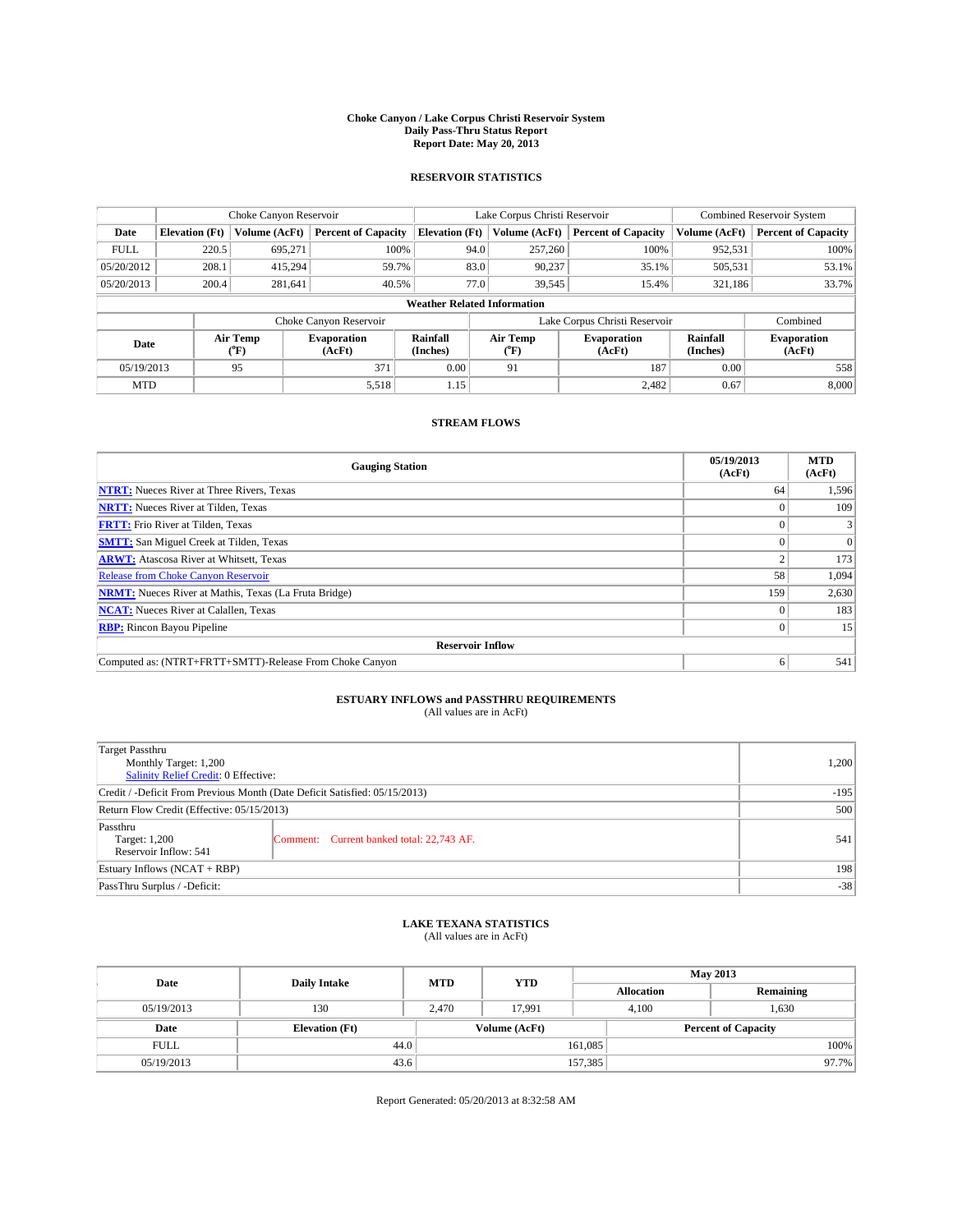#### **Choke Canyon / Lake Corpus Christi Reservoir System Daily Pass-Thru Status Report Report Date: May 20, 2013**

### **RESERVOIR STATISTICS**

|             |                                    | Choke Canyon Reservoir |                              |                       | Lake Corpus Christi Reservoir               | <b>Combined Reservoir System</b> |                      |                              |  |
|-------------|------------------------------------|------------------------|------------------------------|-----------------------|---------------------------------------------|----------------------------------|----------------------|------------------------------|--|
| Date        | <b>Elevation</b> (Ft)              | Volume (AcFt)          | <b>Percent of Capacity</b>   | <b>Elevation (Ft)</b> | Volume (AcFt)<br><b>Percent of Capacity</b> |                                  | Volume (AcFt)        | Percent of Capacity          |  |
| <b>FULL</b> | 220.5                              | 695,271                | 100%                         | 94.0                  | 257,260                                     | 100%                             | 952,531              | 100%                         |  |
| 05/20/2012  | 208.1                              | 415,294                | 59.7%                        | 83.0                  | 90,237                                      | 35.1%                            | 505,531              | 53.1%                        |  |
| 05/20/2013  | 200.4                              | 281,641                | 40.5%                        | 77.0                  | 39,545                                      | 15.4%                            | 321,186              | 33.7%                        |  |
|             | <b>Weather Related Information</b> |                        |                              |                       |                                             |                                  |                      |                              |  |
|             |                                    |                        | Choke Canyon Reservoir       |                       | Combined<br>Lake Corpus Christi Reservoir   |                                  |                      |                              |  |
| Date        |                                    | Air Temp<br>(°F)       | <b>Evaporation</b><br>(AcFt) | Rainfall<br>(Inches)  | Air Temp<br>("F)                            | <b>Evaporation</b><br>(AcFt)     | Rainfall<br>(Inches) | <b>Evaporation</b><br>(AcFt) |  |
| 05/19/2013  |                                    | 95                     | 371                          | 0.00                  | 91                                          | 187                              | 0.00                 | 558                          |  |
| <b>MTD</b>  |                                    |                        | 5,518                        | 1.15                  |                                             | 2.482                            | 0.67                 | 8,000                        |  |

### **STREAM FLOWS**

| <b>Gauging Station</b>                                       | 05/19/2013<br>(AcFt) | <b>MTD</b><br>(AcFt) |  |  |  |  |
|--------------------------------------------------------------|----------------------|----------------------|--|--|--|--|
| <b>NTRT:</b> Nueces River at Three Rivers, Texas             | 64                   | 1,596                |  |  |  |  |
| <b>NRTT:</b> Nueces River at Tilden, Texas                   |                      | 109                  |  |  |  |  |
| <b>FRTT:</b> Frio River at Tilden, Texas                     |                      |                      |  |  |  |  |
| <b>SMTT:</b> San Miguel Creek at Tilden, Texas               |                      | $\Omega$             |  |  |  |  |
| <b>ARWT:</b> Atascosa River at Whitsett, Texas               |                      | 173                  |  |  |  |  |
| <b>Release from Choke Canyon Reservoir</b>                   | 58                   | 1,094                |  |  |  |  |
| <b>NRMT:</b> Nueces River at Mathis, Texas (La Fruta Bridge) | 159                  | 2,630                |  |  |  |  |
| <b>NCAT:</b> Nueces River at Calallen, Texas                 |                      | 183                  |  |  |  |  |
| <b>RBP:</b> Rincon Bayou Pipeline                            | $\Omega$             | 15                   |  |  |  |  |
| <b>Reservoir Inflow</b>                                      |                      |                      |  |  |  |  |
| Computed as: (NTRT+FRTT+SMTT)-Release From Choke Canyon      | o                    | 541                  |  |  |  |  |

# **ESTUARY INFLOWS and PASSTHRU REQUIREMENTS**<br>(All values are in AcFt)

| 1,200  |
|--------|
|        |
| $-195$ |
| 500    |
|        |
| 541    |
|        |
| 198    |
| $-38$  |
|        |

## **LAKE TEXANA STATISTICS** (All values are in AcFt)

| Date        | <b>Daily Intake</b>   | <b>MTD</b> | <b>YTD</b>    | <b>May 2013</b>   |                            |           |       |
|-------------|-----------------------|------------|---------------|-------------------|----------------------------|-----------|-------|
|             |                       |            |               | <b>Allocation</b> |                            | Remaining |       |
| 05/19/2013  | 130                   | 2.470      | 17.991        |                   | 1,630<br>4.100             |           |       |
| Date        | <b>Elevation</b> (Ft) |            | Volume (AcFt) |                   | <b>Percent of Capacity</b> |           |       |
| <b>FULL</b> | 44.0                  |            |               | 161,085           |                            |           | 100%  |
| 05/19/2013  | 43.6                  |            |               | 157,385           |                            |           | 97.7% |

Report Generated: 05/20/2013 at 8:32:58 AM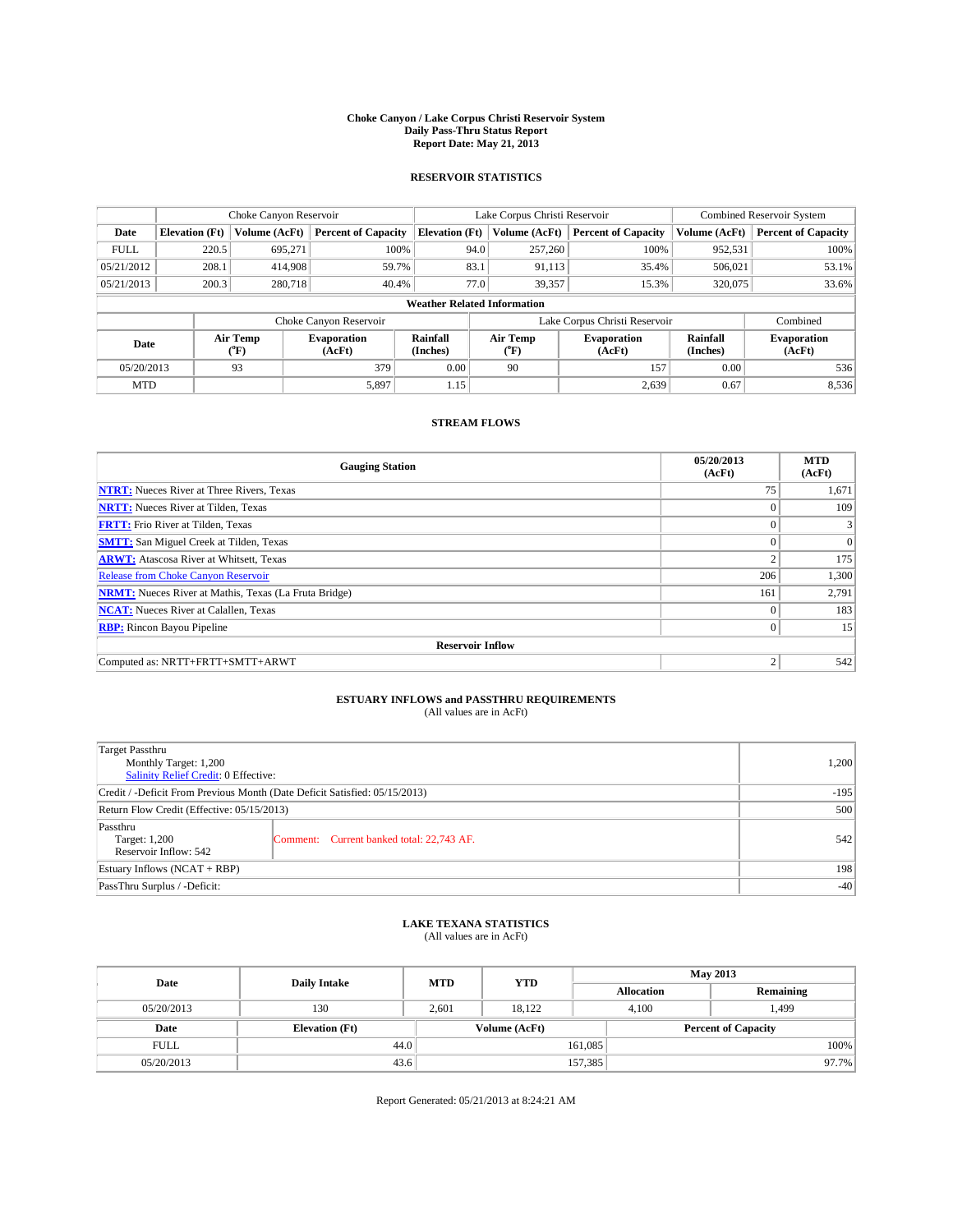#### **Choke Canyon / Lake Corpus Christi Reservoir System Daily Pass-Thru Status Report Report Date: May 21, 2013**

### **RESERVOIR STATISTICS**

|             |                                    | Choke Canyon Reservoir |                              |                       | Lake Corpus Christi Reservoir | <b>Combined Reservoir System</b> |                      |                              |  |
|-------------|------------------------------------|------------------------|------------------------------|-----------------------|-------------------------------|----------------------------------|----------------------|------------------------------|--|
| Date        | <b>Elevation</b> (Ft)              | Volume (AcFt)          | <b>Percent of Capacity</b>   | <b>Elevation (Ft)</b> | Volume (AcFt)                 | <b>Percent of Capacity</b>       | Volume (AcFt)        | <b>Percent of Capacity</b>   |  |
| <b>FULL</b> | 220.5                              | 695,271                | 100%                         | 94.0                  | 257,260                       | 100%                             | 952,531              | 100%                         |  |
| 05/21/2012  | 208.1                              | 414,908                | 59.7%                        | 83.1                  | 91,113                        | 35.4%                            | 506,021              | 53.1%                        |  |
| 05/21/2013  | 200.3                              | 280.718                | 40.4%                        | 77.0                  | 39,357                        | 15.3%                            | 320,075              | 33.6%                        |  |
|             | <b>Weather Related Information</b> |                        |                              |                       |                               |                                  |                      |                              |  |
|             |                                    |                        | Choke Canyon Reservoir       |                       | Lake Corpus Christi Reservoir | Combined                         |                      |                              |  |
| Date        |                                    | Air Temp<br>(°F)       | <b>Evaporation</b><br>(AcFt) | Rainfall<br>(Inches)  | Air Temp<br>("F)              | <b>Evaporation</b><br>(AcFt)     | Rainfall<br>(Inches) | <b>Evaporation</b><br>(AcFt) |  |
| 05/20/2013  |                                    | 93                     | 379                          | 0.00                  | 90                            | 157                              | 0.00                 | 536                          |  |
| <b>MTD</b>  |                                    |                        | 5,897                        | 1.15                  |                               | 2,639                            | 0.67                 | 8,536                        |  |

### **STREAM FLOWS**

| <b>Gauging Station</b>                                       | 05/20/2013<br>(AcFt) | <b>MTD</b><br>(AcFt) |  |  |  |  |  |
|--------------------------------------------------------------|----------------------|----------------------|--|--|--|--|--|
| <b>NTRT:</b> Nueces River at Three Rivers, Texas             | 75                   | 1,671                |  |  |  |  |  |
| <b>NRTT:</b> Nueces River at Tilden, Texas                   | $\theta$             | 109                  |  |  |  |  |  |
| <b>FRTT:</b> Frio River at Tilden, Texas                     |                      |                      |  |  |  |  |  |
| <b>SMTT:</b> San Miguel Creek at Tilden, Texas               | $\theta$             | $\Omega$             |  |  |  |  |  |
| <b>ARWT:</b> Atascosa River at Whitsett, Texas               | 2                    | 175                  |  |  |  |  |  |
| <b>Release from Choke Canyon Reservoir</b>                   | 206                  | 1,300                |  |  |  |  |  |
| <b>NRMT:</b> Nueces River at Mathis, Texas (La Fruta Bridge) | 161                  | 2,791                |  |  |  |  |  |
| <b>NCAT:</b> Nueces River at Calallen, Texas                 | $\theta$             | 183                  |  |  |  |  |  |
| <b>RBP:</b> Rincon Bayou Pipeline                            | $\Omega$             | 15                   |  |  |  |  |  |
| <b>Reservoir Inflow</b>                                      |                      |                      |  |  |  |  |  |
| Computed as: NRTT+FRTT+SMTT+ARWT                             | $\overline{2}$       | 542                  |  |  |  |  |  |

# **ESTUARY INFLOWS and PASSTHRU REQUIREMENTS**<br>(All values are in AcFt)

| Target Passthru                                                            |                                           |     |
|----------------------------------------------------------------------------|-------------------------------------------|-----|
| Monthly Target: 1,200                                                      | 1,200                                     |     |
| Salinity Relief Credit: 0 Effective:                                       |                                           |     |
| Credit / -Deficit From Previous Month (Date Deficit Satisfied: 05/15/2013) | $-195$                                    |     |
| Return Flow Credit (Effective: 05/15/2013)                                 | 500                                       |     |
| Passthru<br>Target: 1,200                                                  | Comment: Current banked total: 22,743 AF. | 542 |
| Reservoir Inflow: 542                                                      |                                           |     |
| Estuary Inflows (NCAT + RBP)                                               | 198                                       |     |
| PassThru Surplus / -Deficit:                                               | $-40$                                     |     |

## **LAKE TEXANA STATISTICS** (All values are in AcFt)

| Date        | <b>Daily Intake</b>   | <b>MTD</b> | <b>YTD</b>    | <b>May 2013</b>   |                            |           |  |
|-------------|-----------------------|------------|---------------|-------------------|----------------------------|-----------|--|
|             |                       |            |               | <b>Allocation</b> |                            | Remaining |  |
| 05/20/2013  | 130                   | 2.601      | 18.122        |                   | 499.ء<br>4.100             |           |  |
| Date        | <b>Elevation</b> (Ft) |            | Volume (AcFt) |                   | <b>Percent of Capacity</b> |           |  |
| <b>FULL</b> | 44.0                  |            |               | 161,085           |                            | 100%      |  |
| 05/20/2013  | 43.6                  |            |               | 157,385           |                            | 97.7%     |  |

Report Generated: 05/21/2013 at 8:24:21 AM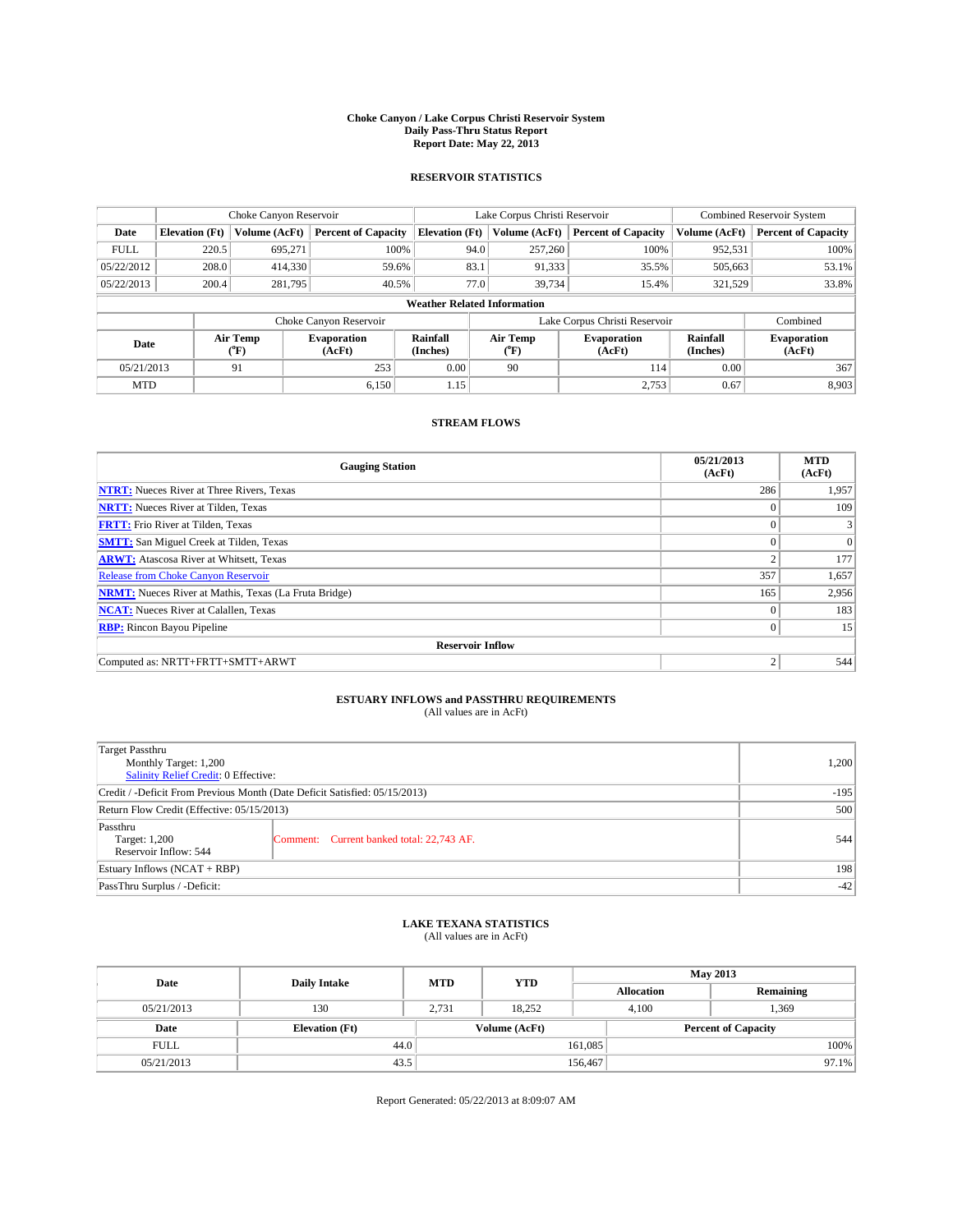#### **Choke Canyon / Lake Corpus Christi Reservoir System Daily Pass-Thru Status Report Report Date: May 22, 2013**

### **RESERVOIR STATISTICS**

|             |                       | Choke Canyon Reservoir |                              |                                    | Lake Corpus Christi Reservoir | <b>Combined Reservoir System</b> |                      |                              |
|-------------|-----------------------|------------------------|------------------------------|------------------------------------|-------------------------------|----------------------------------|----------------------|------------------------------|
| Date        | <b>Elevation</b> (Ft) | Volume (AcFt)          | <b>Percent of Capacity</b>   | <b>Elevation (Ft)</b>              | Volume (AcFt)                 | <b>Percent of Capacity</b>       | Volume (AcFt)        | Percent of Capacity          |
| <b>FULL</b> | 220.5                 | 695,271                | 100%                         | 94.0                               | 257,260                       | 100%                             | 952,531              | 100%                         |
| 05/22/2012  | 208.0                 | 414,330                | 59.6%                        | 83.1                               | 91,333                        | 35.5%                            | 505,663              | 53.1%                        |
| 05/22/2013  | 200.4                 | 281,795                | 40.5%                        | 77.0                               | 39,734                        | 15.4%                            | 321,529              | 33.8%                        |
|             |                       |                        |                              | <b>Weather Related Information</b> |                               |                                  |                      |                              |
|             |                       |                        | Choke Canyon Reservoir       |                                    | Lake Corpus Christi Reservoir |                                  | Combined             |                              |
| Date        |                       | Air Temp<br>(°F)       | <b>Evaporation</b><br>(AcFt) | Rainfall<br>(Inches)               | Air Temp<br>("F)              | <b>Evaporation</b><br>(AcFt)     | Rainfall<br>(Inches) | <b>Evaporation</b><br>(AcFt) |
| 05/21/2013  |                       | 91                     | 253                          | 0.00                               | 90                            | 114                              | 0.00                 | 367                          |
| <b>MTD</b>  |                       |                        | 6.150                        | 1.15                               |                               | 2,753                            | 0.67                 | 8,903                        |

### **STREAM FLOWS**

| <b>Gauging Station</b>                                       | 05/21/2013<br>(AcFt) | <b>MTD</b><br>(AcFt) |  |  |  |  |  |
|--------------------------------------------------------------|----------------------|----------------------|--|--|--|--|--|
| <b>NTRT:</b> Nueces River at Three Rivers, Texas             | 286                  | 1,957                |  |  |  |  |  |
| <b>NRTT:</b> Nueces River at Tilden, Texas                   | $\theta$             | 109                  |  |  |  |  |  |
| <b>FRTT:</b> Frio River at Tilden, Texas                     |                      |                      |  |  |  |  |  |
| <b>SMTT:</b> San Miguel Creek at Tilden, Texas               | $\theta$             | $\Omega$             |  |  |  |  |  |
| <b>ARWT:</b> Atascosa River at Whitsett, Texas               | 2                    | 177                  |  |  |  |  |  |
| <b>Release from Choke Canyon Reservoir</b>                   | 357                  | 1,657                |  |  |  |  |  |
| <b>NRMT:</b> Nueces River at Mathis, Texas (La Fruta Bridge) | 165                  | 2,956                |  |  |  |  |  |
| <b>NCAT:</b> Nueces River at Calallen, Texas                 | $\theta$             | 183                  |  |  |  |  |  |
| <b>RBP:</b> Rincon Bayou Pipeline                            | $\Omega$             | 15                   |  |  |  |  |  |
| <b>Reservoir Inflow</b>                                      |                      |                      |  |  |  |  |  |
| Computed as: NRTT+FRTT+SMTT+ARWT                             | $\overline{2}$       | 544                  |  |  |  |  |  |

## **ESTUARY INFLOWS and PASSTHRU REQUIREMENTS**<br>(All values are in AcFt)

| Target Passthru                                                            |        |
|----------------------------------------------------------------------------|--------|
| Monthly Target: 1,200                                                      | 1,200  |
| Salinity Relief Credit: 0 Effective:                                       |        |
| Credit / -Deficit From Previous Month (Date Deficit Satisfied: 05/15/2013) | $-195$ |
| Return Flow Credit (Effective: 05/15/2013)                                 | 500    |
| Passthru                                                                   |        |
| Comment: Current banked total: 22,743 AF.<br>Target: 1,200                 | 544    |
| Reservoir Inflow: 544                                                      |        |
| Estuary Inflows (NCAT + RBP)                                               | 198    |
| PassThru Surplus / -Deficit:                                               | $-42$  |

## **LAKE TEXANA STATISTICS** (All values are in AcFt)

| Date        |                       | <b>MTD</b> | <b>YTD</b>    | <b>May 2013</b>   |                            |           |          |
|-------------|-----------------------|------------|---------------|-------------------|----------------------------|-----------|----------|
|             | <b>Daily Intake</b>   |            |               | <b>Allocation</b> |                            | Remaining |          |
| 05/21/2013  | 130                   | 2.731      | 18.252        |                   | 1,369<br>4.100             |           |          |
| Date        | <b>Elevation</b> (Ft) |            | Volume (AcFt) |                   | <b>Percent of Capacity</b> |           |          |
| <b>FULL</b> | 44.0                  |            |               | 161,085           |                            |           | 100%     |
| 05/21/2013  | 43.5                  |            |               | 156,467           |                            |           | $97.1\%$ |

Report Generated: 05/22/2013 at 8:09:07 AM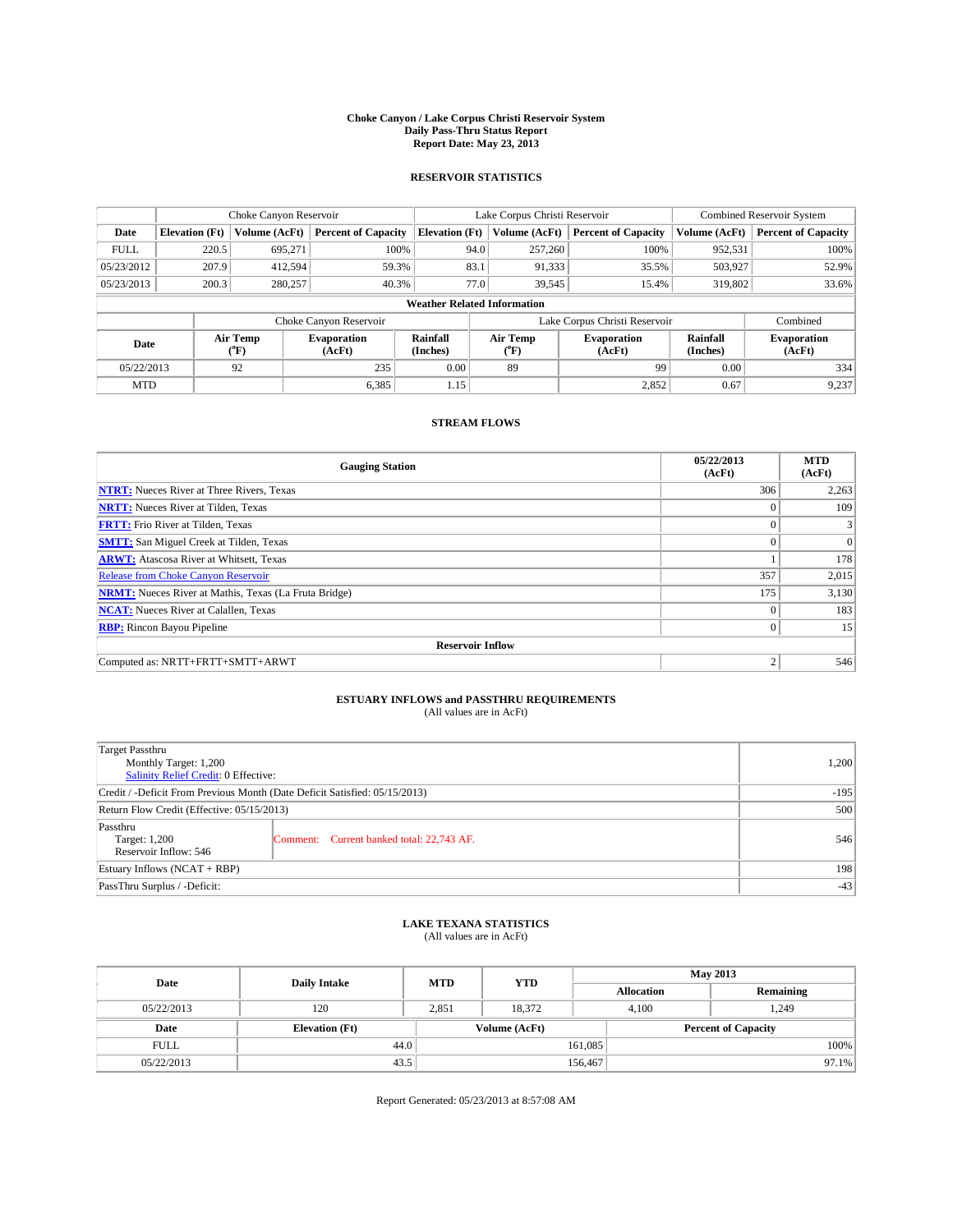#### **Choke Canyon / Lake Corpus Christi Reservoir System Daily Pass-Thru Status Report Report Date: May 23, 2013**

### **RESERVOIR STATISTICS**

|             |                       | Choke Canyon Reservoir |                              |                                    | Lake Corpus Christi Reservoir | <b>Combined Reservoir System</b> |                      |                              |
|-------------|-----------------------|------------------------|------------------------------|------------------------------------|-------------------------------|----------------------------------|----------------------|------------------------------|
| Date        | <b>Elevation</b> (Ft) | Volume (AcFt)          | <b>Percent of Capacity</b>   | <b>Elevation</b> (Ft)              | Volume (AcFt)                 | <b>Percent of Capacity</b>       | Volume (AcFt)        | <b>Percent of Capacity</b>   |
| <b>FULL</b> | 220.5                 | 695,271                | 100%                         | 94.0                               | 257,260                       | 100%                             | 952,531              | 100%                         |
| 05/23/2012  | 207.9                 | 412,594                | 59.3%                        | 83.1                               | 91,333                        | 35.5%                            | 503,927              | 52.9%                        |
| 05/23/2013  | 200.3                 | 280,257                | 40.3%                        | 77.0                               | 39,545                        | 15.4%                            | 319,802              | 33.6%                        |
|             |                       |                        |                              | <b>Weather Related Information</b> |                               |                                  |                      |                              |
|             |                       |                        | Choke Canyon Reservoir       |                                    | Lake Corpus Christi Reservoir |                                  | Combined             |                              |
| Date        |                       | Air Temp<br>(°F)       | <b>Evaporation</b><br>(AcFt) | Rainfall<br>(Inches)               | Air Temp<br>(°F)              | <b>Evaporation</b><br>(AcFt)     | Rainfall<br>(Inches) | <b>Evaporation</b><br>(AcFt) |
| 05/22/2013  |                       | 92                     | 235                          | 0.00                               | 89                            | 99                               | 0.00                 | 334                          |
| <b>MTD</b>  |                       |                        | 6,385                        | 1.15                               |                               | 2,852                            | 0.67                 | 9,237                        |

### **STREAM FLOWS**

| <b>Gauging Station</b>                                       | 05/22/2013<br>(AcFt) | <b>MTD</b><br>(AcFt) |  |  |  |  |  |
|--------------------------------------------------------------|----------------------|----------------------|--|--|--|--|--|
| <b>NTRT:</b> Nueces River at Three Rivers, Texas             | 306                  | 2,263                |  |  |  |  |  |
| <b>NRTT:</b> Nueces River at Tilden, Texas                   | $\theta$             | 109                  |  |  |  |  |  |
| <b>FRTT:</b> Frio River at Tilden, Texas                     |                      |                      |  |  |  |  |  |
| <b>SMTT:</b> San Miguel Creek at Tilden, Texas               | $\theta$             | $\overline{0}$       |  |  |  |  |  |
| <b>ARWT:</b> Atascosa River at Whitsett, Texas               |                      | 178                  |  |  |  |  |  |
| <b>Release from Choke Canyon Reservoir</b>                   | 357                  | 2,015                |  |  |  |  |  |
| <b>NRMT:</b> Nueces River at Mathis, Texas (La Fruta Bridge) | 175                  | 3,130                |  |  |  |  |  |
| <b>NCAT:</b> Nueces River at Calallen, Texas                 | $\theta$             | 183                  |  |  |  |  |  |
| <b>RBP:</b> Rincon Bayou Pipeline                            | $\Omega$             | 15                   |  |  |  |  |  |
| <b>Reservoir Inflow</b>                                      |                      |                      |  |  |  |  |  |
| Computed as: NRTT+FRTT+SMTT+ARWT                             | $\overline{2}$       | 546                  |  |  |  |  |  |

# **ESTUARY INFLOWS and PASSTHRU REQUIREMENTS**<br>(All values are in AcFt)

| Target Passthru                                                            |                                           |     |
|----------------------------------------------------------------------------|-------------------------------------------|-----|
| Monthly Target: 1,200                                                      | 1,200                                     |     |
| Salinity Relief Credit: 0 Effective:                                       |                                           |     |
| Credit / -Deficit From Previous Month (Date Deficit Satisfied: 05/15/2013) | $-195$                                    |     |
| Return Flow Credit (Effective: 05/15/2013)                                 | 500                                       |     |
| Passthru<br>Target: 1,200<br>Reservoir Inflow: 546                         | Comment: Current banked total: 22,743 AF. | 546 |
| Estuary Inflows (NCAT + RBP)                                               | 198                                       |     |
| PassThru Surplus / -Deficit:                                               | $-43$                                     |     |

## **LAKE TEXANA STATISTICS** (All values are in AcFt)

| Date        | <b>Daily Intake</b>   | <b>MTD</b> | <b>YTD</b>    | <b>May 2013</b>   |                            |           |  |
|-------------|-----------------------|------------|---------------|-------------------|----------------------------|-----------|--|
|             |                       |            |               | <b>Allocation</b> |                            | Remaining |  |
| 05/22/2013  | 120                   | 2,851      | 18.372        |                   | 1,249<br>4.100             |           |  |
| Date        | <b>Elevation</b> (Ft) |            | Volume (AcFt) |                   | <b>Percent of Capacity</b> |           |  |
| <b>FULL</b> | 44.0                  |            |               | 161,085           |                            | 100%      |  |
| 05/22/2013  | 43.5                  |            |               | 156,467           |                            | $97.1\%$  |  |

Report Generated: 05/23/2013 at 8:57:08 AM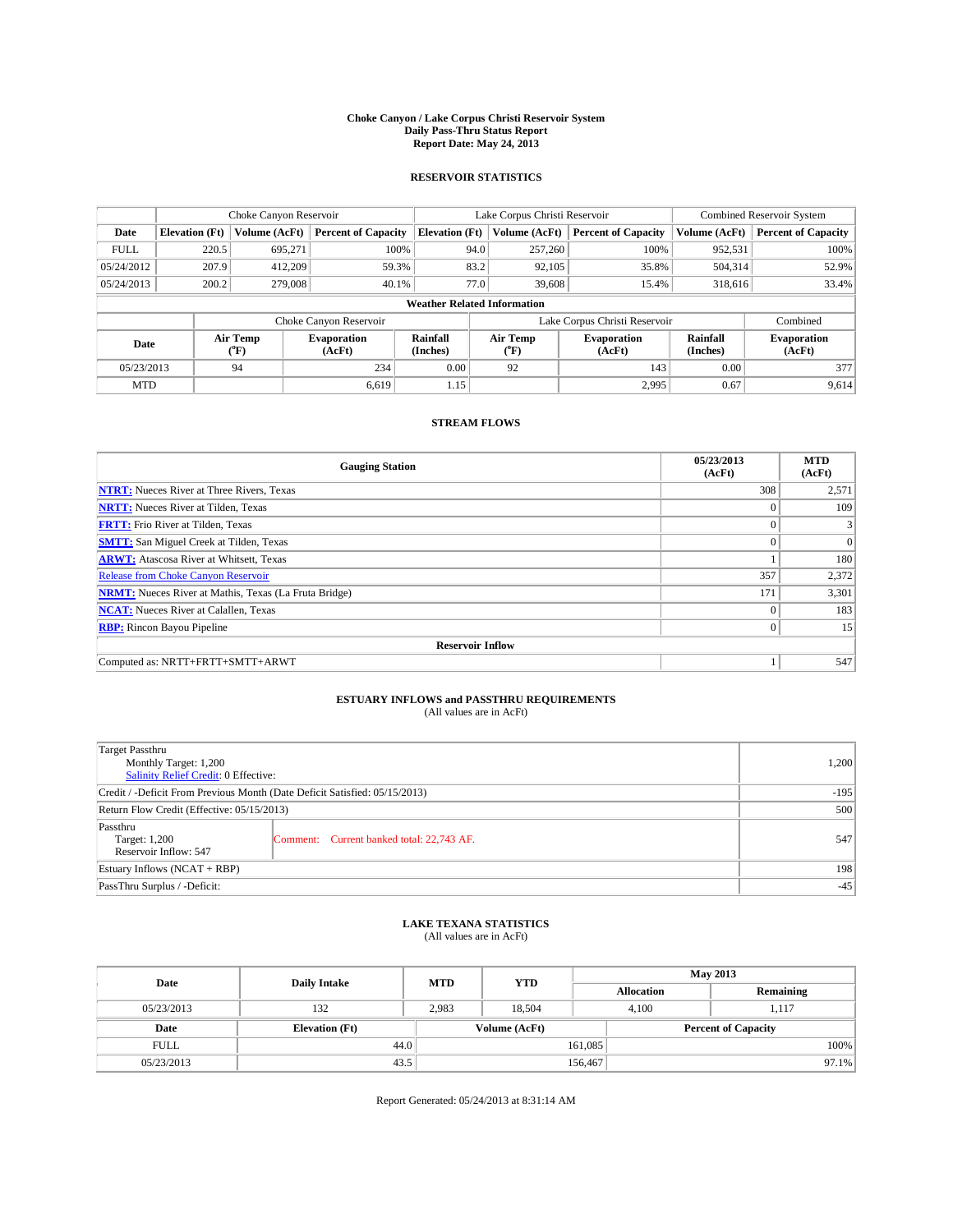#### **Choke Canyon / Lake Corpus Christi Reservoir System Daily Pass-Thru Status Report Report Date: May 24, 2013**

### **RESERVOIR STATISTICS**

|             |                                    | Choke Canyon Reservoir |                              |                       | Lake Corpus Christi Reservoir | <b>Combined Reservoir System</b> |                      |                              |  |
|-------------|------------------------------------|------------------------|------------------------------|-----------------------|-------------------------------|----------------------------------|----------------------|------------------------------|--|
| Date        | <b>Elevation</b> (Ft)              | Volume (AcFt)          | <b>Percent of Capacity</b>   | <b>Elevation</b> (Ft) | Volume (AcFt)                 | <b>Percent of Capacity</b>       | Volume (AcFt)        | <b>Percent of Capacity</b>   |  |
| <b>FULL</b> | 220.5                              | 695,271                | 100%                         | 94.0                  | 257,260                       | 100%                             | 952,531              | 100%                         |  |
| 05/24/2012  | 207.9                              | 412,209                | 59.3%                        | 83.2                  | 92,105                        | 35.8%                            | 504,314              | 52.9%                        |  |
| 05/24/2013  | 200.2                              | 279,008                | 40.1%                        | 77.0                  | 39,608                        | 15.4%                            | 318,616              | 33.4%                        |  |
|             | <b>Weather Related Information</b> |                        |                              |                       |                               |                                  |                      |                              |  |
|             |                                    |                        | Choke Canyon Reservoir       |                       | Lake Corpus Christi Reservoir |                                  | Combined             |                              |  |
| Date        |                                    | Air Temp<br>(°F)       | <b>Evaporation</b><br>(AcFt) | Rainfall<br>(Inches)  | Air Temp<br>(°F)              | <b>Evaporation</b><br>(AcFt)     | Rainfall<br>(Inches) | <b>Evaporation</b><br>(AcFt) |  |
| 05/23/2013  |                                    | 94                     | 234                          | 0.00                  | 92                            | 143                              | 0.00                 | 377                          |  |
| <b>MTD</b>  |                                    |                        | 6.619                        | 1.15                  |                               | 2,995                            | 0.67                 | 9,614                        |  |

### **STREAM FLOWS**

| <b>Gauging Station</b>                                       | 05/23/2013<br>(AcFt) | <b>MTD</b><br>(AcFt) |  |  |  |  |  |
|--------------------------------------------------------------|----------------------|----------------------|--|--|--|--|--|
| <b>NTRT:</b> Nueces River at Three Rivers, Texas             | 308                  | 2,571                |  |  |  |  |  |
| <b>NRTT:</b> Nueces River at Tilden, Texas                   | $\theta$             | 109                  |  |  |  |  |  |
| <b>FRTT:</b> Frio River at Tilden, Texas                     |                      |                      |  |  |  |  |  |
| <b>SMTT:</b> San Miguel Creek at Tilden, Texas               | $\theta$             | $\overline{0}$       |  |  |  |  |  |
| <b>ARWT:</b> Atascosa River at Whitsett, Texas               |                      | 180                  |  |  |  |  |  |
| <b>Release from Choke Canyon Reservoir</b>                   | 357                  | 2,372                |  |  |  |  |  |
| <b>NRMT:</b> Nueces River at Mathis, Texas (La Fruta Bridge) | 171                  | 3,301                |  |  |  |  |  |
| <b>NCAT:</b> Nueces River at Calallen, Texas                 | $\theta$             | 183                  |  |  |  |  |  |
| <b>RBP:</b> Rincon Bayou Pipeline                            | $\Omega$             | 15                   |  |  |  |  |  |
| <b>Reservoir Inflow</b>                                      |                      |                      |  |  |  |  |  |
| Computed as: NRTT+FRTT+SMTT+ARWT                             |                      | 547                  |  |  |  |  |  |

# **ESTUARY INFLOWS and PASSTHRU REQUIREMENTS**<br>(All values are in AcFt)

| Target Passthru                                                            |                                           |     |
|----------------------------------------------------------------------------|-------------------------------------------|-----|
| Monthly Target: 1,200                                                      | 1,200                                     |     |
| Salinity Relief Credit: 0 Effective:                                       |                                           |     |
| Credit / -Deficit From Previous Month (Date Deficit Satisfied: 05/15/2013) | $-195$                                    |     |
| Return Flow Credit (Effective: 05/15/2013)                                 | 500                                       |     |
| Passthru<br>Target: 1,200<br>Reservoir Inflow: 547                         | Comment: Current banked total: 22,743 AF. | 547 |
| Estuary Inflows (NCAT + RBP)                                               | 198                                       |     |
| PassThru Surplus / -Deficit:                                               | $-45$                                     |     |

# **LAKE TEXANA STATISTICS** (All values are in AcFt)

| Date        | <b>Daily Intake</b>   | <b>MTD</b> | <b>YTD</b>    | <b>May 2013</b>   |                            |           |  |
|-------------|-----------------------|------------|---------------|-------------------|----------------------------|-----------|--|
|             |                       |            |               | <b>Allocation</b> |                            | Remaining |  |
| 05/23/2013  | 132                   | 2.983      | 18.504        |                   | 4.100<br>1.117             |           |  |
| Date        | <b>Elevation</b> (Ft) |            | Volume (AcFt) |                   | <b>Percent of Capacity</b> |           |  |
| <b>FULL</b> | 44.0                  |            |               | 161,085           |                            | 100%      |  |
| 05/23/2013  | 43.5                  |            |               | 156,467           |                            | $97.1\%$  |  |

Report Generated: 05/24/2013 at 8:31:14 AM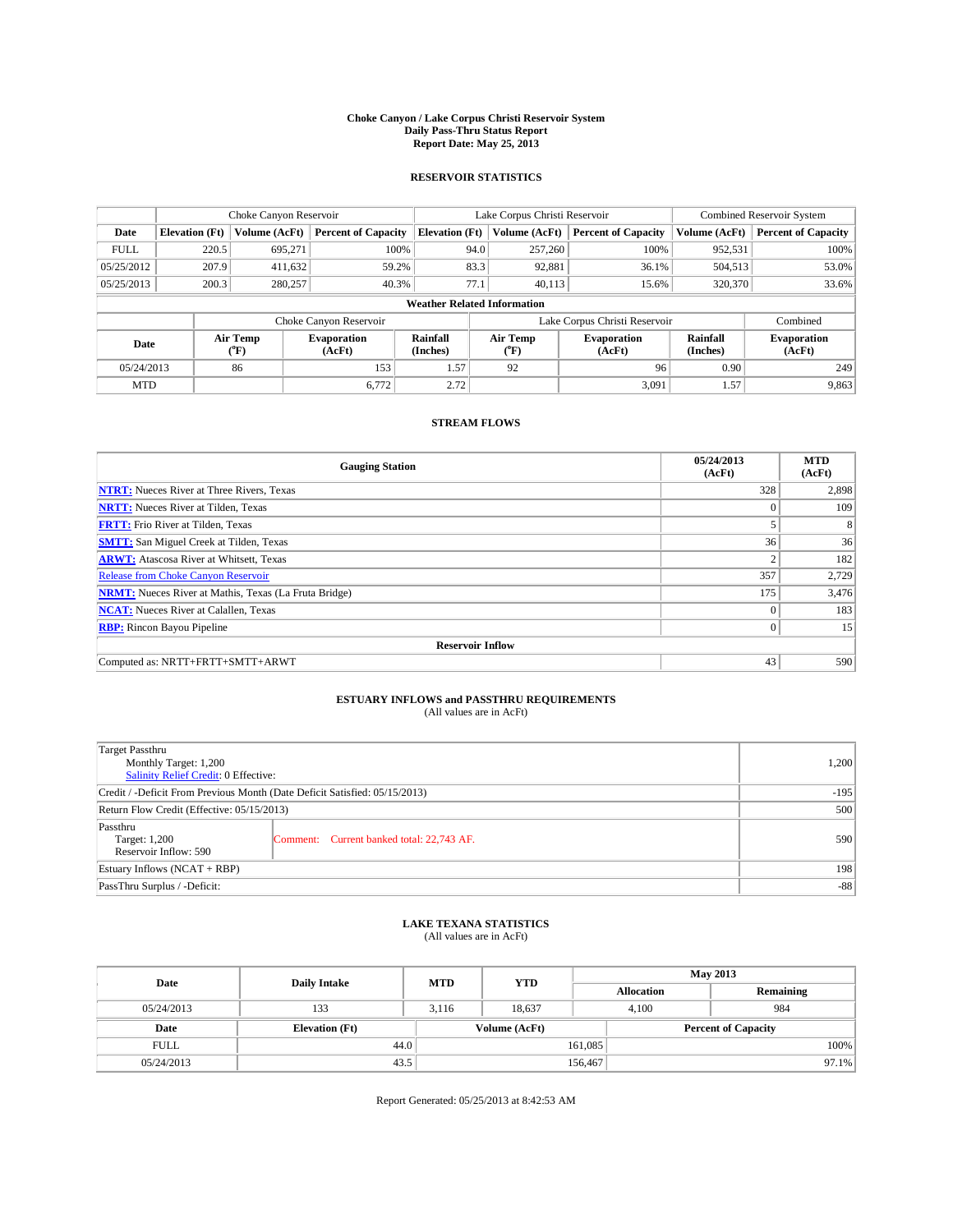#### **Choke Canyon / Lake Corpus Christi Reservoir System Daily Pass-Thru Status Report Report Date: May 25, 2013**

### **RESERVOIR STATISTICS**

|             |                       | Choke Canyon Reservoir |                              |                                    | Lake Corpus Christi Reservoir                    | <b>Combined Reservoir System</b> |                      |                              |
|-------------|-----------------------|------------------------|------------------------------|------------------------------------|--------------------------------------------------|----------------------------------|----------------------|------------------------------|
| Date        | <b>Elevation</b> (Ft) | Volume (AcFt)          | <b>Percent of Capacity</b>   | <b>Elevation (Ft)</b>              | Volume (AcFt)                                    | <b>Percent of Capacity</b>       | Volume (AcFt)        | <b>Percent of Capacity</b>   |
| <b>FULL</b> | 220.5                 | 695,271                | 100%                         | 94.0                               | 257,260                                          | 100%                             | 952,531              | 100%                         |
| 05/25/2012  | 207.9                 | 411,632                | 59.2%                        | 83.3                               | 92,881                                           | 36.1%                            | 504,513              | 53.0%                        |
| 05/25/2013  | 200.3                 | 280,257                | 40.3%                        | 77.1                               | 40.113                                           | 15.6%                            | 320,370              | 33.6%                        |
|             |                       |                        |                              | <b>Weather Related Information</b> |                                                  |                                  |                      |                              |
|             |                       |                        | Choke Canyon Reservoir       |                                    |                                                  | Lake Corpus Christi Reservoir    |                      | Combined                     |
| Date        |                       | Air Temp<br>(°F)       | <b>Evaporation</b><br>(AcFt) | Rainfall<br>(Inches)               | Air Temp<br><b>Evaporation</b><br>(AcFt)<br>(°F) |                                  | Rainfall<br>(Inches) | <b>Evaporation</b><br>(AcFt) |
| 05/24/2013  |                       | 86                     | 153                          | 1.57'                              | 92                                               | 96                               | 0.90                 | 249                          |
| <b>MTD</b>  |                       |                        | 6,772                        | 2.72                               |                                                  | 3,091                            | 1.57                 | 9,863                        |

### **STREAM FLOWS**

| <b>Gauging Station</b>                                       | 05/24/2013<br>(AcFt) | <b>MTD</b><br>(AcFt) |  |  |  |
|--------------------------------------------------------------|----------------------|----------------------|--|--|--|
| <b>NTRT:</b> Nueces River at Three Rivers, Texas             | 328                  | 2,898                |  |  |  |
| <b>NRTT:</b> Nueces River at Tilden, Texas                   | $\theta$             | 109                  |  |  |  |
| <b>FRTT:</b> Frio River at Tilden, Texas                     |                      | 8                    |  |  |  |
| <b>SMTT:</b> San Miguel Creek at Tilden, Texas               | 36                   | 36                   |  |  |  |
| <b>ARWT:</b> Atascosa River at Whitsett, Texas               | 2                    | 182                  |  |  |  |
| <b>Release from Choke Canyon Reservoir</b>                   | 357                  | 2,729                |  |  |  |
| <b>NRMT:</b> Nueces River at Mathis, Texas (La Fruta Bridge) | 175                  | 3,476                |  |  |  |
| <b>NCAT:</b> Nueces River at Calallen, Texas                 | $\theta$             | 183                  |  |  |  |
| <b>RBP:</b> Rincon Bayou Pipeline                            | $\mathbf{0}$         | 15                   |  |  |  |
| <b>Reservoir Inflow</b>                                      |                      |                      |  |  |  |
| Computed as: NRTT+FRTT+SMTT+ARWT                             | 43                   | 590                  |  |  |  |

# **ESTUARY INFLOWS and PASSTHRU REQUIREMENTS**<br>(All values are in AcFt)

| Target Passthru                                                            |        |  |
|----------------------------------------------------------------------------|--------|--|
| Monthly Target: 1,200                                                      | 1,200  |  |
| Salinity Relief Credit: 0 Effective:                                       |        |  |
| Credit / -Deficit From Previous Month (Date Deficit Satisfied: 05/15/2013) | $-195$ |  |
| Return Flow Credit (Effective: 05/15/2013)                                 | 500    |  |
| Passthru                                                                   |        |  |
| Comment: Current banked total: 22,743 AF.<br>Target: 1,200                 | 590    |  |
| Reservoir Inflow: 590                                                      |        |  |
| Estuary Inflows (NCAT + RBP)                                               |        |  |
| PassThru Surplus / -Deficit:                                               | $-88$  |  |

# **LAKE TEXANA STATISTICS** (All values are in AcFt)

| Date        | <b>Daily Intake</b>   | <b>MTD</b> | <b>YTD</b>    |                            | <b>May 2013</b>   |           |  |
|-------------|-----------------------|------------|---------------|----------------------------|-------------------|-----------|--|
|             |                       |            |               |                            | <b>Allocation</b> | Remaining |  |
| 05/24/2013  | 133                   | 3.116      | 18.637        |                            | 4.100             | 984       |  |
| Date        | <b>Elevation</b> (Ft) |            | Volume (AcFt) | <b>Percent of Capacity</b> |                   |           |  |
| <b>FULL</b> | 44.0                  |            |               | 161,085                    |                   | 100%      |  |
| 05/24/2013  | 43.5                  |            |               | 156,467                    |                   | 97.1%     |  |

Report Generated: 05/25/2013 at 8:42:53 AM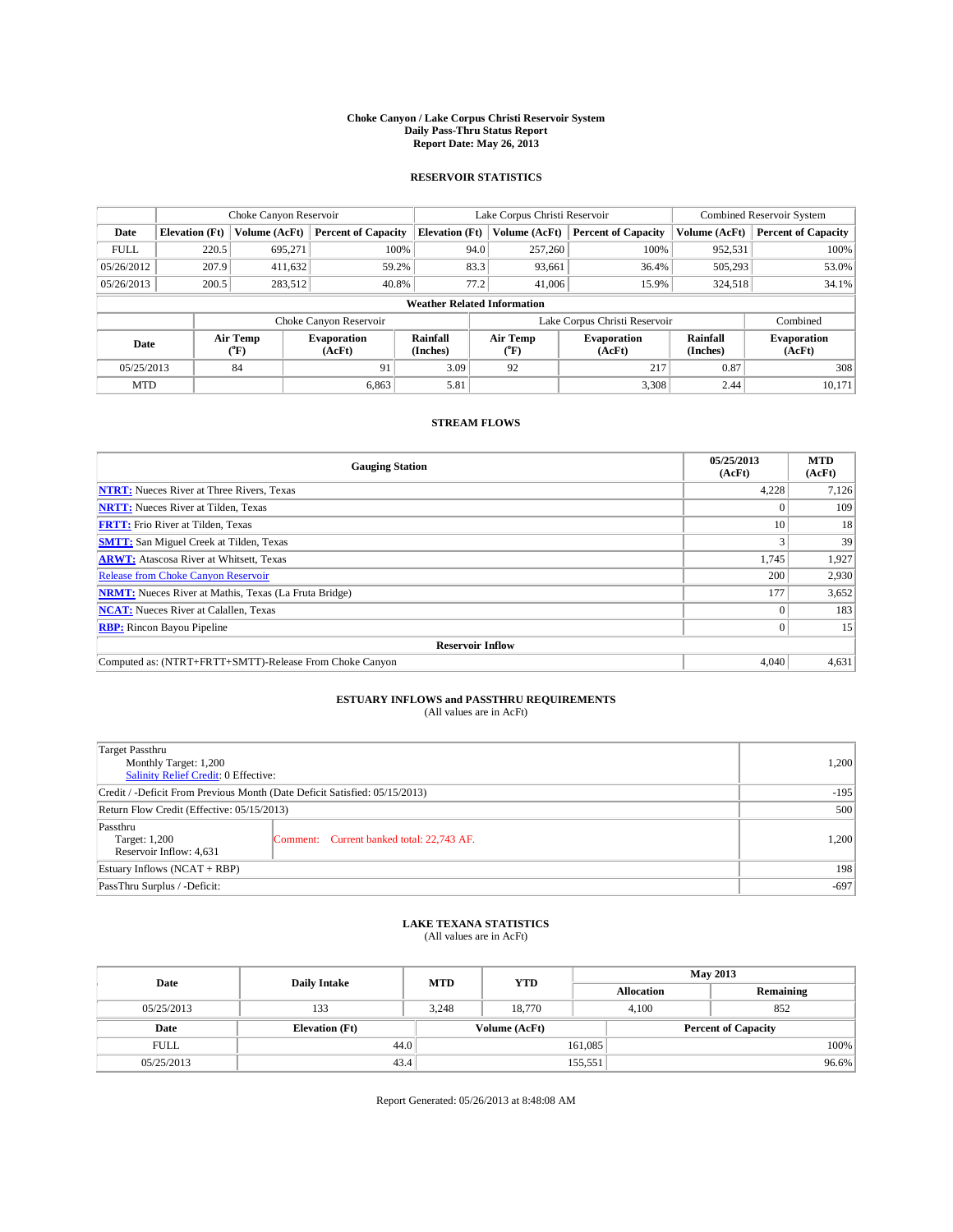#### **Choke Canyon / Lake Corpus Christi Reservoir System Daily Pass-Thru Status Report Report Date: May 26, 2013**

### **RESERVOIR STATISTICS**

|             | Choke Canyon Reservoir |                  |                              |                                    | Lake Corpus Christi Reservoir | <b>Combined Reservoir System</b>                     |               |                              |
|-------------|------------------------|------------------|------------------------------|------------------------------------|-------------------------------|------------------------------------------------------|---------------|------------------------------|
| Date        | <b>Elevation</b> (Ft)  | Volume (AcFt)    | <b>Percent of Capacity</b>   | <b>Elevation (Ft)</b>              | Volume (AcFt)                 | <b>Percent of Capacity</b>                           | Volume (AcFt) | Percent of Capacity          |
| <b>FULL</b> | 220.5                  | 695,271          | 100%                         | 94.0                               | 257,260                       | 100%                                                 | 952,531       | 100%                         |
| 05/26/2012  | 207.9                  | 411,632          | 59.2%                        | 83.3                               | 93,661                        | 36.4%                                                | 505,293       | 53.0%                        |
| 05/26/2013  | 200.5                  | 283,512          | 40.8%                        | 77.2                               | 41,006                        | 15.9%                                                | 324,518       | $34.1\%$                     |
|             |                        |                  |                              | <b>Weather Related Information</b> |                               |                                                      |               |                              |
|             |                        |                  | Choke Canyon Reservoir       |                                    |                               | Lake Corpus Christi Reservoir                        |               | Combined                     |
| Date        |                        | Air Temp<br>(°F) | <b>Evaporation</b><br>(AcFt) | Rainfall<br>(Inches)               | Air Temp<br>("F)              | Rainfall<br><b>Evaporation</b><br>(Inches)<br>(AcFt) |               | <b>Evaporation</b><br>(AcFt) |
| 05/25/2013  |                        | 84               | 91                           | 3.09                               | 92                            | 217                                                  | 0.87          | 308                          |
| <b>MTD</b>  |                        |                  | 6.863                        | 5.81                               |                               | 3,308                                                | 2.44          | 10.171                       |

### **STREAM FLOWS**

| <b>Gauging Station</b>                                       | 05/25/2013<br>(AcFt) | <b>MTD</b><br>(AcFt) |  |  |  |
|--------------------------------------------------------------|----------------------|----------------------|--|--|--|
| <b>NTRT:</b> Nueces River at Three Rivers, Texas             | 4,228                | 7,126                |  |  |  |
| <b>NRTT:</b> Nueces River at Tilden, Texas                   |                      | 109                  |  |  |  |
| <b>FRTT:</b> Frio River at Tilden, Texas                     | 10                   | 18                   |  |  |  |
| <b>SMTT:</b> San Miguel Creek at Tilden, Texas               |                      | 39                   |  |  |  |
| <b>ARWT:</b> Atascosa River at Whitsett, Texas               | 1,745                | 1,927                |  |  |  |
| <b>Release from Choke Canyon Reservoir</b>                   | 200                  | 2,930                |  |  |  |
| <b>NRMT:</b> Nueces River at Mathis, Texas (La Fruta Bridge) | 177                  | 3,652                |  |  |  |
| <b>NCAT:</b> Nueces River at Calallen, Texas                 |                      | 183                  |  |  |  |
| <b>RBP:</b> Rincon Bayou Pipeline                            | $\Omega$             | 15                   |  |  |  |
| <b>Reservoir Inflow</b>                                      |                      |                      |  |  |  |
| Computed as: (NTRT+FRTT+SMTT)-Release From Choke Canyon      | 4,040                | 4,631                |  |  |  |

# **ESTUARY INFLOWS and PASSTHRU REQUIREMENTS**<br>(All values are in AcFt)

| Target Passthru                                                            |        |
|----------------------------------------------------------------------------|--------|
| Monthly Target: 1,200                                                      | 1,200  |
| Salinity Relief Credit: 0 Effective:                                       |        |
| Credit / -Deficit From Previous Month (Date Deficit Satisfied: 05/15/2013) | $-195$ |
| Return Flow Credit (Effective: 05/15/2013)                                 | 500    |
| Passthru                                                                   |        |
| Comment: Current banked total: 22,743 AF.<br>Target: 1,200                 | 1,200  |
| Reservoir Inflow: 4,631                                                    |        |
| Estuary Inflows (NCAT + RBP)                                               | 198    |
| PassThru Surplus / -Deficit:                                               | $-697$ |

## **LAKE TEXANA STATISTICS** (All values are in AcFt)

| Date        | <b>Daily Intake</b>   | <b>MTD</b> | <b>YTD</b>    |                   | <b>May 2013</b>            |  |  |
|-------------|-----------------------|------------|---------------|-------------------|----------------------------|--|--|
|             |                       |            |               | <b>Allocation</b> | Remaining                  |  |  |
| 05/25/2013  | 133                   | 3.248      | 18.770        | 4.100             | 852                        |  |  |
| Date        | <b>Elevation</b> (Ft) |            | Volume (AcFt) |                   | <b>Percent of Capacity</b> |  |  |
| <b>FULL</b> | 44.0                  |            |               | 161,085           | 100%                       |  |  |
| 05/25/2013  | 43.4                  |            |               | 155,551           | 96.6%                      |  |  |

Report Generated: 05/26/2013 at 8:48:08 AM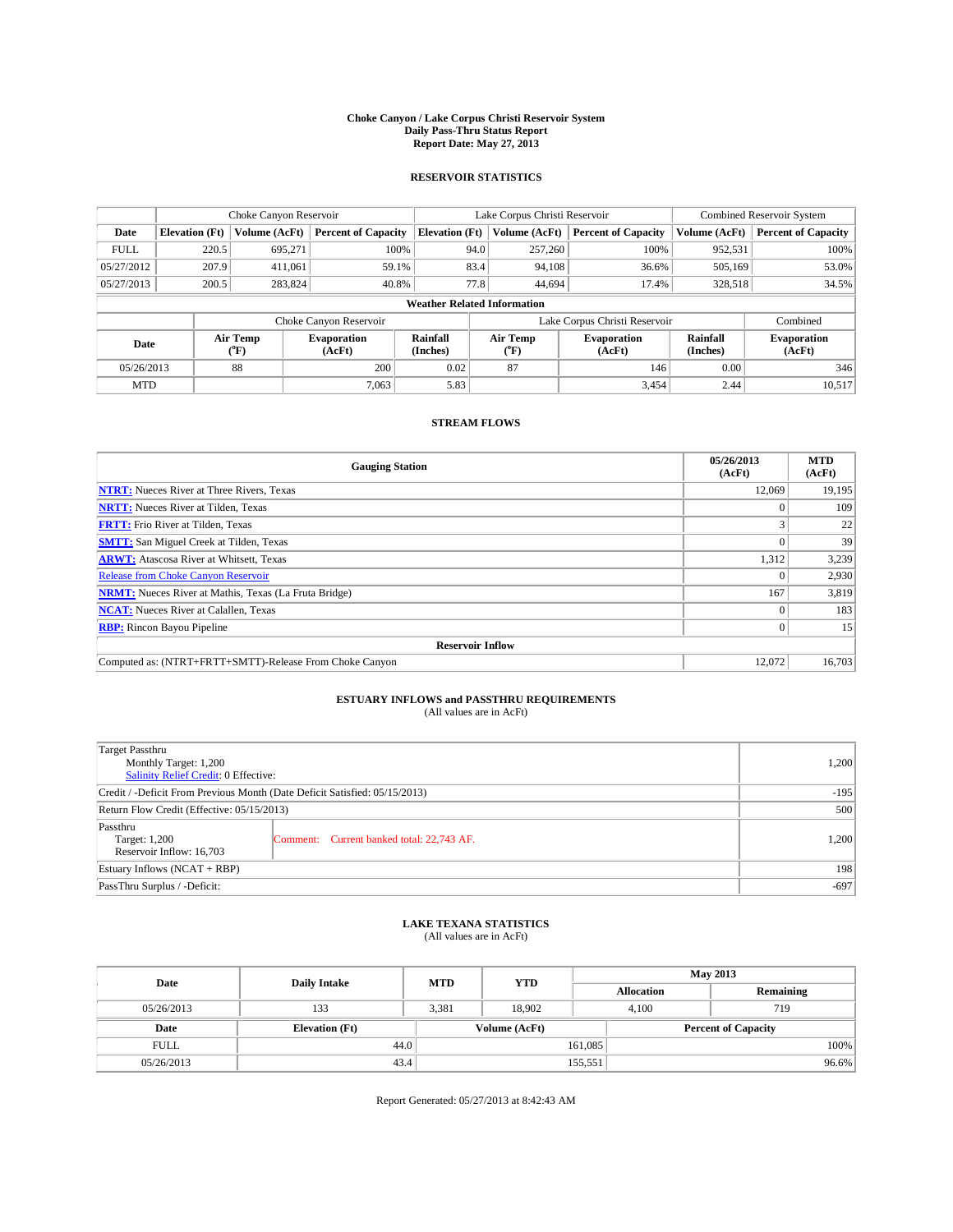#### **Choke Canyon / Lake Corpus Christi Reservoir System Daily Pass-Thru Status Report Report Date: May 27, 2013**

### **RESERVOIR STATISTICS**

|             | Choke Canyon Reservoir |                  |                              |                                    | Lake Corpus Christi Reservoir                    | <b>Combined Reservoir System</b> |                      |                              |
|-------------|------------------------|------------------|------------------------------|------------------------------------|--------------------------------------------------|----------------------------------|----------------------|------------------------------|
| Date        | <b>Elevation</b> (Ft)  | Volume (AcFt)    | <b>Percent of Capacity</b>   | <b>Elevation (Ft)</b>              | Volume (AcFt)                                    | <b>Percent of Capacity</b>       | Volume (AcFt)        | <b>Percent of Capacity</b>   |
| <b>FULL</b> | 220.5                  | 695,271          | 100%                         | 94.0                               | 257,260                                          | 100%                             | 952,531              | 100%                         |
| 05/27/2012  | 207.9                  | 411,061          | 59.1%                        | 83.4                               | 94,108                                           | 36.6%                            | 505,169              | 53.0%                        |
| 05/27/2013  | 200.5                  | 283.824          | 40.8%                        | 77.8                               | 44,694                                           | 17.4%                            | 328,518              | 34.5%                        |
|             |                        |                  |                              | <b>Weather Related Information</b> |                                                  |                                  |                      |                              |
|             |                        |                  | Choke Canyon Reservoir       |                                    |                                                  | Lake Corpus Christi Reservoir    |                      | Combined                     |
| Date        |                        | Air Temp<br>(°F) | <b>Evaporation</b><br>(AcFt) | Rainfall<br>(Inches)               | Air Temp<br><b>Evaporation</b><br>(AcFt)<br>("F) |                                  | Rainfall<br>(Inches) | <b>Evaporation</b><br>(AcFt) |
| 05/26/2013  |                        | 88               | 200                          | 0.02                               | 87                                               | 146                              | 0.00                 | 346                          |
| <b>MTD</b>  |                        |                  | 7.063                        | 5.83                               |                                                  | 3,454                            | 2.44                 | 10,517                       |

### **STREAM FLOWS**

| <b>Gauging Station</b>                                       | 05/26/2013<br>(AcFt) | <b>MTD</b><br>(AcFt) |  |  |  |
|--------------------------------------------------------------|----------------------|----------------------|--|--|--|
| <b>NTRT:</b> Nueces River at Three Rivers, Texas             | 12,069               | 19,195               |  |  |  |
| <b>NRTT:</b> Nueces River at Tilden, Texas                   |                      | 109                  |  |  |  |
| <b>FRTT:</b> Frio River at Tilden, Texas                     |                      | 22                   |  |  |  |
| <b>SMTT:</b> San Miguel Creek at Tilden, Texas               |                      | 39                   |  |  |  |
| <b>ARWT:</b> Atascosa River at Whitsett, Texas               | 1,312                | 3,239                |  |  |  |
| <b>Release from Choke Canyon Reservoir</b>                   |                      | 2,930                |  |  |  |
| <b>NRMT:</b> Nueces River at Mathis, Texas (La Fruta Bridge) | 167                  | 3,819                |  |  |  |
| <b>NCAT:</b> Nueces River at Calallen, Texas                 |                      | 183                  |  |  |  |
| <b>RBP:</b> Rincon Bayou Pipeline                            |                      | 15                   |  |  |  |
| <b>Reservoir Inflow</b>                                      |                      |                      |  |  |  |
| Computed as: (NTRT+FRTT+SMTT)-Release From Choke Canyon      | 12,072               | 16,703               |  |  |  |

# **ESTUARY INFLOWS and PASSTHRU REQUIREMENTS**<br>(All values are in AcFt)

| Target Passthru<br>Monthly Target: 1,200<br>Salinity Relief Credit: 0 Effective: |                                           | 1,200 |
|----------------------------------------------------------------------------------|-------------------------------------------|-------|
| Credit / -Deficit From Previous Month (Date Deficit Satisfied: 05/15/2013)       | $-195$                                    |       |
| Return Flow Credit (Effective: 05/15/2013)                                       |                                           |       |
| Passthru<br>Target: 1,200<br>Reservoir Inflow: 16,703                            | Comment: Current banked total: 22,743 AF. | 1,200 |
| Estuary Inflows $(NCAT + RBP)$                                                   |                                           | 198   |
| PassThru Surplus / -Deficit:                                                     | $-697$                                    |       |

## **LAKE TEXANA STATISTICS** (All values are in AcFt)

| Date        | <b>Daily Intake</b>   | <b>MTD</b> | <b>YTD</b>    |                   | <b>May 2013</b>            |           |  |
|-------------|-----------------------|------------|---------------|-------------------|----------------------------|-----------|--|
|             |                       |            |               | <b>Allocation</b> |                            | Remaining |  |
| 05/26/2013  | 133                   | 3,381      | 18.902        | 4.100             | 719                        |           |  |
| Date        | <b>Elevation</b> (Ft) |            | Volume (AcFt) |                   | <b>Percent of Capacity</b> |           |  |
| <b>FULL</b> | 44.0                  |            |               | 161,085           |                            | 100%      |  |
| 05/26/2013  | 43.4                  |            |               | 155,551           |                            | 96.6%     |  |

Report Generated: 05/27/2013 at 8:42:43 AM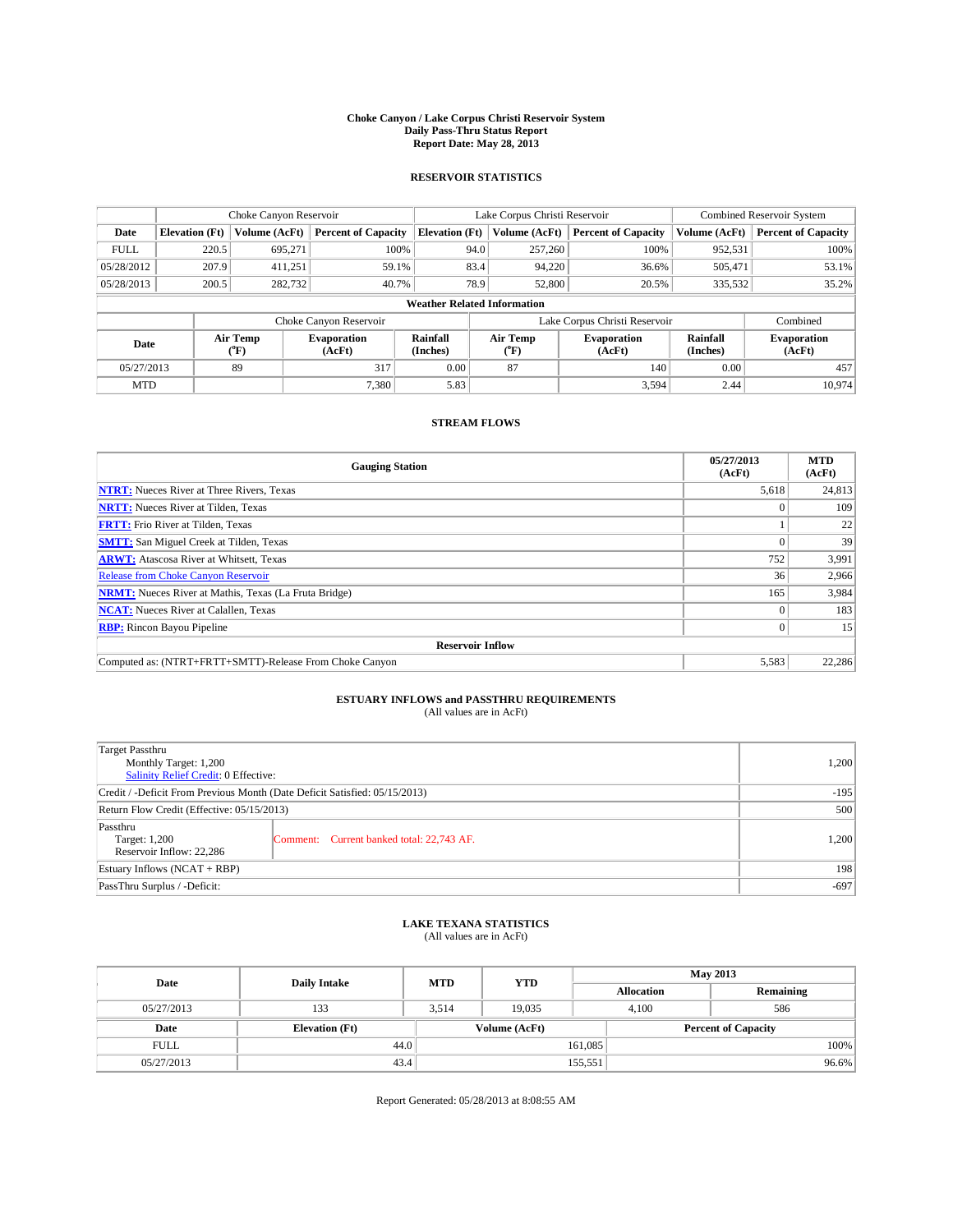#### **Choke Canyon / Lake Corpus Christi Reservoir System Daily Pass-Thru Status Report Report Date: May 28, 2013**

### **RESERVOIR STATISTICS**

|             |                       | Choke Canyon Reservoir |                              |                                    | Lake Corpus Christi Reservoir | <b>Combined Reservoir System</b> |                      |                              |
|-------------|-----------------------|------------------------|------------------------------|------------------------------------|-------------------------------|----------------------------------|----------------------|------------------------------|
| Date        | <b>Elevation</b> (Ft) | Volume (AcFt)          | <b>Percent of Capacity</b>   | <b>Elevation</b> (Ft)              | Volume (AcFt)                 | <b>Percent of Capacity</b>       | Volume (AcFt)        | <b>Percent of Capacity</b>   |
| <b>FULL</b> | 220.5                 | 695,271                | 100%                         | 94.0                               | 257,260                       | 100%                             | 952,531              | 100%                         |
| 05/28/2012  | 207.9                 | 411,251                | 59.1%                        | 83.4                               | 94,220                        | 36.6%                            | 505,471              | 53.1%                        |
| 05/28/2013  | 200.5                 | 282,732                | 40.7%                        | 78.9                               | 52,800                        | 20.5%                            | 335,532              | 35.2%                        |
|             |                       |                        |                              | <b>Weather Related Information</b> |                               |                                  |                      |                              |
|             |                       |                        | Choke Canyon Reservoir       |                                    | Lake Corpus Christi Reservoir | Combined                         |                      |                              |
| Date        |                       | Air Temp<br>(°F)       | <b>Evaporation</b><br>(AcFt) | Rainfall<br>(Inches)               | Air Temp<br>(°F)              | <b>Evaporation</b><br>(AcFt)     | Rainfall<br>(Inches) | <b>Evaporation</b><br>(AcFt) |
| 05/27/2013  |                       | 89                     | 317                          | 0.00                               | 87                            | 140                              | 0.00                 | 457                          |
| <b>MTD</b>  |                       |                        | 7,380                        | 5.83                               |                               | 3,594                            | 2.44                 | 10.974                       |

### **STREAM FLOWS**

| <b>Gauging Station</b>                                       | 05/27/2013<br>(AcFt) | <b>MTD</b><br>(AcFt) |
|--------------------------------------------------------------|----------------------|----------------------|
| <b>NTRT:</b> Nueces River at Three Rivers, Texas             | 5,618                | 24,813               |
| <b>NRTT:</b> Nueces River at Tilden, Texas                   |                      | 109                  |
| <b>FRTT:</b> Frio River at Tilden, Texas                     |                      | 22                   |
| <b>SMTT:</b> San Miguel Creek at Tilden, Texas               |                      | 39                   |
| <b>ARWT:</b> Atascosa River at Whitsett, Texas               | 752                  | 3,991                |
| <b>Release from Choke Canyon Reservoir</b>                   | 36                   | 2,966                |
| <b>NRMT:</b> Nueces River at Mathis, Texas (La Fruta Bridge) | 165                  | 3,984                |
| <b>NCAT:</b> Nueces River at Calallen, Texas                 |                      | 183                  |
| <b>RBP:</b> Rincon Bayou Pipeline                            |                      | 15                   |
| <b>Reservoir Inflow</b>                                      |                      |                      |
| Computed as: (NTRT+FRTT+SMTT)-Release From Choke Canyon      | 5,583                | 22,286               |

# **ESTUARY INFLOWS and PASSTHRU REQUIREMENTS**<br>(All values are in AcFt)

| Target Passthru<br>Monthly Target: 1,200<br>Salinity Relief Credit: 0 Effective: |                                           |       |  |  |
|----------------------------------------------------------------------------------|-------------------------------------------|-------|--|--|
| Credit / -Deficit From Previous Month (Date Deficit Satisfied: 05/15/2013)       |                                           |       |  |  |
| Return Flow Credit (Effective: 05/15/2013)                                       |                                           |       |  |  |
| Passthru<br>Target: 1,200<br>Reservoir Inflow: 22,286                            | Comment: Current banked total: 22,743 AF. | 1,200 |  |  |
| Estuary Inflows $(NCAT + RBP)$                                                   |                                           |       |  |  |
| PassThru Surplus / -Deficit:                                                     |                                           |       |  |  |

## **LAKE TEXANA STATISTICS** (All values are in AcFt)

| Date        | <b>Daily Intake</b>   | <b>MTD</b> | <b>YTD</b>    | <b>May 2013</b>   |                            |           |  |
|-------------|-----------------------|------------|---------------|-------------------|----------------------------|-----------|--|
|             |                       |            |               | <b>Allocation</b> |                            | Remaining |  |
| 05/27/2013  | 133                   | 3,514      | 19.035        | 4,100             |                            | 586       |  |
| Date        | <b>Elevation</b> (Ft) |            | Volume (AcFt) |                   | <b>Percent of Capacity</b> |           |  |
| <b>FULL</b> | 44.0                  |            |               | 161,085           |                            | 100%      |  |
| 05/27/2013  | 43.4                  |            |               | 155,551           |                            | 96.6%     |  |

Report Generated: 05/28/2013 at 8:08:55 AM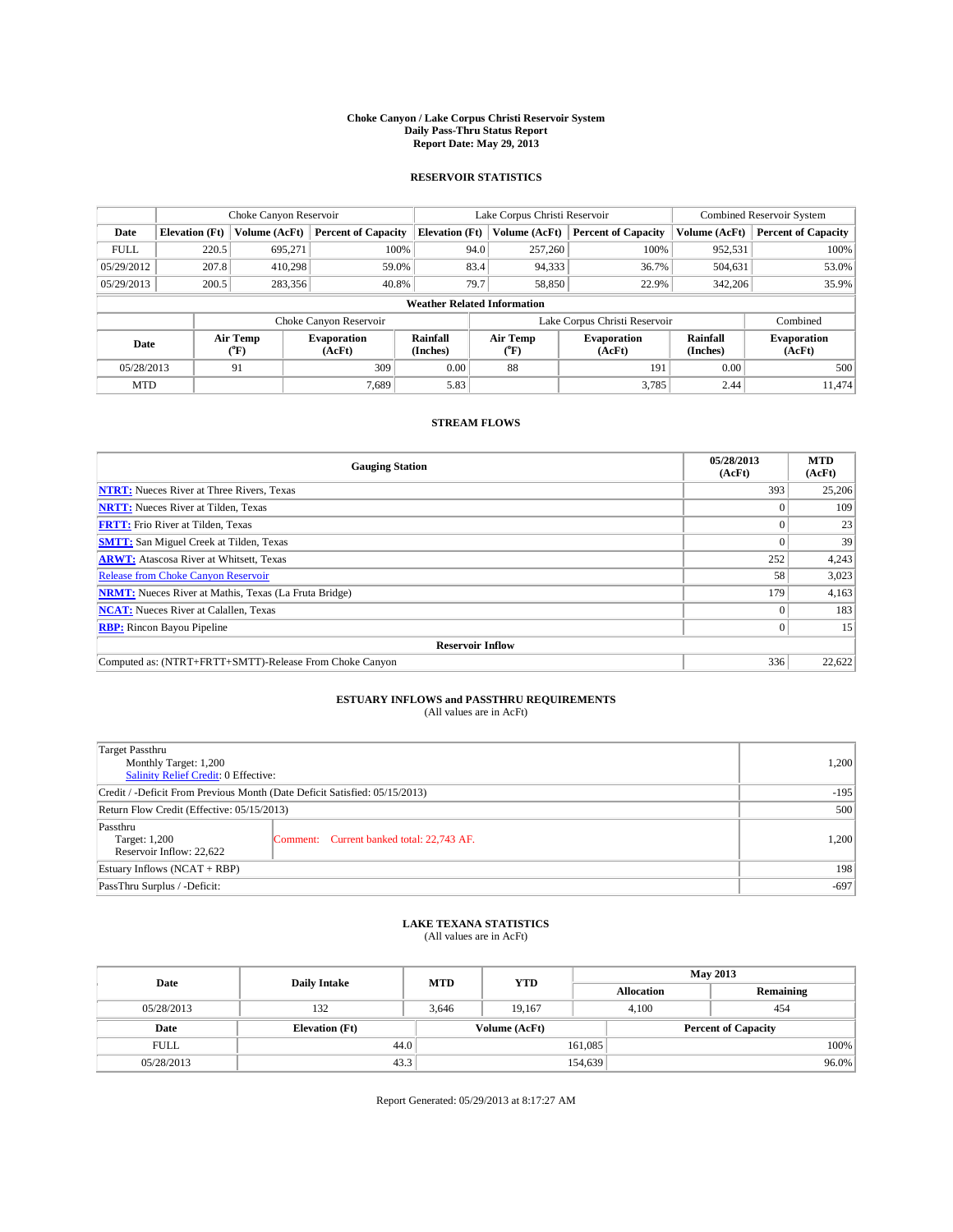#### **Choke Canyon / Lake Corpus Christi Reservoir System Daily Pass-Thru Status Report Report Date: May 29, 2013**

### **RESERVOIR STATISTICS**

|             |                       | Choke Canyon Reservoir |                              |                                    | Lake Corpus Christi Reservoir | <b>Combined Reservoir System</b> |               |                              |
|-------------|-----------------------|------------------------|------------------------------|------------------------------------|-------------------------------|----------------------------------|---------------|------------------------------|
| Date        | <b>Elevation</b> (Ft) | Volume (AcFt)          | <b>Percent of Capacity</b>   | <b>Elevation</b> (Ft)              | Volume (AcFt)                 | <b>Percent of Capacity</b>       | Volume (AcFt) | <b>Percent of Capacity</b>   |
| <b>FULL</b> | 220.5                 | 695,271                | 100%                         | 94.0                               | 257,260                       | 100%                             | 952,531       | 100%                         |
| 05/29/2012  | 207.8                 | 410,298                | 59.0%                        | 83.4                               | 94,333                        | 36.7%                            | 504,631       | 53.0%                        |
| 05/29/2013  | 200.5                 | 283,356                | 40.8%                        | 79.7                               | 58,850                        | 22.9%                            | 342,206       | 35.9%                        |
|             |                       |                        |                              | <b>Weather Related Information</b> |                               |                                  |               |                              |
|             |                       |                        | Choke Canyon Reservoir       |                                    | Lake Corpus Christi Reservoir |                                  |               |                              |
| Date        | Air Temp<br>(°F)      |                        | <b>Evaporation</b><br>(AcFt) | Rainfall<br>(Inches)               | Air Temp<br>(°F)              | <b>Evaporation</b><br>(AcFt)     |               | <b>Evaporation</b><br>(AcFt) |
| 05/28/2013  |                       | 91                     | 309                          | 0.00                               | 88                            | 191                              | 0.00          | 500                          |
| <b>MTD</b>  |                       |                        | 7,689                        | 5.83                               |                               | 3,785                            | 2.44          | 11.474                       |

### **STREAM FLOWS**

| <b>Gauging Station</b>                                       | 05/28/2013<br>(AcFt) | <b>MTD</b><br>(AcFt) |
|--------------------------------------------------------------|----------------------|----------------------|
| <b>NTRT:</b> Nueces River at Three Rivers, Texas             | 393                  | 25,206               |
| <b>NRTT:</b> Nueces River at Tilden, Texas                   |                      | 109                  |
| <b>FRTT:</b> Frio River at Tilden, Texas                     |                      | 23                   |
| <b>SMTT:</b> San Miguel Creek at Tilden, Texas               |                      | 39                   |
| <b>ARWT:</b> Atascosa River at Whitsett, Texas               | 252                  | 4,243                |
| Release from Choke Canyon Reservoir                          | 58                   | 3,023                |
| <b>NRMT:</b> Nueces River at Mathis, Texas (La Fruta Bridge) | 179                  | 4,163                |
| <b>NCAT:</b> Nueces River at Calallen, Texas                 |                      | 183                  |
| <b>RBP:</b> Rincon Bayou Pipeline                            | 0                    | 15                   |
| <b>Reservoir Inflow</b>                                      |                      |                      |
| Computed as: (NTRT+FRTT+SMTT)-Release From Choke Canyon      | 336                  | 22,622               |

# **ESTUARY INFLOWS and PASSTHRU REQUIREMENTS**<br>(All values are in AcFt)

| Target Passthru<br>Monthly Target: 1,200<br>Salinity Relief Credit: 0 Effective: |                                           |       |  |  |
|----------------------------------------------------------------------------------|-------------------------------------------|-------|--|--|
| Credit / -Deficit From Previous Month (Date Deficit Satisfied: 05/15/2013)       |                                           |       |  |  |
| Return Flow Credit (Effective: 05/15/2013)                                       | 500                                       |       |  |  |
| Passthru<br>Target: 1,200<br>Reservoir Inflow: 22,622                            | Comment: Current banked total: 22,743 AF. | 1,200 |  |  |
| Estuary Inflows $(NCAT + RBP)$                                                   |                                           |       |  |  |
| PassThru Surplus / -Deficit:                                                     |                                           |       |  |  |

## **LAKE TEXANA STATISTICS** (All values are in AcFt)

| Date        | <b>Daily Intake</b>   | <b>MTD</b> | <b>YTD</b>    | <b>May 2013</b>   |                            |           |  |
|-------------|-----------------------|------------|---------------|-------------------|----------------------------|-----------|--|
|             |                       |            |               | <b>Allocation</b> |                            | Remaining |  |
| 05/28/2013  | 132                   | 3.646      | 19.167        | 4.100             |                            | 454       |  |
| Date        | <b>Elevation</b> (Ft) |            | Volume (AcFt) |                   | <b>Percent of Capacity</b> |           |  |
| <b>FULL</b> | 44.0                  |            |               | 161,085           |                            | 100%      |  |
| 05/28/2013  | 43.3                  |            |               | 154,639           |                            | 96.0%     |  |

Report Generated: 05/29/2013 at 8:17:27 AM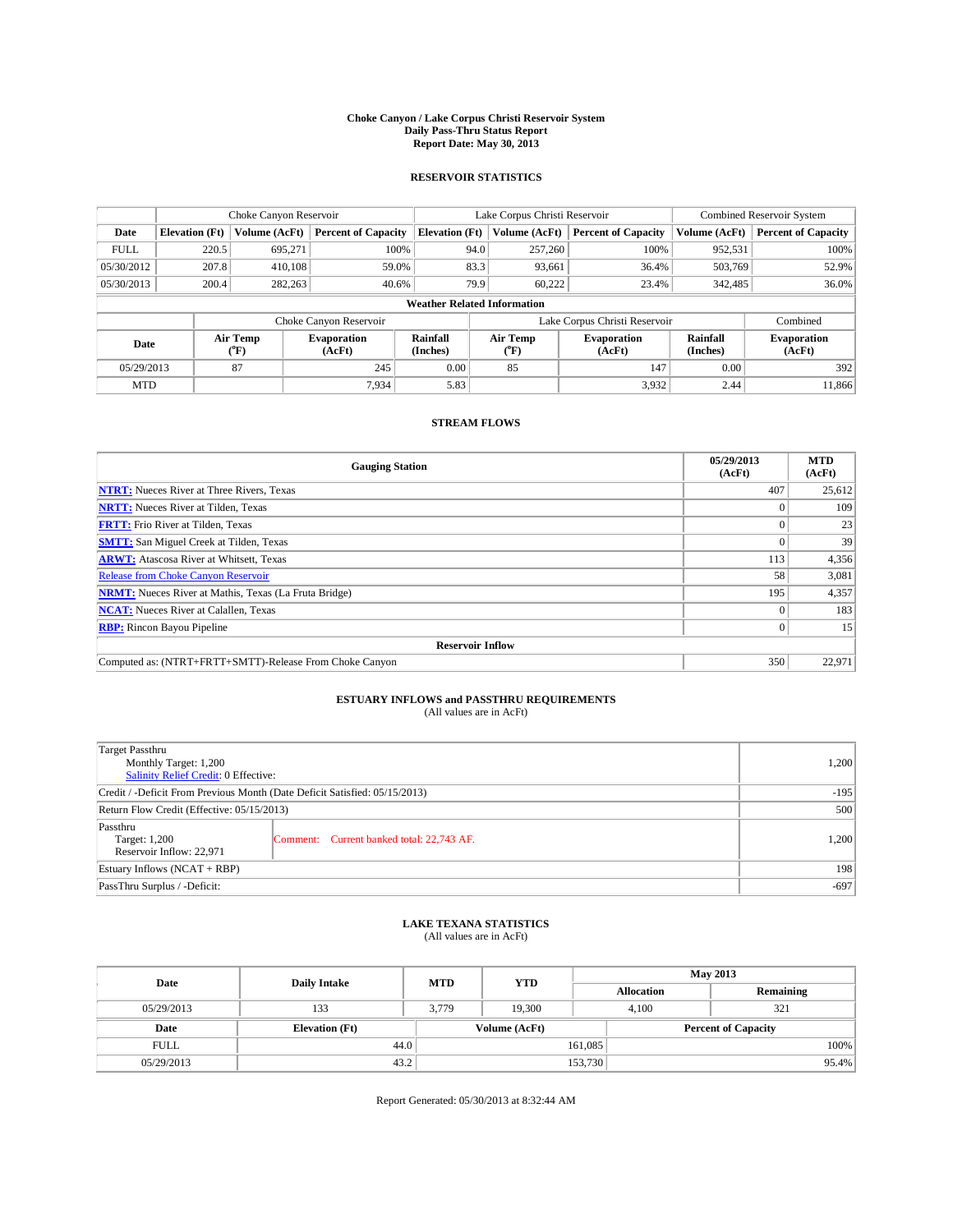#### **Choke Canyon / Lake Corpus Christi Reservoir System Daily Pass-Thru Status Report Report Date: May 30, 2013**

### **RESERVOIR STATISTICS**

|             |                       | Choke Canyon Reservoir |                              |                                    | Lake Corpus Christi Reservoir | <b>Combined Reservoir System</b> |                      |                              |
|-------------|-----------------------|------------------------|------------------------------|------------------------------------|-------------------------------|----------------------------------|----------------------|------------------------------|
| Date        | <b>Elevation</b> (Ft) | Volume (AcFt)          | <b>Percent of Capacity</b>   | <b>Elevation</b> (Ft)              | Volume (AcFt)                 | <b>Percent of Capacity</b>       | Volume (AcFt)        | <b>Percent of Capacity</b>   |
| <b>FULL</b> | 220.5                 | 695,271                | 100%                         | 94.0                               | 257,260                       | 100%                             | 952,531              | 100%                         |
| 05/30/2012  | 207.8                 | 410,108                | 59.0%                        | 83.3                               | 93,661                        | 36.4%                            | 503,769              | 52.9%                        |
| 05/30/2013  | 200.4                 | 282,263                | 40.6%                        |                                    | 79.9<br>60.222                | 23.4%                            | 342,485              | 36.0%                        |
|             |                       |                        |                              | <b>Weather Related Information</b> |                               |                                  |                      |                              |
|             |                       |                        | Choke Canyon Reservoir       |                                    | Lake Corpus Christi Reservoir |                                  | Combined             |                              |
| Date        |                       | Air Temp<br>(°F)       | <b>Evaporation</b><br>(AcFt) | Rainfall<br>(Inches)               | Air Temp<br>(°F)              | <b>Evaporation</b><br>(AcFt)     | Rainfall<br>(Inches) | <b>Evaporation</b><br>(AcFt) |
| 05/29/2013  |                       | 87                     | 245                          | 0.00                               | 85                            | 147                              | 0.00                 | 392                          |
| <b>MTD</b>  |                       |                        | 7,934                        | 5.83                               |                               | 3,932                            | 2.44                 | 11,866                       |

### **STREAM FLOWS**

| <b>Gauging Station</b>                                       | 05/29/2013<br>(AcFt) | <b>MTD</b><br>(AcFt) |
|--------------------------------------------------------------|----------------------|----------------------|
| <b>NTRT:</b> Nueces River at Three Rivers, Texas             | 407                  | 25,612               |
| <b>NRTT:</b> Nueces River at Tilden, Texas                   |                      | 109                  |
| <b>FRTT:</b> Frio River at Tilden, Texas                     |                      | 23                   |
| <b>SMTT:</b> San Miguel Creek at Tilden, Texas               |                      | 39                   |
| <b>ARWT:</b> Atascosa River at Whitsett, Texas               | 113                  | 4,356                |
| Release from Choke Canyon Reservoir                          | 58                   | 3,081                |
| <b>NRMT:</b> Nueces River at Mathis, Texas (La Fruta Bridge) | 195                  | 4,357                |
| <b>NCAT:</b> Nueces River at Calallen, Texas                 |                      | 183                  |
| <b>RBP:</b> Rincon Bayou Pipeline                            | 0                    | 15                   |
| <b>Reservoir Inflow</b>                                      |                      |                      |
| Computed as: (NTRT+FRTT+SMTT)-Release From Choke Canyon      | 350                  | 22,971               |

# **ESTUARY INFLOWS and PASSTHRU REQUIREMENTS**<br>(All values are in AcFt)

| Target Passthru<br>Monthly Target: 1,200<br>Salinity Relief Credit: 0 Effective: |                                           |       |  |  |
|----------------------------------------------------------------------------------|-------------------------------------------|-------|--|--|
| Credit / -Deficit From Previous Month (Date Deficit Satisfied: 05/15/2013)       |                                           |       |  |  |
| Return Flow Credit (Effective: 05/15/2013)                                       |                                           |       |  |  |
| Passthru                                                                         |                                           | 500   |  |  |
| Target: 1,200                                                                    | Comment: Current banked total: 22,743 AF. | 1,200 |  |  |
| Reservoir Inflow: 22,971                                                         |                                           |       |  |  |
| Estuary Inflows $(NCAT + RBP)$                                                   |                                           |       |  |  |
| PassThru Surplus / -Deficit:                                                     |                                           |       |  |  |

## **LAKE TEXANA STATISTICS** (All values are in AcFt)

| Date        | <b>Daily Intake</b>   | <b>MTD</b> | <b>YTD</b>    | <b>May 2013</b>   |                            |           |      |
|-------------|-----------------------|------------|---------------|-------------------|----------------------------|-----------|------|
|             |                       |            |               | <b>Allocation</b> |                            | Remaining |      |
| 05/29/2013  | 133                   | 3,779      | 19.300        |                   | 4,100<br>321               |           |      |
| Date        | <b>Elevation</b> (Ft) |            | Volume (AcFt) |                   | <b>Percent of Capacity</b> |           |      |
| <b>FULL</b> | 44.0                  |            |               | 161,085           |                            |           | 100% |
| 05/29/2013  | 43.2                  |            |               | 153,730           |                            | 95.4%     |      |

Report Generated: 05/30/2013 at 8:32:44 AM